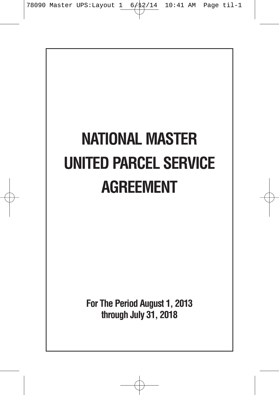# **NATIONAL MASTER UNITED PARCEL SERVICE AGREEMENT**

**For The Period August 1, 2013 through July 31, 2018**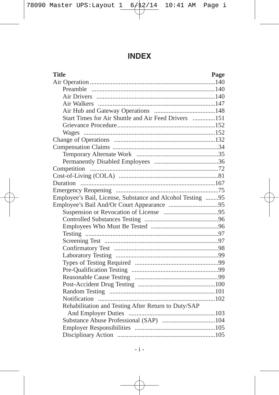# **INDEX**

| <b>Title</b>                                               | Page |
|------------------------------------------------------------|------|
|                                                            |      |
|                                                            |      |
|                                                            |      |
|                                                            |      |
|                                                            |      |
| Start Times for Air Shuttle and Air Feed Drivers 151       |      |
|                                                            |      |
|                                                            |      |
|                                                            |      |
|                                                            |      |
|                                                            |      |
|                                                            |      |
|                                                            |      |
|                                                            |      |
|                                                            |      |
|                                                            |      |
| Employee's Bail, License, Substance and Alcohol Testing 95 |      |
|                                                            |      |
|                                                            |      |
|                                                            |      |
|                                                            |      |
|                                                            |      |
|                                                            |      |
|                                                            |      |
|                                                            |      |
|                                                            |      |
|                                                            |      |
|                                                            |      |
|                                                            |      |
|                                                            |      |
|                                                            |      |
| Rehabilitation and Testing After Return to Duty/SAP        |      |
|                                                            |      |
|                                                            |      |
|                                                            |      |
|                                                            |      |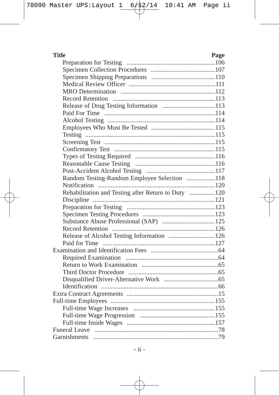| <b>Title</b>                                        | Page |
|-----------------------------------------------------|------|
|                                                     |      |
|                                                     |      |
|                                                     |      |
|                                                     |      |
|                                                     |      |
|                                                     |      |
|                                                     |      |
|                                                     |      |
|                                                     |      |
|                                                     |      |
|                                                     |      |
|                                                     |      |
|                                                     |      |
|                                                     |      |
|                                                     |      |
|                                                     |      |
| Random Testing-Random Employee Selection 118        |      |
|                                                     |      |
| Rehabilitation and Testing after Return to Duty 120 |      |
|                                                     |      |
|                                                     |      |
|                                                     |      |
|                                                     |      |
|                                                     |      |
| Release of Alcohol Testing Information 126          |      |
|                                                     |      |
|                                                     |      |
|                                                     |      |
|                                                     |      |
|                                                     |      |
|                                                     |      |
|                                                     |      |
|                                                     |      |
|                                                     |      |
|                                                     |      |
|                                                     |      |
|                                                     |      |
|                                                     |      |
| Garnishments                                        |      |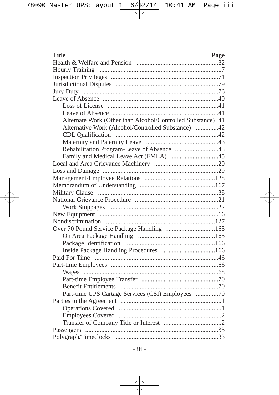| Title<br>Page                                               |
|-------------------------------------------------------------|
|                                                             |
|                                                             |
|                                                             |
|                                                             |
|                                                             |
|                                                             |
|                                                             |
|                                                             |
| Alternate Work (Other than Alcohol/Controlled Substance) 41 |
| Alternative Work (Alcohol/Controlled Substance) 42          |
|                                                             |
|                                                             |
|                                                             |
|                                                             |
|                                                             |
|                                                             |
|                                                             |
|                                                             |
|                                                             |
|                                                             |
|                                                             |
|                                                             |
|                                                             |
|                                                             |
|                                                             |
|                                                             |
|                                                             |
|                                                             |
|                                                             |
|                                                             |
|                                                             |
|                                                             |
| Part-time UPS Cartage Services (CSI) Employees 70           |
|                                                             |
|                                                             |
|                                                             |
|                                                             |
|                                                             |
|                                                             |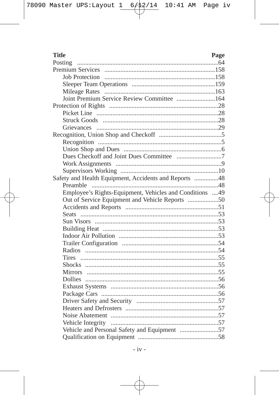| <b>Title</b>                                            | Page |
|---------------------------------------------------------|------|
|                                                         |      |
|                                                         |      |
|                                                         |      |
|                                                         |      |
|                                                         |      |
| Joint Premium Service Review Committee 164              |      |
|                                                         |      |
|                                                         |      |
|                                                         |      |
|                                                         |      |
|                                                         |      |
|                                                         |      |
|                                                         |      |
|                                                         |      |
|                                                         |      |
|                                                         |      |
| Safety and Health Equipment, Accidents and Reports 48   |      |
|                                                         |      |
| Employee's Rights-Equipment, Vehicles and Conditions 49 |      |
| Out of Service Equipment and Vehicle Reports 50         |      |
|                                                         |      |
|                                                         |      |
|                                                         |      |
|                                                         |      |
|                                                         |      |
|                                                         |      |
|                                                         |      |
|                                                         |      |
|                                                         |      |
|                                                         |      |
|                                                         |      |
|                                                         |      |
|                                                         |      |
|                                                         |      |
|                                                         |      |
|                                                         |      |
|                                                         |      |
|                                                         |      |
|                                                         |      |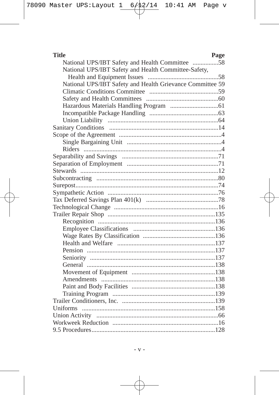| <b>Title</b><br>Page                                      |
|-----------------------------------------------------------|
|                                                           |
| National UPS/IBT Safety and Health Committee-Safety,      |
|                                                           |
| National UPS/IBT Safety and Health Grievance Committee 59 |
|                                                           |
|                                                           |
|                                                           |
|                                                           |
|                                                           |
|                                                           |
|                                                           |
|                                                           |
|                                                           |
|                                                           |
|                                                           |
|                                                           |
|                                                           |
|                                                           |
|                                                           |
|                                                           |
|                                                           |
|                                                           |
|                                                           |
|                                                           |
|                                                           |
|                                                           |
|                                                           |
|                                                           |
|                                                           |
|                                                           |
|                                                           |
|                                                           |
|                                                           |
|                                                           |
|                                                           |
|                                                           |
|                                                           |
|                                                           |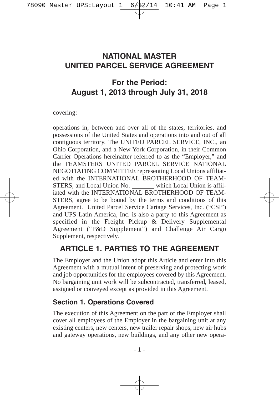## **NATIONAL MASTER UNITED PARCEL SERVICE AGREEMENT**

# **For the Period: August 1, 2013 through July 31, 2018**

covering:

operations in, between and over all of the states, territories, and possessions of the United States and operations into and out of all contiguous territory. The UNITED PARCEL SERVICE, INC., an Ohio Corporation, and a New York Corporation, in their Common Carrier Operations hereinafter referred to as the "Employer," and the TEAMSTERS UNITED PARCEL SERVICE NATIONAL NEGOTIATING COMMITTEE representing Local Unions affiliated with the INTERNATIONAL BROTHERHOOD OF TEAM-STERS, and Local Union No. which Local Union is affiliated with the INTERNATIONAL BROTHERHOOD OF TEAM-STERS, agree to be bound by the terms and conditions of this Agreement. United Parcel Service Cartage Services, Inc. ("CSI") and UPS Latin America, Inc. is also a party to this Agreement as specified in the Freight Pickup & Delivery Supplemental Agreement ("P&D Supplement") and Challenge Air Cargo Supplement, respectively.

# **ARTICLE 1. PARTIES TO THE AGREEMENT**

The Employer and the Union adopt this Article and enter into this Agreement with a mutual intent of preserving and protecting work and job opportunities for the employees covered by this Agreement. No bargaining unit work will be subcontracted, transferred, leased, assigned or conveyed except as provided in this Agreement.

#### **Section 1. Operations Covered**

The execution of this Agreement on the part of the Employer shall cover all employees of the Employer in the bargaining unit at any existing centers, new centers, new trailer repair shops, new air hubs and gateway operations, new buildings, and any other new opera-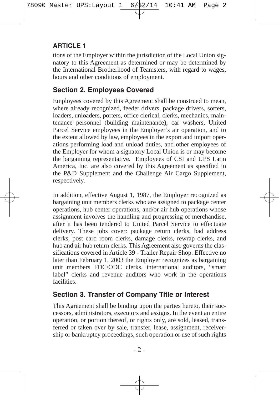tions of the Employer within the jurisdiction of the Local Union signatory to this Agreement as determined or may be determined by the International Brotherhood of Teamsters, with regard to wages, hours and other conditions of employment.

## **Section 2. Employees Covered**

Employees covered by this Agreement shall be construed to mean, where already recognized, feeder drivers, package drivers, sorters, loaders, unloaders, porters, office clerical, clerks, mechanics, maintenance personnel (building maintenance), car washers, United Parcel Service employees in the Employer's air operation, and to the extent allowed by law, employees in the export and import operations performing load and unload duties, and other employees of the Employer for whom a signatory Local Union is or may become the bargaining representative. Employees of CSI and UPS Latin America, Inc. are also covered by this Agreement as specified in the P&D Supplement and the Challenge Air Cargo Supplement, respectively.

In addition, effective August 1, 1987, the Employer recognized as bargaining unit members clerks who are assigned to package center operations, hub center operations, and/or air hub operations whose assignment involves the handling and progressing of merchandise, after it has been tendered to United Parcel Service to effectuate delivery. These jobs cover: package return clerks, bad address clerks, post card room clerks, damage clerks, rewrap clerks, and hub and air hub return clerks. This Agreement also governs the classifications covered in Article 39 - Trailer Repair Shop. Effective no later than February 1, 2003 the Employer recognizes as bargaining unit members FDC/ODC clerks, international auditors, "smart label" clerks and revenue auditors who work in the operations facilities.

## **Section 3. Transfer of Company Title or Interest**

This Agreement shall be binding upon the parties hereto, their successors, administrators, executors and assigns. In the event an entire operation, or portion thereof, or rights only, are sold, leased, transferred or taken over by sale, transfer, lease, assignment, receivership or bankruptcy proceedings, such operation or use of such rights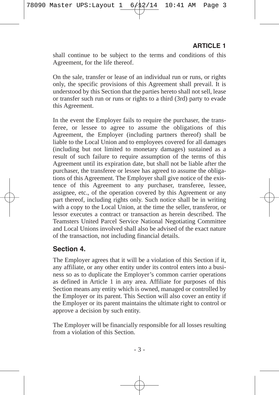shall continue to be subject to the terms and conditions of this Agreement, for the life thereof.

On the sale, transfer or lease of an individual run or runs, or rights only, the specific provisions of this Agreement shall prevail. It is understood by this Section that the parties hereto shall not sell, lease or transfer such run or runs or rights to a third (3rd) party to evade this Agreement.

In the event the Employer fails to require the purchaser, the transferee, or lessee to agree to assume the obligations of this Agreement, the Employer (including partners thereof) shall be liable to the Local Union and to employees covered for all damages (including but not limited to monetary damages) sustained as a result of such failure to require assumption of the terms of this Agreement until its expiration date, but shall not be liable after the purchaser, the transferee or lessee has agreed to assume the obligations of this Agreement. The Employer shall give notice of the existence of this Agreement to any purchaser, transferee, lessee, assignee, etc., of the operation covered by this Agreement or any part thereof, including rights only. Such notice shall be in writing with a copy to the Local Union, at the time the seller, transferor, or lessor executes a contract or transaction as herein described. The Teamsters United Parcel Service National Negotiating Committee and Local Unions involved shall also be advised of the exact nature of the transaction, not including financial details.

#### **Section 4.**

The Employer agrees that it will be a violation of this Section if it, any affiliate, or any other entity under its control enters into a business so as to duplicate the Employer's common carrier operations as defined in Article 1 in any area. Affiliate for purposes of this Section means any entity which is owned, managed or controlled by the Employer or its parent. This Section will also cover an entity if the Employer or its parent maintains the ultimate right to control or approve a decision by such entity.

The Employer will be financially responsible for all losses resulting from a violation of this Section.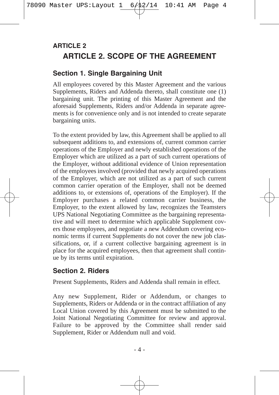# **ARTICLE 2. SCOPE OF THE AGREEMENT ARTICLE 2**

#### **Section 1. Single Bargaining Unit**

All employees covered by this Master Agreement and the various Supplements, Riders and Addenda thereto, shall constitute one (1) bargaining unit. The printing of this Master Agreement and the aforesaid Supplements, Riders and/or Addenda in separate agreements is for convenience only and is not intended to create separate bargaining units.

To the extent provided by law, this Agreement shall be applied to all subsequent additions to, and extensions of, current common carrier operations of the Employer and newly established operations of the Employer which are utilized as a part of such current operations of the Employer, without additional evidence of Union representation of the employees involved (provided that newly acquired operations of the Employer, which are not utilized as a part of such current common carrier operation of the Employer, shall not be deemed additions to, or extensions of, operations of the Employer). If the Employer purchases a related common carrier business, the Employer, to the extent allowed by law, recognizes the Teamsters UPS National Negotiating Committee as the bargaining representative and will meet to determine which applicable Supplement covers those employees, and negotiate a new Addendum covering economic terms if current Supplements do not cover the new job classifications, or, if a current collective bargaining agreement is in place for the acquired employees, then that agreement shall continue by its terms until expiration.

#### **Section 2. Riders**

Present Supplements, Riders and Addenda shall remain in effect.

Any new Supplement, Rider or Addendum, or changes to Supplements, Riders or Addenda or in the contract affiliation of any Local Union covered by this Agreement must be submitted to the Joint National Negotiating Committee for review and approval. Failure to be approved by the Committee shall render said Supplement, Rider or Addendum null and void.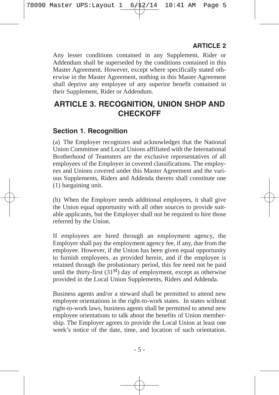Any lesser conditions contained in any Supplement, Rider or Addendum shall be superseded by the conditions contained in this Master Agreement. However, except where specifically stated otherwise in the Master Agreement, nothing in this Master Agreement shall deprive any employee of any superior benefit contained in their Supplement, Rider or Addendum.

# **ARTICLE 3. RECOGNITION, UNION SHOP AND CHECKOFF**

#### **Section 1. Recognition**

(a) The Employer recognizes and acknowledges that the National Union Committee and Local Unions affiliated with the International Brotherhood of Teamsters are the exclusive representatives of all employees of the Employer in covered classifications. The employees and Unions covered under this Master Agreement and the various Supplements, Riders and Addenda thereto shall constitute one (1) bargaining unit.

(b) When the Employer needs additional employees, it shall give the Union equal opportunity with all other sources to provide suitable applicants, but the Employer shall not be required to hire those referred by the Union.

If employees are hired through an employment agency, the Employer shall pay the employment agency fee, if any, due from the employee. However, if the Union has been given equal opportunity to furnish employees, as provided herein, and if the employee is retained through the probationary period, this fee need not be paid until the thirty-first  $(31<sup>st</sup>)$  day of employment, except as otherwise provided in the Local Union Supplements, Riders and Addenda.

Business agents and/or a steward shall be permitted to attend new employee orientations in the right-to-work states. In states without right-to-work laws, business agents shall be permitted to attend new employee orientations to talk about the benefits of Union membership. The Employer agrees to provide the Local Union at least one week's notice of the date, time, and location of such orientation.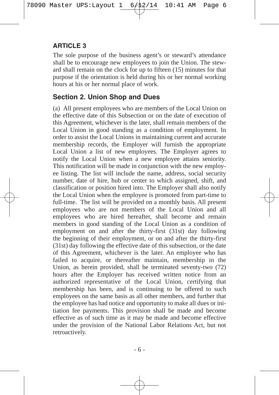The sole purpose of the business agent's or steward's attendance shall be to encourage new employees to join the Union. The steward shall remain on the clock for up to fifteen (15) minutes for that purpose if the orientation is held during his or her normal working hours at his or her normal place of work.

#### **Section 2. Union Shop and Dues**

(a) All present employees who are members of the Local Union on the effective date of this Subsection or on the date of execution of this Agreement, whichever is the later, shall remain members of the Local Union in good standing as a condition of employment. In order to assist the Local Unions in maintaining current and accurate membership records, the Employer will furnish the appropriate Local Union a list of new employees. The Employer agrees to notify the Local Union when a new employee attains seniority. This notification will be made in conjunction with the new employee listing. The list will include the name, address, social security number, date of hire, hub or center to which assigned, shift, and classification or position hired into. The Employer shall also notify the Local Union when the employee is promoted from part-time to full-time. The list will be provided on a monthly basis. All present employees who are not members of the Local Union and all employees who are hired hereafter, shall become and remain members in good standing of the Local Union as a condition of employment on and after the thirty-first (31st) day following the beginning of their employment, or on and after the thirty-first (31st) day following the effective date of this subsection, or the date of this Agreement, whichever is the later. An employee who has failed to acquire, or thereafter maintain, membership in the Union, as herein provided, shall be terminated seventy-two (72) hours after the Employer has received written notice from an authorized representative of the Local Union, certifying that membership has been, and is continuing to be offered to such employees on the same basis as all other members, and further that the employee has had notice and opportunity to make all dues or initiation fee payments. This provision shall be made and become effective as of such time as it may be made and become effective under the provision of the National Labor Relations Act, but not retroactively.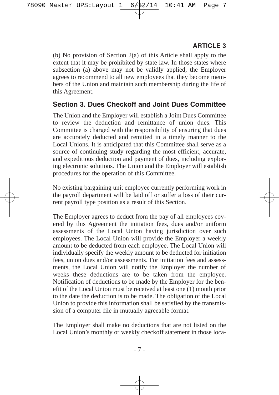(b) No provision of Section 2(a) of this Article shall apply to the extent that it may be prohibited by state law. In those states where subsection (a) above may not be validly applied, the Employer agrees to recommend to all new employees that they become members of the Union and maintain such membership during the life of this Agreement.

#### **Section 3. Dues Checkoff and Joint Dues Committee**

The Union and the Employer will establish a Joint Dues Committee to review the deduction and remittance of union dues. This Committee is charged with the responsibility of ensuring that dues are accurately deducted and remitted in a timely manner to the Local Unions. It is anticipated that this Committee shall serve as a source of continuing study regarding the most efficient, accurate, and expeditious deduction and payment of dues, including exploring electronic solutions. The Union and the Employer will establish procedures for the operation of this Committee.

No existing bargaining unit employee currently performing work in the payroll department will be laid off or suffer a loss of their current payroll type position as a result of this Section.

The Employer agrees to deduct from the pay of all employees covered by this Agreement the initiation fees, dues and/or uniform assessments of the Local Union having jurisdiction over such employees. The Local Union will provide the Employer a weekly amount to be deducted from each employee. The Local Union will individually specify the weekly amount to be deducted for initiation fees, union dues and/or assessments. For initiation fees and assessments, the Local Union will notify the Employer the number of weeks these deductions are to be taken from the employee. Notification of deductions to be made by the Employer for the benefit of the Local Union must be received at least one (1) month prior to the date the deduction is to be made. The obligation of the Local Union to provide this information shall be satisfied by the transmission of a computer file in mutually agreeable format.

The Employer shall make no deductions that are not listed on the Local Union's monthly or weekly checkoff statement in those loca-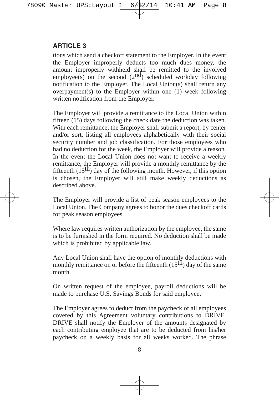tions which send a checkoff statement to the Employer. In the event the Employer improperly deducts too much dues money, the amount improperly withheld shall be remitted to the involved employee(s) on the second  $(2<sup>nd</sup>)$  scheduled workday following notification to the Employer. The Local Union(s) shall return any overpayment(s) to the Employer within one (1) week following written notification from the Employer.

The Employer will provide a remittance to the Local Union within fifteen (15) days following the check date the deduction was taken. With each remittance, the Employer shall submit a report, by center and/or sort, listing all employees alphabetically with their social security number and job classification. For those employees who had no deduction for the week, the Employer will provide a reason. In the event the Local Union does not want to receive a weekly remittance, the Employer will provide a monthly remittance by the fifteenth  $(15<sup>th</sup>)$  day of the following month. However, if this option is chosen, the Employer will still make weekly deductions as described above.

The Employer will provide a list of peak season employees to the Local Union. The Company agrees to honor the dues checkoff cards for peak season employees.

Where law requires written authorization by the employee, the same is to be furnished in the form required. No deduction shall be made which is prohibited by applicable law.

Any Local Union shall have the option of monthly deductions with monthly remittance on or before the fifteenth  $(15^{t}h)$  day of the same month.

On written request of the employee, payroll deductions will be made to purchase U.S. Savings Bonds for said employee.

The Employer agrees to deduct from the paycheck of all employees covered by this Agreement voluntary contributions to DRIVE. DRIVE shall notify the Employer of the amounts designated by each contributing employee that are to be deducted from his/her paycheck on a weekly basis for all weeks worked. The phrase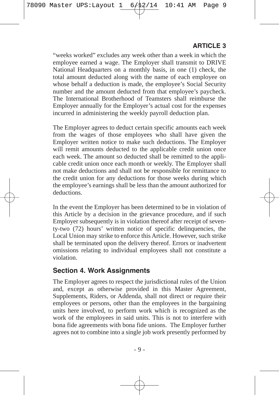"weeks worked" excludes any week other than a week in which the employee earned a wage. The Employer shall transmit to DRIVE National Headquarters on a monthly basis, in one (1) check, the total amount deducted along with the name of each employee on whose behalf a deduction is made, the employee's Social Security number and the amount deducted from that employee's paycheck. The International Brotherhood of Teamsters shall reimburse the Employer annually for the Employer's actual cost for the expenses incurred in administering the weekly payroll deduction plan.

The Employer agrees to deduct certain specific amounts each week from the wages of those employees who shall have given the Employer written notice to make such deductions. The Employer will remit amounts deducted to the applicable credit union once each week. The amount so deducted shall be remitted to the applicable credit union once each month or weekly. The Employer shall not make deductions and shall not be responsible for remittance to the credit union for any deductions for those weeks during which the employee's earnings shall be less than the amount authorized for deductions.

In the event the Employer has been determined to be in violation of this Article by a decision in the grievance procedure, and if such Employer subsequently is in violation thereof after receipt of seventy-two (72) hours' written notice of specific delinquencies, the Local Union may strike to enforce this Article. However, such strike shall be terminated upon the delivery thereof. Errors or inadvertent omissions relating to individual employees shall not constitute a violation.

#### **Section 4. Work Assignments**

The Employer agrees to respect the jurisdictional rules of the Union and, except as otherwise provided in this Master Agreement, Supplements, Riders, or Addenda, shall not direct or require their employees or persons, other than the employees in the bargaining units here involved, to perform work which is recognized as the work of the employees in said units. This is not to interfere with bona fide agreements with bona fide unions. The Employer further agrees not to combine into a single job work presently performed by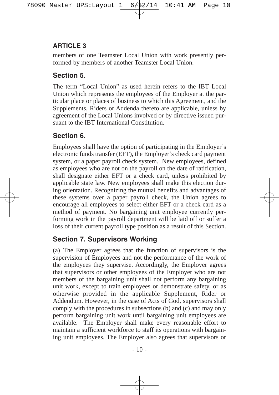members of one Teamster Local Union with work presently performed by members of another Teamster Local Union.

## **Section 5.**

The term "Local Union" as used herein refers to the IBT Local Union which represents the employees of the Employer at the particular place or places of business to which this Agreement, and the Supplements, Riders or Addenda thereto are applicable, unless by agreement of the Local Unions involved or by directive issued pursuant to the IBT International Constitution.

# **Section 6.**

Employees shall have the option of participating in the Employer's electronic funds transfer (EFT), the Employer's check card payment system, or a paper payroll check system. New employees, defined as employees who are not on the payroll on the date of ratification, shall designate either EFT or a check card, unless prohibited by applicable state law. New employees shall make this election during orientation. Recognizing the mutual benefits and advantages of these systems over a paper payroll check, the Union agrees to encourage all employees to select either EFT or a check card as a method of payment. No bargaining unit employee currently performing work in the payroll department will be laid off or suffer a loss of their current payroll type position as a result of this Section.

## **Section 7. Supervisors Working**

(a) The Employer agrees that the function of supervisors is the supervision of Employees and not the performance of the work of the employees they supervise. Accordingly, the Employer agrees that supervisors or other employees of the Employer who are not members of the bargaining unit shall not perform any bargaining unit work, except to train employees or demonstrate safety, or as otherwise provided in the applicable Supplement, Rider or Addendum. However, in the case of Acts of God, supervisors shall comply with the procedures in subsections (b) and (c) and may only perform bargaining unit work until bargaining unit employees are available. The Employer shall make every reasonable effort to maintain a sufficient workforce to staff its operations with bargaining unit employees. The Employer also agrees that supervisors or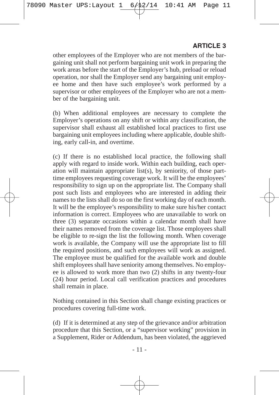other employees of the Employer who are not members of the bargaining unit shall not perform bargaining unit work in preparing the work areas before the start of the Employer's hub, preload or reload operation, nor shall the Employer send any bargaining unit employee home and then have such employee's work performed by a supervisor or other employees of the Employer who are not a member of the bargaining unit.

(b) When additional employees are necessary to complete the Employer's operations on any shift or within any classification, the supervisor shall exhaust all established local practices to first use bargaining unit employees including where applicable, double shifting, early call-in, and overtime.

(c) If there is no established local practice, the following shall apply with regard to inside work. Within each building, each operation will maintain appropriate list(s), by seniority, of those parttime employees requesting coverage work. It will be the employees' responsibility to sign up on the appropriate list. The Company shall post such lists and employees who are interested in adding their names to the lists shall do so on the first working day of each month. It will be the employee's responsibility to make sure his/her contact information is correct. Employees who are unavailable to work on three (3) separate occasions within a calendar month shall have their names removed from the coverage list. Those employees shall be eligible to re-sign the list the following month. When coverage work is available, the Company will use the appropriate list to fill the required positions, and such employees will work as assigned. The employee must be qualified for the available work and double shift employees shall have seniority among themselves. No employee is allowed to work more than two (2) shifts in any twenty-four (24) hour period. Local call verification practices and procedures shall remain in place.

Nothing contained in this Section shall change existing practices or procedures covering full-time work.

(d) If it is determined at any step of the grievance and/or arbitration procedure that this Section, or a "supervisor working" provision in a Supplement, Rider or Addendum, has been violated, the aggrieved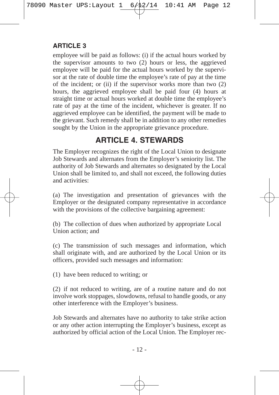employee will be paid as follows: (i) if the actual hours worked by the supervisor amounts to two (2) hours or less, the aggrieved employee will be paid for the actual hours worked by the supervisor at the rate of double time the employee's rate of pay at the time of the incident; or (ii) if the supervisor works more than two (2) hours, the aggrieved employee shall be paid four (4) hours at straight time or actual hours worked at double time the employee's rate of pay at the time of the incident, whichever is greater. If no aggrieved employee can be identified, the payment will be made to the grievant. Such remedy shall be in addition to any other remedies sought by the Union in the appropriate grievance procedure.

# **ARTICLE 4. STEWARDS**

The Employer recognizes the right of the Local Union to designate Job Stewards and alternates from the Employer's seniority list. The authority of Job Stewards and alternates so designated by the Local Union shall be limited to, and shall not exceed, the following duties and activities:

(a) The investigation and presentation of grievances with the Employer or the designated company representative in accordance with the provisions of the collective bargaining agreement:

(b) The collection of dues when authorized by appropriate Local Union action; and

(c) The transmission of such messages and information, which shall originate with, and are authorized by the Local Union or its officers, provided such messages and information:

(1) have been reduced to writing; or

(2) if not reduced to writing, are of a routine nature and do not involve work stoppages, slowdowns, refusal to handle goods, or any other interference with the Employer's business.

Job Stewards and alternates have no authority to take strike action or any other action interrupting the Employer's business, except as authorized by official action of the Local Union. The Employer rec-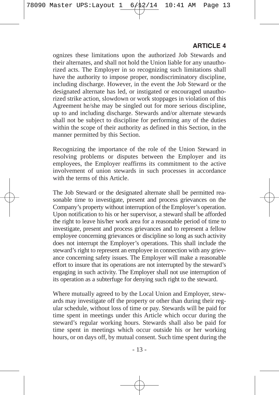ognizes these limitations upon the authorized Job Stewards and their alternates, and shall not hold the Union liable for any unauthorized acts. The Employer in so recognizing such limitations shall have the authority to impose proper, nondiscriminatory discipline, including discharge. However, in the event the Job Steward or the designated alternate has led, or instigated or encouraged unauthorized strike action, slowdown or work stoppages in violation of this Agreement he/she may be singled out for more serious discipline, up to and including discharge. Stewards and/or alternate stewards shall not be subject to discipline for performing any of the duties within the scope of their authority as defined in this Section, in the manner permitted by this Section.

Recognizing the importance of the role of the Union Steward in resolving problems or disputes between the Employer and its employees, the Employer reaffirms its commitment to the active involvement of union stewards in such processes in accordance with the terms of this Article.

The Job Steward or the designated alternate shall be permitted reasonable time to investigate, present and process grievances on the Company's property without interruption of the Employer's operation. Upon notification to his or her supervisor, a steward shall be afforded the right to leave his/her work area for a reasonable period of time to investigate, present and process grievances and to represent a fellow employee concerning grievances or discipline so long as such activity does not interrupt the Employer's operations. This shall include the steward's right to represent an employee in connection with any grievance concerning safety issues. The Employer will make a reasonable effort to insure that its operations are not interrupted by the steward's engaging in such activity. The Employer shall not use interruption of its operation as a subterfuge for denying such right to the steward.

Where mutually agreed to by the Local Union and Employer, stewards may investigate off the property or other than during their regular schedule, without loss of time or pay. Stewards will be paid for time spent in meetings under this Article which occur during the steward's regular working hours. Stewards shall also be paid for time spent in meetings which occur outside his or her working hours, or on days off, by mutual consent. Such time spent during the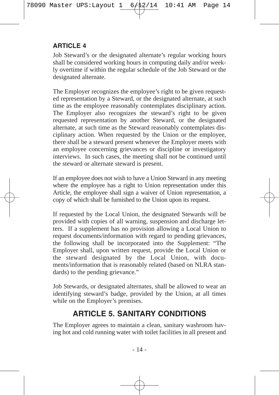Job Steward's or the designated alternate's regular working hours shall be considered working hours in computing daily and/or weekly overtime if within the regular schedule of the Job Steward or the designated alternate.

The Employer recognizes the employee's right to be given requested representation by a Steward, or the designated alternate, at such time as the employee reasonably contemplates disciplinary action. The Employer also recognizes the steward's right to be given requested representation by another Steward, or the designated alternate, at such time as the Steward reasonably contemplates disciplinary action. When requested by the Union or the employee, there shall be a steward present whenever the Employer meets with an employee concerning grievances or discipline or investigatory interviews. In such cases, the meeting shall not be continued until the steward or alternate steward is present.

If an employee does not wish to have a Union Steward in any meeting where the employee has a right to Union representation under this Article, the employee shall sign a waiver of Union representation, a copy of which shall be furnished to the Union upon its request.

If requested by the Local Union, the designated Stewards will be provided with copies of all warning, suspension and discharge letters. If a supplement has no provision allowing a Local Union to request documents/information with regard to pending grievances, the following shall be incorporated into the Supplement: "The Employer shall, upon written request, provide the Local Union or the steward designated by the Local Union, with documents/information that is reasonably related (based on NLRA standards) to the pending grievance."

Job Stewards, or designated alternates, shall be allowed to wear an identifying steward's badge, provided by the Union, at all times while on the Employer's premises.

# **ARTICLE 5. SANITARY CONDITIONS**

The Employer agrees to maintain a clean, sanitary washroom having hot and cold running water with toilet facilities in all present and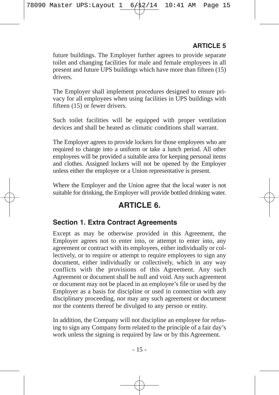future buildings. The Employer further agrees to provide separate toilet and changing facilities for male and female employees in all present and future UPS buildings which have more than fifteen (15) drivers.

The Employer shall implement procedures designed to ensure privacy for all employees when using facilities in UPS buildings with fifteen (15) or fewer drivers.

Such toilet facilities will be equipped with proper ventilation devices and shall be heated as climatic conditions shall warrant.

The Employer agrees to provide lockers for those employees who are required to change into a uniform or take a lunch period. All other employees will be provided a suitable area for keeping personal items and clothes. Assigned lockers will not be opened by the Employer unless either the employee or a Union representative is present.

Where the Employer and the Union agree that the local water is not suitable for drinking, the Employer will provide bottled drinking water.

# **ARTICLE 6.**

#### **Section 1. Extra Contract Agreements**

Except as may be otherwise provided in this Agreement, the Employer agrees not to enter into, or attempt to enter into, any agreement or contract with its employees, either individually or collectively, or to require or attempt to require employees to sign any document, either individually or collectively, which in any way conflicts with the provisions of this Agreement. Any such Agreement or document shall be null and void. Any such agreement or document may not be placed in an employee's file or used by the Employer as a basis for discipline or used in connection with any disciplinary proceeding, nor may any such agreement or document nor the contents thereof be divulged to any person or entity.

In addition, the Company will not discipline an employee for refusing to sign any Company form related to the principle of a fair day's work unless the signing is required by law or by this Agreement.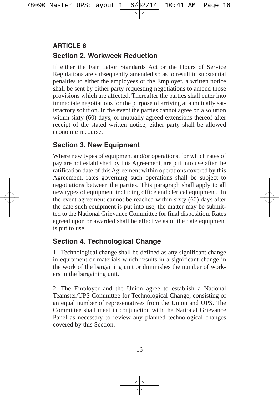## **Section 2. Workweek Reduction ARTICLE 6**

If either the Fair Labor Standards Act or the Hours of Service Regulations are subsequently amended so as to result in substantial penalties to either the employees or the Employer, a written notice shall be sent by either party requesting negotiations to amend those provisions which are affected. Thereafter the parties shall enter into immediate negotiations for the purpose of arriving at a mutually satisfactory solution. In the event the parties cannot agree on a solution within sixty (60) days, or mutually agreed extensions thereof after receipt of the stated written notice, either party shall be allowed economic recourse.

#### **Section 3. New Equipment**

Where new types of equipment and/or operations, for which rates of pay are not established by this Agreement, are put into use after the ratification date of this Agreement within operations covered by this Agreement, rates governing such operations shall be subject to negotiations between the parties. This paragraph shall apply to all new types of equipment including office and clerical equipment. In the event agreement cannot be reached within sixty (60) days after the date such equipment is put into use, the matter may be submitted to the National Grievance Committee for final disposition. Rates agreed upon or awarded shall be effective as of the date equipment is put to use.

#### **Section 4. Technological Change**

1. Technological change shall be defined as any significant change in equipment or materials which results in a significant change in the work of the bargaining unit or diminishes the number of workers in the bargaining unit.

2. The Employer and the Union agree to establish a National Teamster/UPS Committee for Technological Change, consisting of an equal number of representatives from the Union and UPS. The Committee shall meet in conjunction with the National Grievance Panel as necessary to review any planned technological changes covered by this Section.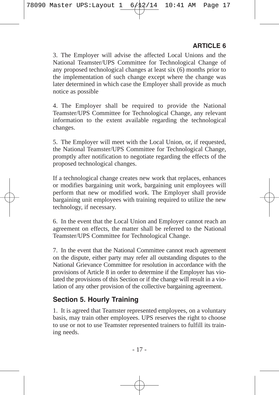3. The Employer will advise the affected Local Unions and the National Teamster/UPS Committee for Technological Change of any proposed technological changes at least six (6) months prior to the implementation of such change except where the change was later determined in which case the Employer shall provide as much notice as possible

4. The Employer shall be required to provide the National Teamster/UPS Committee for Technological Change, any relevant information to the extent available regarding the technological changes.

5. The Employer will meet with the Local Union, or, if requested, the National Teamster/UPS Committee for Technological Change, promptly after notification to negotiate regarding the effects of the proposed technological changes.

If a technological change creates new work that replaces, enhances or modifies bargaining unit work, bargaining unit employees will perform that new or modified work. The Employer shall provide bargaining unit employees with training required to utilize the new technology, if necessary.

6. In the event that the Local Union and Employer cannot reach an agreement on effects, the matter shall be referred to the National Teamster/UPS Committee for Technological Change.

7. In the event that the National Committee cannot reach agreement on the dispute, either party may refer all outstanding disputes to the National Grievance Committee for resolution in accordance with the provisions of Article 8 in order to determine if the Employer has violated the provisions of this Section or if the change will result in a violation of any other provision of the collective bargaining agreement.

#### **Section 5. Hourly Training**

1. It is agreed that Teamster represented employees, on a voluntary basis, may train other employees. UPS reserves the right to choose to use or not to use Teamster represented trainers to fulfill its training needs.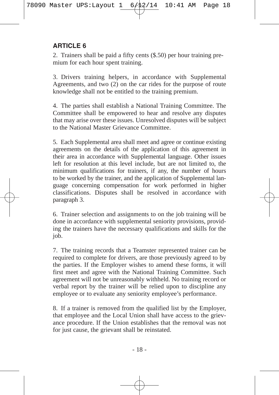2. Trainers shall be paid a fifty cents (\$.50) per hour training premium for each hour spent training.

3. Drivers training helpers, in accordance with Supplemental Agreements, and two (2) on the car rides for the purpose of route knowledge shall not be entitled to the training premium.

4. The parties shall establish a National Training Committee. The Committee shall be empowered to hear and resolve any disputes that may arise over these issues. Unresolved disputes will be subject to the National Master Grievance Committee.

5. Each Supplemental area shall meet and agree or continue existing agreements on the details of the application of this agreement in their area in accordance with Supplemental language. Other issues left for resolution at this level include, but are not limited to, the minimum qualifications for trainers, if any, the number of hours to be worked by the trainer, and the application of Supplemental language concerning compensation for work performed in higher classifications. Disputes shall be resolved in accordance with paragraph 3.

6. Trainer selection and assignments to on the job training will be done in accordance with supplemental seniority provisions, providing the trainers have the necessary qualifications and skills for the job.

7. The training records that a Teamster represented trainer can be required to complete for drivers, are those previously agreed to by the parties. If the Employer wishes to amend these forms, it will first meet and agree with the National Training Committee. Such agreement will not be unreasonably withheld. No training record or verbal report by the trainer will be relied upon to discipline any employee or to evaluate any seniority employee's performance.

8. If a trainer is removed from the qualified list by the Employer, that employee and the Local Union shall have access to the grievance procedure. If the Union establishes that the removal was not for just cause, the grievant shall be reinstated.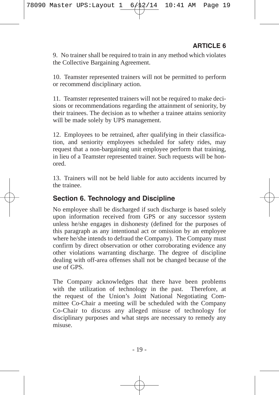9. No trainer shall be required to train in any method which violates the Collective Bargaining Agreement.

10. Teamster represented trainers will not be permitted to perform or recommend disciplinary action.

11. Teamster represented trainers will not be required to make decisions or recommendations regarding the attainment of seniority, by their trainees. The decision as to whether a trainee attains seniority will be made solely by UPS management.

12. Employees to be retrained, after qualifying in their classification, and seniority employees scheduled for safety rides, may request that a non-bargaining unit employee perform that training, in lieu of a Teamster represented trainer. Such requests will be honored.

13. Trainers will not be held liable for auto accidents incurred by the trainee.

#### **Section 6. Technology and Discipline**

No employee shall be discharged if such discharge is based solely upon information received from GPS or any successor system unless he/she engages in dishonesty (defined for the purposes of this paragraph as any intentional act or omission by an employee where he/she intends to defraud the Company). The Company must confirm by direct observation or other corroborating evidence any other violations warranting discharge. The degree of discipline dealing with off-area offenses shall not be changed because of the use of GPS.

The Company acknowledges that there have been problems with the utilization of technology in the past. Therefore, at the request of the Union's Joint National Negotiating Committee Co-Chair a meeting will be scheduled with the Company Co-Chair to discuss any alleged misuse of technology for disciplinary purposes and what steps are necessary to remedy any misuse.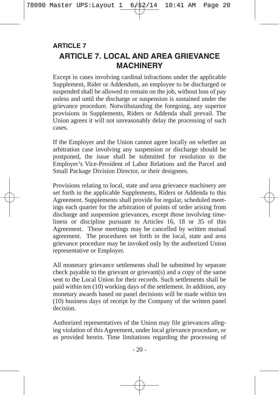# **ARTICLE 7. LOCAL AND AREA GRIEVANCE MACHINERY ARTICLE 7**

Except in cases involving cardinal infractions under the applicable Supplement, Rider or Addendum, an employee to be discharged or suspended shall be allowed to remain on the job, without loss of pay unless and until the discharge or suspension is sustained under the grievance procedure. Notwithstanding the foregoing, any superior provisions in Supplements, Riders or Addenda shall prevail. The Union agrees it will not unreasonably delay the processing of such cases.

If the Employer and the Union cannot agree locally on whether an arbitration case involving any suspension or discharge should be postponed, the issue shall be submitted for resolution to the Employer's Vice-President of Labor Relations and the Parcel and Small Package Division Director, or their designees.

Provisions relating to local, state and area grievance machinery are set forth in the applicable Supplements, Riders or Addenda to this Agreement. Supplements shall provide for regular, scheduled meetings each quarter for the arbitration of points of order arising from discharge and suspension grievances, except those involving timeliness or discipline pursuant to Articles 16, 18 or 35 of this Agreement. These meetings may be cancelled by written mutual agreement. The procedures set forth in the local, state and area grievance procedure may be invoked only by the authorized Union representative or Employer.

All monetary grievance settlements shall be submitted by separate check payable to the grievant or grievant(s) and a copy of the same sent to the Local Union for their records. Such settlements shall be paid within ten (10) working days of the settlement. In addition, any monetary awards based on panel decisions will be made within ten (10) business days of receipt by the Company of the written panel decision.

Authorized representatives of the Union may file grievances alleging violation of this Agreement, under local grievance procedure, or as provided herein. Time limitations regarding the processing of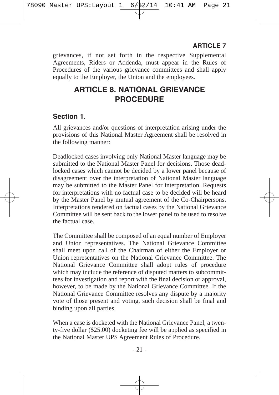grievances, if not set forth in the respective Supplemental Agreements, Riders or Addenda, must appear in the Rules of Procedures of the various grievance committees and shall apply equally to the Employer, the Union and the employees.

# **ARTICLE 8. NATIONAL GRIEVANCE PROCEDURE**

## **Section 1.**

All grievances and/or questions of interpretation arising under the provisions of this National Master Agreement shall be resolved in the following manner:

Deadlocked cases involving only National Master language may be submitted to the National Master Panel for decisions. Those deadlocked cases which cannot be decided by a lower panel because of disagreement over the interpretation of National Master language may be submitted to the Master Panel for interpretation. Requests for interpretations with no factual case to be decided will be heard by the Master Panel by mutual agreement of the Co-Chairpersons. Interpretations rendered on factual cases by the National Grievance Committee will be sent back to the lower panel to be used to resolve the factual case.

The Committee shall be composed of an equal number of Employer and Union representatives. The National Grievance Committee shall meet upon call of the Chairman of either the Employer or Union representatives on the National Grievance Committee. The National Grievance Committee shall adopt rules of procedure which may include the reference of disputed matters to subcommittees for investigation and report with the final decision or approval, however, to be made by the National Grievance Committee. If the National Grievance Committee resolves any dispute by a majority vote of those present and voting, such decision shall be final and binding upon all parties.

When a case is docketed with the National Grievance Panel, a twenty-five dollar (\$25.00) docketing fee will be applied as specified in the National Master UPS Agreement Rules of Procedure.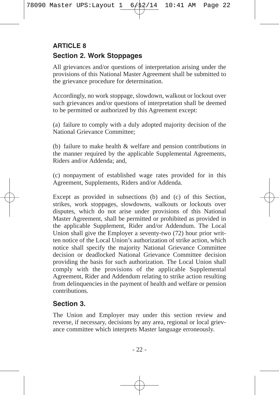## **Section 2. Work Stoppages ARTICLE 8**

All grievances and/or questions of interpretation arising under the provisions of this National Master Agreement shall be submitted to the grievance procedure for determination.

Accordingly, no work stoppage, slowdown, walkout or lockout over such grievances and/or questions of interpretation shall be deemed to be permitted or authorized by this Agreement except:

(a) failure to comply with a duly adopted majority decision of the National Grievance Committee;

(b) failure to make health & welfare and pension contributions in the manner required by the applicable Supplemental Agreements, Riders and/or Addenda; and,

(c) nonpayment of established wage rates provided for in this Agreement, Supplements, Riders and/or Addenda.

Except as provided in subsections (b) and (c) of this Section, strikes, work stoppages, slowdowns, walkouts or lockouts over disputes, which do not arise under provisions of this National Master Agreement, shall be permitted or prohibited as provided in the applicable Supplement, Rider and/or Addendum. The Local Union shall give the Employer a seventy-two (72) hour prior written notice of the Local Union's authorization of strike action, which notice shall specify the majority National Grievance Committee decision or deadlocked National Grievance Committee decision providing the basis for such authorization. The Local Union shall comply with the provisions of the applicable Supplemental Agreement, Rider and Addendum relating to strike action resulting from delinquencies in the payment of health and welfare or pension contributions.

## **Section 3.**

The Union and Employer may under this section review and reverse, if necessary, decisions by any area, regional or local grievance committee which interprets Master language erroneously.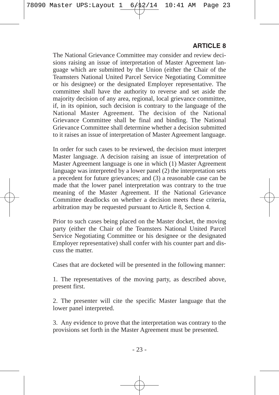The National Grievance Committee may consider and review decisions raising an issue of interpretation of Master Agreement language which are submitted by the Union (either the Chair of the Teamsters National United Parcel Service Negotiating Committee or his designee) or the designated Employer representative. The committee shall have the authority to reverse and set aside the majority decision of any area, regional, local grievance committee, if, in its opinion, such decision is contrary to the language of the National Master Agreement. The decision of the National Grievance Committee shall be final and binding. The National Grievance Committee shall determine whether a decision submitted to it raises an issue of interpretation of Master Agreement language.

In order for such cases to be reviewed, the decision must interpret Master language. A decision raising an issue of interpretation of Master Agreement language is one in which (1) Master Agreement language was interpreted by a lower panel (2) the interpretation sets a precedent for future grievances; and (3) a reasonable case can be made that the lower panel interpretation was contrary to the true meaning of the Master Agreement. If the National Grievance Committee deadlocks on whether a decision meets these criteria, arbitration may be requested pursuant to Article 8, Section 4.

Prior to such cases being placed on the Master docket, the moving party (either the Chair of the Teamsters National United Parcel Service Negotiating Committee or his designee or the designated Employer representative) shall confer with his counter part and discuss the matter.

Cases that are docketed will be presented in the following manner:

1. The representatives of the moving party, as described above, present first.

2. The presenter will cite the specific Master language that the lower panel interpreted.

3. Any evidence to prove that the interpretation was contrary to the provisions set forth in the Master Agreement must be presented.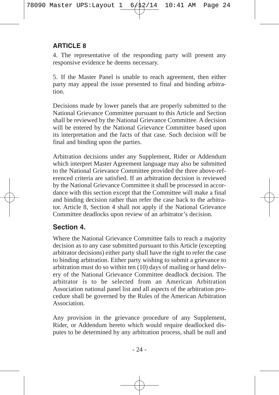4. The representative of the responding party will present any responsive evidence he deems necessary.

5. If the Master Panel is unable to reach agreement, then either party may appeal the issue presented to final and binding arbitration.

Decisions made by lower panels that are properly submitted to the National Grievance Committee pursuant to this Article and Section shall be reviewed by the National Grievance Committee. A decision will be entered by the National Grievance Committee based upon its interpretation and the facts of that case. Such decision will be final and binding upon the parties.

Arbitration decisions under any Supplement, Rider or Addendum which interpret Master Agreement language may also be submitted to the National Grievance Committee provided the three above-referenced criteria are satisfied. If an arbitration decision is reviewed by the National Grievance Committee it shall be processed in accordance with this section except that the Committee will make a final and binding decision rather than refer the case back to the arbitrator. Article 8, Section 4 shall not apply if the National Grievance Committee deadlocks upon review of an arbitrator's decision.

## **Section 4.**

Where the National Grievance Committee fails to reach a majority decision as to any case submitted pursuant to this Article (excepting arbitrator decisions) either party shall have the right to refer the case to binding arbitration. Either party wishing to submit a grievance to arbitration must do so within ten (10) days of mailing or hand delivery of the National Grievance Committee deadlock decision. The arbitrator is to be selected from an American Arbitration Association national panel list and all aspects of the arbitration procedure shall be governed by the Rules of the American Arbitration Association.

Any provision in the grievance procedure of any Supplement, Rider, or Addendum hereto which would require deadlocked disputes to be determined by any arbitration process, shall be null and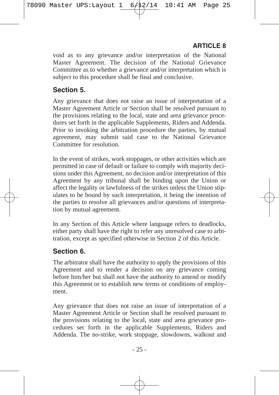void as to any grievance and/or interpretation of the National Master Agreement. The decision of the National Grievance Committee as to whether a grievance and/or interpretation which is subject to this procedure shall be final and conclusive.

#### **Section 5.**

Any grievance that does not raise an issue of interpretation of a Master Agreement Article or Section shall be resolved pursuant to the provisions relating to the local, state and area grievance procedures set forth in the applicable Supplements, Riders and Addenda. Prior to invoking the arbitration procedure the parties, by mutual agreement, may submit said case to the National Grievance Committee for resolution.

In the event of strikes, work stoppages, or other activities which are permitted in case of default or failure to comply with majority decisions under this Agreement, no decision and/or interpretation of this Agreement by any tribunal shall be binding upon the Union or affect the legality or lawfulness of the strikes unless the Union stipulates to be bound by such interpretation, it being the intention of the parties to resolve all grievances and/or questions of interpretation by mutual agreement.

In any Section of this Article where language refers to deadlocks, either party shall have the right to refer any unresolved case to arbitration, except as specified otherwise in Section 2 of this Article.

## **Section 6.**

The arbitrator shall have the authority to apply the provisions of this Agreement and to render a decision on any grievance coming before him/her but shall not have the authority to amend or modify this Agreement or to establish new terms or conditions of employment.

Any grievance that does not raise an issue of interpretation of a Master Agreement Article or Section shall be resolved pursuant to the provisions relating to the local, state and area grievance procedures set forth in the applicable Supplements, Riders and Addenda. The no-strike, work stoppage, slowdowns, walkout and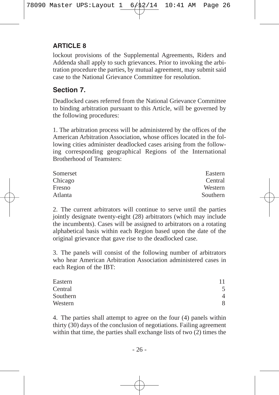lockout provisions of the Supplemental Agreements, Riders and Addenda shall apply to such grievances. Prior to invoking the arbitration procedure the parties, by mutual agreement, may submit said case to the National Grievance Committee for resolution.

#### **Section 7.**

Deadlocked cases referred from the National Grievance Committee to binding arbitration pursuant to this Article, will be governed by the following procedures:

1. The arbitration process will be administered by the offices of the American Arbitration Association, whose offices located in the following cities administer deadlocked cases arising from the following corresponding geographical Regions of the International Brotherhood of Teamsters:

| Somerset | Eastern  |
|----------|----------|
| Chicago  | Central  |
| Fresno   | Western  |
| Atlanta  | Southern |

2. The current arbitrators will continue to serve until the parties jointly designate twenty-eight (28) arbitrators (which may include the incumbents). Cases will be assigned to arbitrators on a rotating alphabetical basis within each Region based upon the date of the original grievance that gave rise to the deadlocked case.

3. The panels will consist of the following number of arbitrators who hear American Arbitration Association administered cases in each Region of the IBT:

| Eastern  | 11 |
|----------|----|
| Central  | 5  |
| Southern | 4  |
| Western  | 8  |

4. The parties shall attempt to agree on the four (4) panels within thirty  $(30)$  days of the conclusion of negotiations. Failing agreement within that time, the parties shall exchange lists of two (2) times the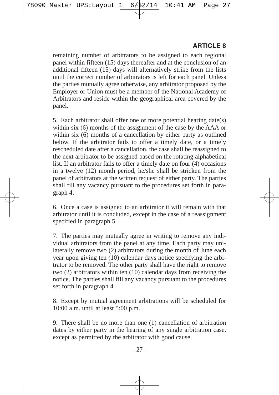remaining number of arbitrators to be assigned to each regional panel within fifteen (15) days thereafter and at the conclusion of an additional fifteen (15) days will alternatively strike from the lists until the correct number of arbitrators is left for each panel. Unless the parties mutually agree otherwise, any arbitrator proposed by the Employer or Union must be a member of the National Academy of Arbitrators and reside within the geographical area covered by the panel.

5. Each arbitrator shall offer one or more potential hearing date(s) within six (6) months of the assignment of the case by the AAA or within six (6) months of a cancellation by either party as outlined below. If the arbitrator fails to offer a timely date, or a timely rescheduled date after a cancellation, the case shall be reassigned to the next arbitrator to be assigned based on the rotating alphabetical list. If an arbitrator fails to offer a timely date on four (4) occasions in a twelve (12) month period, he/she shall be stricken from the panel of arbitrators at the written request of either party. The parties shall fill any vacancy pursuant to the procedures set forth in paragraph 4.

6. Once a case is assigned to an arbitrator it will remain with that arbitrator until it is concluded, except in the case of a reassignment specified in paragraph 5.

7. The parties may mutually agree in writing to remove any individual arbitrators from the panel at any time. Each party may unilaterally remove two (2) arbitrators during the month of June each year upon giving ten (10) calendar days notice specifying the arbitrator to be removed. The other party shall have the right to remove two  $(2)$  arbitrators within ten  $(10)$  calendar days from receiving the notice. The parties shall fill any vacancy pursuant to the procedures set forth in paragraph 4.

8. Except by mutual agreement arbitrations will be scheduled for 10:00 a.m. until at least 5:00 p.m.

9. There shall be no more than one (1) cancellation of arbitration dates by either party in the hearing of any single arbitration case, except as permitted by the arbitrator with good cause.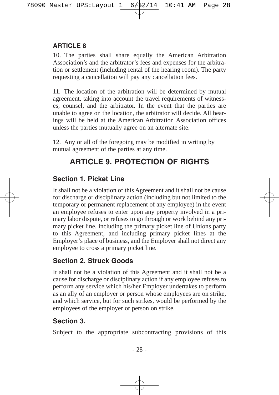10. The parties shall share equally the American Arbitration Association's and the arbitrator's fees and expenses for the arbitration or settlement (including rental of the hearing room). The party requesting a cancellation will pay any cancellation fees.

11. The location of the arbitration will be determined by mutual agreement, taking into account the travel requirements of witnesses, counsel, and the arbitrator. In the event that the parties are unable to agree on the location, the arbitrator will decide. All hearings will be held at the American Arbitration Association offices unless the parties mutually agree on an alternate site.

12. Any or all of the foregoing may be modified in writing by mutual agreement of the parties at any time.

# **ARTICLE 9. PROTECTION OF RIGHTS**

## **Section 1. Picket Line**

It shall not be a violation of this Agreement and it shall not be cause for discharge or disciplinary action (including but not limited to the temporary or permanent replacement of any employee) in the event an employee refuses to enter upon any property involved in a primary labor dispute, or refuses to go through or work behind any primary picket line, including the primary picket line of Unions party to this Agreement, and including primary picket lines at the Employer's place of business, and the Employer shall not direct any employee to cross a primary picket line.

## **Section 2. Struck Goods**

It shall not be a violation of this Agreement and it shall not be a cause for discharge or disciplinary action if any employee refuses to perform any service which his/her Employer undertakes to perform as an ally of an employer or person whose employees are on strike, and which service, but for such strikes, would be performed by the employees of the employer or person on strike.

## **Section 3.**

Subject to the appropriate subcontracting provisions of this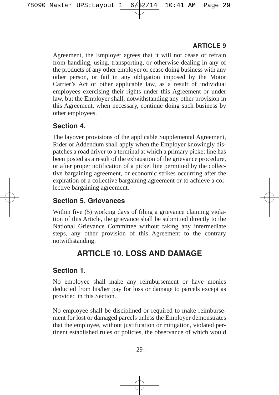Agreement, the Employer agrees that it will not cease or refrain from handling, using, transporting, or otherwise dealing in any of the products of any other employer or cease doing business with any other person, or fail in any obligation imposed by the Motor Carrier's Act or other applicable law, as a result of individual employees exercising their rights under this Agreement or under law, but the Employer shall, notwithstanding any other provision in this Agreement, when necessary, continue doing such business by other employees.

## **Section 4.**

The layover provisions of the applicable Supplemental Agreement, Rider or Addendum shall apply when the Employer knowingly dispatches a road driver to a terminal at which a primary picket line has been posted as a result of the exhaustion of the grievance procedure, or after proper notification of a picket line permitted by the collective bargaining agreement, or economic strikes occurring after the expiration of a collective bargaining agreement or to achieve a collective bargaining agreement.

## **Section 5. Grievances**

Within five (5) working days of filing a grievance claiming violation of this Article, the grievance shall be submitted directly to the National Grievance Committee without taking any intermediate steps, any other provision of this Agreement to the contrary notwithstanding.

# **ARTICLE 10. LOSS AND DAMAGE**

### **Section 1.**

No employee shall make any reimbursement or have monies deducted from his/her pay for loss or damage to parcels except as provided in this Section.

No employee shall be disciplined or required to make reimbursement for lost or damaged parcels unless the Employer demonstrates that the employee, without justification or mitigation, violated pertinent established rules or policies, the observance of which would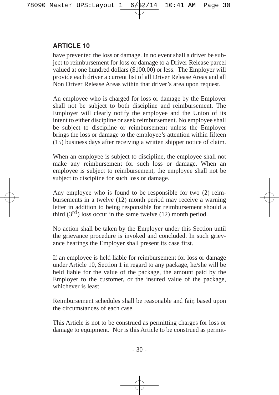have prevented the loss or damage. In no event shall a driver be subject to reimbursement for loss or damage to a Driver Release parcel valued at one hundred dollars (\$100.00) or less. The Employer will provide each driver a current list of all Driver Release Areas and all Non Driver Release Areas within that driver's area upon request.

An employee who is charged for loss or damage by the Employer shall not be subject to both discipline and reimbursement. The Employer will clearly notify the employee and the Union of its intent to either discipline or seek reimbursement. No employee shall be subject to discipline or reimbursement unless the Employer brings the loss or damage to the employee's attention within fifteen (15) business days after receiving a written shipper notice of claim.

When an employee is subject to discipline, the employee shall not make any reimbursement for such loss or damage. When an employee is subject to reimbursement, the employee shall not be subject to discipline for such loss or damage.

Any employee who is found to be responsible for two (2) reimbursements in a twelve (12) month period may receive a warning letter in addition to being responsible for reimbursement should a third  $(3<sup>rd</sup>)$  loss occur in the same twelve  $(12)$  month period.

No action shall be taken by the Employer under this Section until the grievance procedure is invoked and concluded. In such grievance hearings the Employer shall present its case first.

If an employee is held liable for reimbursement for loss or damage under Article 10, Section 1 in regard to any package, he/she will be held liable for the value of the package, the amount paid by the Employer to the customer, or the insured value of the package, whichever is least.

Reimbursement schedules shall be reasonable and fair, based upon the circumstances of each case.

This Article is not to be construed as permitting charges for loss or damage to equipment. Nor is this Article to be construed as permit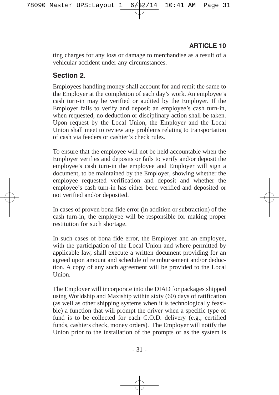ting charges for any loss or damage to merchandise as a result of a vehicular accident under any circumstances.

## **Section 2.**

Employees handling money shall account for and remit the same to the Employer at the completion of each day's work. An employee's cash turn-in may be verified or audited by the Employer. If the Employer fails to verify and deposit an employee's cash turn-in, when requested, no deduction or disciplinary action shall be taken. Upon request by the Local Union, the Employer and the Local Union shall meet to review any problems relating to transportation of cash via feeders or cashier's check rules.

To ensure that the employee will not be held accountable when the Employer verifies and deposits or fails to verify and/or deposit the employee's cash turn-in the employee and Employer will sign a document, to be maintained by the Employer, showing whether the employee requested verification and deposit and whether the employee's cash turn-in has either been verified and deposited or not verified and/or deposited.

In cases of proven bona fide error (in addition or subtraction) of the cash turn-in, the employee will be responsible for making proper restitution for such shortage.

In such cases of bona fide error, the Employer and an employee, with the participation of the Local Union and where permitted by applicable law, shall execute a written document providing for an agreed upon amount and schedule of reimbursement and/or deduction. A copy of any such agreement will be provided to the Local Union.

The Employer will incorporate into the DIAD for packages shipped using Worldship and Maxiship within sixty (60) days of ratification (as well as other shipping systems when it is technologically feasible) a function that will prompt the driver when a specific type of fund is to be collected for each C.O.D. delivery (e.g., certified funds, cashiers check, money orders). The Employer will notify the Union prior to the installation of the prompts or as the system is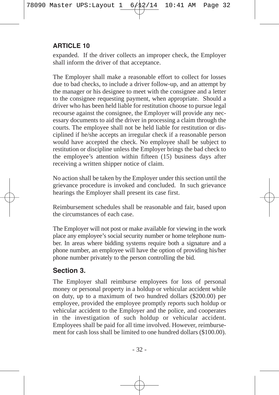expanded. If the driver collects an improper check, the Employer shall inform the driver of that acceptance.

The Employer shall make a reasonable effort to collect for losses due to bad checks, to include a driver follow-up, and an attempt by the manager or his designee to meet with the consignee and a letter to the consignee requesting payment, when appropriate. Should a driver who has been held liable for restitution choose to pursue legal recourse against the consignee, the Employer will provide any necessary documents to aid the driver in processing a claim through the courts. The employee shall not be held liable for restitution or disciplined if he/she accepts an irregular check if a reasonable person would have accepted the check. No employee shall be subject to restitution or discipline unless the Employer brings the bad check to the employee's attention within fifteen (15) business days after receiving a written shipper notice of claim.

No action shall be taken by the Employer under this section until the grievance procedure is invoked and concluded. In such grievance hearings the Employer shall present its case first.

Reimbursement schedules shall be reasonable and fair, based upon the circumstances of each case.

The Employer will not post or make available for viewing in the work place any employee's social security number or home telephone number. In areas where bidding systems require both a signature and a phone number, an employee will have the option of providing his/her phone number privately to the person controlling the bid.

### **Section 3.**

The Employer shall reimburse employees for loss of personal money or personal property in a holdup or vehicular accident while on duty, up to a maximum of two hundred dollars (\$200.00) per employee, provided the employee promptly reports such holdup or vehicular accident to the Employer and the police, and cooperates in the investigation of such holdup or vehicular accident. Employees shall be paid for all time involved. However, reimbursement for cash loss shall be limited to one hundred dollars (\$100.00).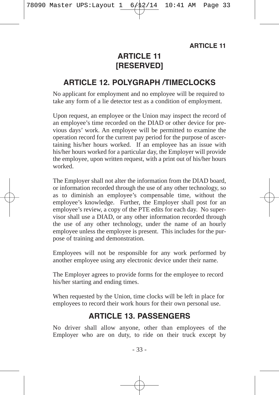# **ARTICLE 11 [RESERVED]**

## **ARTICLE 12. POLYGRAPH /TIMECLOCKS**

No applicant for employment and no employee will be required to take any form of a lie detector test as a condition of employment.

Upon request, an employee or the Union may inspect the record of an employee's time recorded on the DIAD or other device for previous days' work. An employee will be permitted to examine the operation record for the current pay period for the purpose of ascertaining his/her hours worked. If an employee has an issue with his/her hours worked for a particular day, the Employer will provide the employee, upon written request, with a print out of his/her hours worked.

The Employer shall not alter the information from the DIAD board, or information recorded through the use of any other technology, so as to diminish an employee's compensable time, without the employee's knowledge. Further, the Employer shall post for an employee's review, a copy of the PTE edits for each day. No supervisor shall use a DIAD, or any other information recorded through the use of any other technology, under the name of an hourly employee unless the employee is present. This includes for the purpose of training and demonstration.

Employees will not be responsible for any work performed by another employee using any electronic device under their name.

The Employer agrees to provide forms for the employee to record his/her starting and ending times.

When requested by the Union, time clocks will be left in place for employees to record their work hours for their own personal use.

## **ARTICLE 13. PASSENGERS**

No driver shall allow anyone, other than employees of the Employer who are on duty, to ride on their truck except by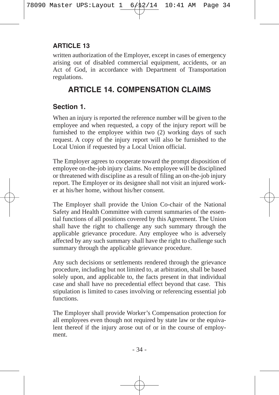written authorization of the Employer, except in cases of emergency arising out of disabled commercial equipment, accidents, or an Act of God, in accordance with Department of Transportation regulations.

# **ARTICLE 14. COMPENSATION CLAIMS**

## **Section 1.**

When an injury is reported the reference number will be given to the employee and when requested, a copy of the injury report will be furnished to the employee within two (2) working days of such request. A copy of the injury report will also be furnished to the Local Union if requested by a Local Union official.

The Employer agrees to cooperate toward the prompt disposition of employee on-the-job injury claims. No employee will be disciplined or threatened with discipline as a result of filing an on-the-job injury report. The Employer or its designee shall not visit an injured worker at his/her home, without his/her consent.

The Employer shall provide the Union Co-chair of the National Safety and Health Committee with current summaries of the essential functions of all positions covered by this Agreement. The Union shall have the right to challenge any such summary through the applicable grievance procedure. Any employee who is adversely affected by any such summary shall have the right to challenge such summary through the applicable grievance procedure.

Any such decisions or settlements rendered through the grievance procedure, including but not limited to, at arbitration, shall be based solely upon, and applicable to, the facts present in that individual case and shall have no precedential effect beyond that case. This stipulation is limited to cases involving or referencing essential job functions.

The Employer shall provide Worker's Compensation protection for all employees even though not required by state law or the equivalent thereof if the injury arose out of or in the course of employment.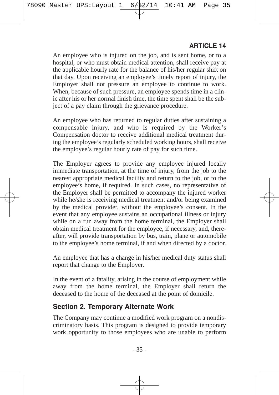An employee who is injured on the job, and is sent home, or to a hospital, or who must obtain medical attention, shall receive pay at the applicable hourly rate for the balance of his/her regular shift on that day. Upon receiving an employee's timely report of injury, the Employer shall not pressure an employee to continue to work. When, because of such pressure, an employee spends time in a clinic after his or her normal finish time, the time spent shall be the subject of a pay claim through the grievance procedure.

An employee who has returned to regular duties after sustaining a compensable injury, and who is required by the Worker's Compensation doctor to receive additional medical treatment during the employee's regularly scheduled working hours, shall receive the employee's regular hourly rate of pay for such time.

The Employer agrees to provide any employee injured locally immediate transportation, at the time of injury, from the job to the nearest appropriate medical facility and return to the job, or to the employee's home, if required. In such cases, no representative of the Employer shall be permitted to accompany the injured worker while he/she is receiving medical treatment and/or being examined by the medical provider, without the employee's consent. In the event that any employee sustains an occupational illness or injury while on a run away from the home terminal, the Employer shall obtain medical treatment for the employee, if necessary, and, thereafter, will provide transportation by bus, train, plane or automobile to the employee's home terminal, if and when directed by a doctor.

An employee that has a change in his/her medical duty status shall report that change to the Employer.

In the event of a fatality, arising in the course of employment while away from the home terminal, the Employer shall return the deceased to the home of the deceased at the point of domicile.

#### **Section 2. Temporary Alternate Work**

The Company may continue a modified work program on a nondiscriminatory basis. This program is designed to provide temporary work opportunity to those employees who are unable to perform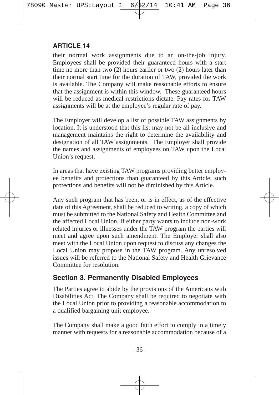their normal work assignments due to an on-the-job injury. Employees shall be provided their guaranteed hours with a start time no more than two (2) hours earlier or two (2) hours later than their normal start time for the duration of TAW, provided the work is available. The Company will make reasonable efforts to ensure that the assignment is within this window. These guaranteed hours will be reduced as medical restrictions dictate. Pay rates for TAW assignments will be at the employee's regular rate of pay.

The Employer will develop a list of possible TAW assignments by location. It is understood that this list may not be all-inclusive and management maintains the right to determine the availability and designation of all TAW assignments. The Employer shall provide the names and assignments of employees on TAW upon the Local Union's request.

In areas that have existing TAW programs providing better employee benefits and protections than guaranteed by this Article, such protections and benefits will not be diminished by this Article.

Any such program that has been, or is in effect, as of the effective date of this Agreement, shall be reduced to writing, a copy of which must be submitted to the National Safety and Health Committee and the affected Local Union. If either party wants to include non-work related injuries or illnesses under the TAW program the parties will meet and agree upon such amendment. The Employer shall also meet with the Local Union upon request to discuss any changes the Local Union may propose in the TAW program. Any unresolved issues will be referred to the National Safety and Health Grievance Committee for resolution.

### **Section 3. Permanently Disabled Employees**

The Parties agree to abide by the provisions of the Americans with Disabilities Act. The Company shall be required to negotiate with the Local Union prior to providing a reasonable accommodation to a qualified bargaining unit employee.

The Company shall make a good faith effort to comply in a timely manner with requests for a reasonable accommodation because of a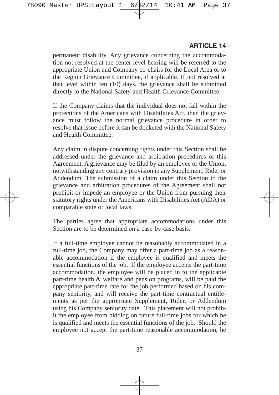permanent disability. Any grievance concerning the accommodation not resolved at the center level hearing will be referred to the appropriate Union and Company co-chairs for the Local Area or to the Region Grievance Committee, if applicable. If not resolved at that level within ten (10) days, the grievance shall be submitted directly to the National Safety and Health Grievance Committee.

If the Company claims that the individual does not fall within the protections of the Americans with Disabilities Act, then the grievance must follow the normal grievance procedure in order to resolve that issue before it can be docketed with the National Safety and Health Committee.

Any claim in dispute concerning rights under this Section shall be addressed under the grievance and arbitration procedures of this Agreement. A grievance may be filed by an employee or the Union, notwithstanding any contrary provision in any Supplement, Rider or Addendum. The submission of a claim under this Section to the grievance and arbitration procedures of the Agreement shall not prohibit or impede an employee or the Union from pursuing their statutory rights under the Americans with Disabilities Act (ADA) or comparable state or local laws.

The parties agree that appropriate accommodations under this Section are to be determined on a case-by-case basis.

If a full-time employee cannot be reasonably accommodated in a full-time job, the Company may offer a part-time job as a reasonable accommodation if the employee is qualified and meets the essential functions of the job. If the employee accepts the part-time accommodation, the employee will be placed in to the applicable part-time health & welfare and pension programs, will be paid the appropriate part-time rate for the job performed based on his company seniority, and will receive the part-time contractual entitlements as per the appropriate Supplement, Rider, or Addendum using his Company seniority date. This placement will not prohibit the employee from bidding on future full-time jobs for which he is qualified and meets the essential functions of the job. Should the employee not accept the part-time reasonable accommodation, he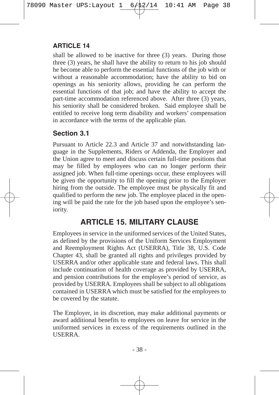shall be allowed to be inactive for three (3) years. During those three (3) years, he shall have the ability to return to his job should he become able to perform the essential functions of the job with or without a reasonable accommodation; have the ability to bid on openings as his seniority allows, providing he can perform the essential functions of that job; and have the ability to accept the part-time accommodation referenced above. After three (3) years, his seniority shall be considered broken. Said employee shall be entitled to receive long term disability and workers' compensation in accordance with the terms of the applicable plan.

## **Section 3.1**

Pursuant to Article 22.3 and Article 37 and notwithstanding language in the Supplements, Riders or Addenda, the Employer and the Union agree to meet and discuss certain full-time positions that may be filled by employees who can no longer perform their assigned job. When full-time openings occur, these employees will be given the opportunity to fill the opening prior to the Employer hiring from the outside. The employee must be physically fit and qualified to perform the new job. The employee placed in the opening will be paid the rate for the job based upon the employee's seniority.

## **ARTICLE 15. MILITARY CLAUSE**

Employees in service in the uniformed services of the United States, as defined by the provisions of the Uniform Services Employment and Reemployment Rights Act (USERRA), Title 38, U.S. Code Chapter 43, shall be granted all rights and privileges provided by USERRA and/or other applicable state and federal laws. This shall include continuation of health coverage as provided by USERRA, and pension contributions for the employee's period of service, as provided by USERRA. Employees shall be subject to all obligations contained in USERRA which must be satisfied for the employees to be covered by the statute.

The Employer, in its discretion, may make additional payments or award additional benefits to employees on leave for service in the uniformed services in excess of the requirements outlined in the USERRA.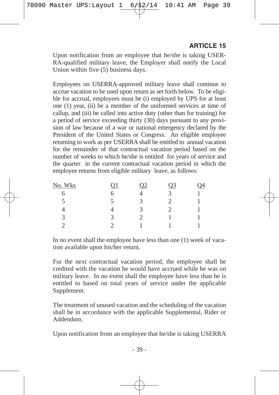Upon notification from an employee that he/she is taking USER-RA-qualified military leave, the Employer shall notify the Local Union within five (5) business days.

Employees on USERRA-approved military leave shall continue to accrue vacation to be used upon return as set forth below. To be eligible for accrual, employees must be (i) employed by UPS for at least one (1) year, (ii) be a member of the uniformed services at time of callup, and (iii) be called into active duty (other than for training) for a period of service exceeding thirty (30) days pursuant to any provision of law because of a war or national emergency declared by the President of the United States or Congress. An eligible employee returning to work as per USERRA shall be entitled to annual vacation for the remainder of that contractual vacation period based on the number of weeks to which he/she is entitled for years of service and the quarter in the current contractual vacation period in which the employee returns from eligible military leave, as follows:

| No. Wks | <u>Q1</u>            | <u>02</u> | $Q_3$ | 24 |
|---------|----------------------|-----------|-------|----|
| ი       | 6                    |           |       |    |
| 5       | $\ddot{\phantom{1}}$ | к         |       |    |
|         |                      |           |       |    |
| 3       |                      |           |       |    |
|         |                      |           |       |    |

In no event shall the employee have less than one (1) week of vacation available upon his/her return.

For the next contractual vacation period, the employee shall be credited with the vacation he would have accrued while he was on military leave. In no event shall the employee have less than he is entitled to based on total years of service under the applicable Supplement.

The treatment of unused vacation and the scheduling of the vacation shall be in accordance with the applicable Supplemental, Rider or Addendum.

Upon notification from an employee that he/she is taking USERRA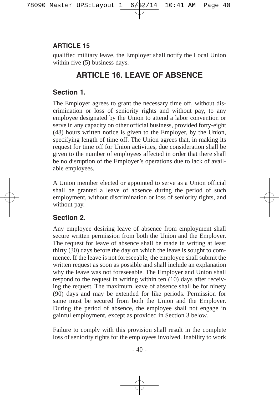qualified military leave, the Employer shall notify the Local Union within five (5) business days.

# **ARTICLE 16. LEAVE OF ABSENCE**

## **Section 1.**

The Employer agrees to grant the necessary time off, without discrimination or loss of seniority rights and without pay, to any employee designated by the Union to attend a labor convention or serve in any capacity on other official business, provided forty-eight (48) hours written notice is given to the Employer, by the Union, specifying length of time off. The Union agrees that, in making its request for time off for Union activities, due consideration shall be given to the number of employees affected in order that there shall be no disruption of the Employer's operations due to lack of available employees.

A Union member elected or appointed to serve as a Union official shall be granted a leave of absence during the period of such employment, without discrimination or loss of seniority rights, and without pay.

## **Section 2.**

Any employee desiring leave of absence from employment shall secure written permission from both the Union and the Employer. The request for leave of absence shall be made in writing at least thirty (30) days before the day on which the leave is sought to commence. If the leave is not foreseeable, the employee shall submit the written request as soon as possible and shall include an explanation why the leave was not foreseeable. The Employer and Union shall respond to the request in writing within ten (10) days after receiving the request. The maximum leave of absence shall be for ninety (90) days and may be extended for like periods. Permission for same must be secured from both the Union and the Employer. During the period of absence, the employee shall not engage in gainful employment, except as provided in Section 3 below.

Failure to comply with this provision shall result in the complete loss of seniority rights for the employees involved. Inability to work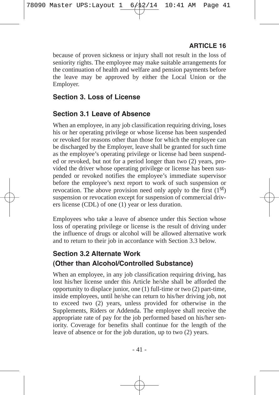because of proven sickness or injury shall not result in the loss of seniority rights. The employee may make suitable arrangements for the continuation of health and welfare and pension payments before the leave may be approved by either the Local Union or the Employer.

### **Section 3. Loss of License**

## **Section 3.1 Leave of Absence**

When an employee, in any job classification requiring driving, loses his or her operating privilege or whose license has been suspended or revoked for reasons other than those for which the employee can be discharged by the Employer, leave shall be granted for such time as the employee's operating privilege or license had been suspended or revoked, but not for a period longer than two (2) years, provided the driver whose operating privilege or license has been suspended or revoked notifies the employee's immediate supervisor before the employee's next report to work of such suspension or revocation. The above provision need only apply to the first  $(1<sup>st</sup>)$ suspension or revocation except for suspension of commercial drivers license (CDL) of one (1) year or less duration.

Employees who take a leave of absence under this Section whose loss of operating privilege or license is the result of driving under the influence of drugs or alcohol will be allowed alternative work and to return to their job in accordance with Section 3.3 below.

## **Section 3.2 Alternate Work (Other than Alcohol/Controlled Substance)**

When an employee, in any job classification requiring driving, has lost his/her license under this Article he/she shall be afforded the opportunity to displace junior, one (1) full-time or two (2) part-time, inside employees, until he/she can return to his/her driving job, not to exceed two (2) years, unless provided for otherwise in the Supplements, Riders or Addenda. The employee shall receive the appropriate rate of pay for the job performed based on his/her seniority. Coverage for benefits shall continue for the length of the leave of absence or for the job duration, up to two (2) years.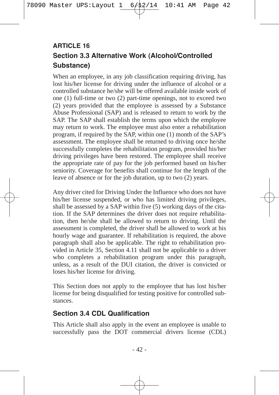## **Section 3.3 Alternative Work (Alcohol/Controlled Substance) ARTICLE 16**

When an employee, in any job classification requiring driving, has lost his/her license for driving under the influence of alcohol or a controlled substance he/she will be offered available inside work of one (1) full-time or two (2) part-time openings, not to exceed two (2) years provided that the employee is assessed by a Substance Abuse Professional (SAP) and is released to return to work by the SAP. The SAP shall establish the terms upon which the employee may return to work. The employee must also enter a rehabilitation program, if required by the SAP, within one (1) month of the SAP's assessment. The employee shall be returned to driving once he/she successfully completes the rehabilitation program, provided his/her driving privileges have been restored. The employee shall receive the appropriate rate of pay for the job performed based on his/her seniority. Coverage for benefits shall continue for the length of the leave of absence or for the job duration, up to two (2) years.

Any driver cited for Driving Under the Influence who does not have his/her license suspended, or who has limited driving privileges, shall be assessed by a SAP within five (5) working days of the citation. If the SAP determines the driver does not require rehabilitation, then he/she shall be allowed to return to driving. Until the assessment is completed, the driver shall be allowed to work at his hourly wage and guarantee. If rehabilitation is required, the above paragraph shall also be applicable. The right to rehabilitation provided in Article 35, Section 4.11 shall not be applicable to a driver who completes a rehabilitation program under this paragraph, unless, as a result of the DUI citation, the driver is convicted or loses his/her license for driving.

This Section does not apply to the employee that has lost his/her license for being disqualified for testing positive for controlled substances.

### **Section 3.4 CDL Qualification**

This Article shall also apply in the event an employee is unable to successfully pass the DOT commercial drivers license (CDL)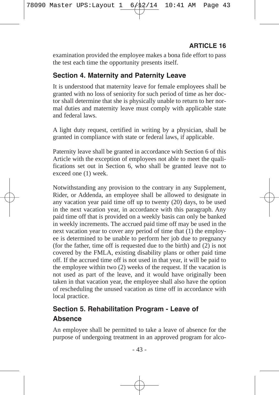examination provided the employee makes a bona fide effort to pass the test each time the opportunity presents itself.

## **Section 4. Maternity and Paternity Leave**

It is understood that maternity leave for female employees shall be granted with no loss of seniority for such period of time as her doctor shall determine that she is physically unable to return to her normal duties and maternity leave must comply with applicable state and federal laws.

A light duty request, certified in writing by a physician, shall be granted in compliance with state or federal laws, if applicable.

Paternity leave shall be granted in accordance with Section 6 of this Article with the exception of employees not able to meet the qualifications set out in Section 6, who shall be granted leave not to exceed one (1) week.

Notwithstanding any provision to the contrary in any Supplement, Rider, or Addenda, an employee shall be allowed to designate in any vacation year paid time off up to twenty (20) days, to be used in the next vacation year, in accordance with this paragraph. Any paid time off that is provided on a weekly basis can only be banked in weekly increments. The accrued paid time off may be used in the next vacation year to cover any period of time that (1) the employee is determined to be unable to perform her job due to pregnancy (for the father, time off is requested due to the birth) and (2) is not covered by the FMLA, existing disability plans or other paid time off. If the accrued time off is not used in that year, it will be paid to the employee within two (2) weeks of the request. If the vacation is not used as part of the leave, and it would have originally been taken in that vacation year, the employee shall also have the option of rescheduling the unused vacation as time off in accordance with local practice.

## **Section 5. Rehabilitation Program - Leave of Absence**

An employee shall be permitted to take a leave of absence for the purpose of undergoing treatment in an approved program for alco-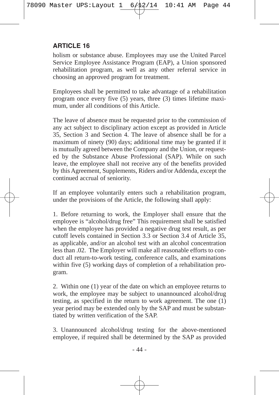holism or substance abuse. Employees may use the United Parcel Service Employee Assistance Program (EAP), a Union sponsored rehabilitation program, as well as any other referral service in choosing an approved program for treatment.

Employees shall be permitted to take advantage of a rehabilitation program once every five (5) years, three (3) times lifetime maximum, under all conditions of this Article.

The leave of absence must be requested prior to the commission of any act subject to disciplinary action except as provided in Article 35, Section 3 and Section 4. The leave of absence shall be for a maximum of ninety (90) days; additional time may be granted if it is mutually agreed between the Company and the Union, or requested by the Substance Abuse Professional (SAP). While on such leave, the employee shall not receive any of the benefits provided by this Agreement, Supplements, Riders and/or Addenda, except the continued accrual of seniority.

If an employee voluntarily enters such a rehabilitation program, under the provisions of the Article, the following shall apply:

1. Before returning to work, the Employer shall ensure that the employee is "alcohol/drug free" This requirement shall be satisfied when the employee has provided a negative drug test result, as per cutoff levels contained in Section 3.3 or Section 3.4 of Article 35, as applicable, and/or an alcohol test with an alcohol concentration less than .02. The Employer will make all reasonable efforts to conduct all return-to-work testing, conference calls, and examinations within five (5) working days of completion of a rehabilitation program.

2. Within one (1) year of the date on which an employee returns to work, the employee may be subject to unannounced alcohol/drug testing, as specified in the return to work agreement. The one (1) year period may be extended only by the SAP and must be substantiated by written verification of the SAP.

3. Unannounced alcohol/drug testing for the above-mentioned employee, if required shall be determined by the SAP as provided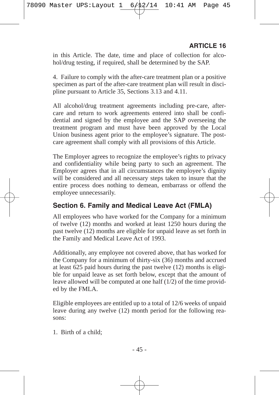in this Article. The date, time and place of collection for alcohol/drug testing, if required, shall be determined by the SAP.

4. Failure to comply with the after-care treatment plan or a positive specimen as part of the after-care treatment plan will result in discipline pursuant to Article 35, Sections 3.13 and 4.11.

All alcohol/drug treatment agreements including pre-care, aftercare and return to work agreements entered into shall be confidential and signed by the employee and the SAP overseeing the treatment program and must have been approved by the Local Union business agent prior to the employee's signature. The postcare agreement shall comply with all provisions of this Article.

The Employer agrees to recognize the employee's rights to privacy and confidentiality while being party to such an agreement. The Employer agrees that in all circumstances the employee's dignity will be considered and all necessary steps taken to insure that the entire process does nothing to demean, embarrass or offend the employee unnecessarily.

### **Section 6. Family and Medical Leave Act (FMLA)**

All employees who have worked for the Company for a minimum of twelve (12) months and worked at least 1250 hours during the past twelve (12) months are eligible for unpaid leave as set forth in the Family and Medical Leave Act of 1993.

Additionally, any employee not covered above, that has worked for the Company for a minimum of thirty-six (36) months and accrued at least 625 paid hours during the past twelve (12) months is eligible for unpaid leave as set forth below, except that the amount of leave allowed will be computed at one half  $(1/2)$  of the time provided by the FMLA.

Eligible employees are entitled up to a total of 12/6 weeks of unpaid leave during any twelve (12) month period for the following reasons:

1. Birth of a child;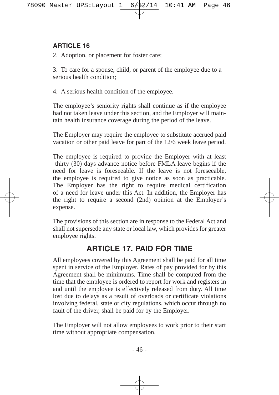2. Adoption, or placement for foster care;

3. To care for a spouse, child, or parent of the employee due to a serious health condition;

4. A serious health condition of the employee.

The employee's seniority rights shall continue as if the employee had not taken leave under this section, and the Employer will maintain health insurance coverage during the period of the leave.

The Employer may require the employee to substitute accrued paid vacation or other paid leave for part of the 12/6 week leave period.

The employee is required to provide the Employer with at least thirty (30) days advance notice before FMLA leave begins if the need for leave is foreseeable. If the leave is not foreseeable, the employee is required to give notice as soon as practicable. The Employer has the right to require medical certification of a need for leave under this Act. In addition, the Employer has the right to require a second (2nd) opinion at the Employer's expense.

The provisions of this section are in response to the Federal Act and shall not supersede any state or local law, which provides for greater employee rights.

# **ARTICLE 17. PAID FOR TIME**

All employees covered by this Agreement shall be paid for all time spent in service of the Employer. Rates of pay provided for by this Agreement shall be minimums. Time shall be computed from the time that the employee is ordered to report for work and registers in and until the employee is effectively released from duty. All time lost due to delays as a result of overloads or certificate violations involving federal, state or city regulations, which occur through no fault of the driver, shall be paid for by the Employer.

The Employer will not allow employees to work prior to their start time without appropriate compensation.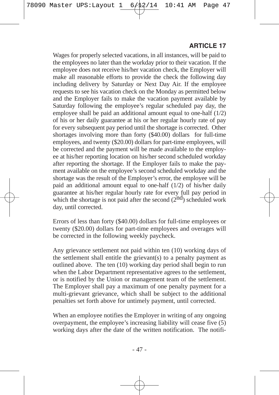Wages for properly selected vacations, in all instances, will be paid to the employees no later than the workday prior to their vacation. If the employee does not receive his/her vacation check, the Employer will make all reasonable efforts to provide the check the following day including delivery by Saturday or Next Day Air. If the employee requests to see his vacation check on the Monday as permitted below and the Employer fails to make the vacation payment available by Saturday following the employee's regular scheduled pay day, the employee shall be paid an additional amount equal to one-half (1/2) of his or her daily guarantee at his or her regular hourly rate of pay for every subsequent pay period until the shortage is corrected. Other shortages involving more than forty (\$40.00) dollars for full-time employees, and twenty (\$20.00) dollars for part-time employees, will be corrected and the payment will be made available to the employee at his/her reporting location on his/her second scheduled workday after reporting the shortage. If the Employer fails to make the payment available on the employee's second scheduled workday and the shortage was the result of the Employer's error, the employee will be paid an additional amount equal to one-half (1/2) of his/her daily guarantee at his/her regular hourly rate for every full pay period in which the shortage is not paid after the second  $(2<sup>nd</sup>)$  scheduled work day, until corrected.

Errors of less than forty (\$40.00) dollars for full-time employees or twenty (\$20.00) dollars for part-time employees and overages will be corrected in the following weekly paycheck.

Any grievance settlement not paid within ten (10) working days of the settlement shall entitle the grievant(s) to a penalty payment as outlined above. The ten (10) working day period shall begin to run when the Labor Department representative agrees to the settlement, or is notified by the Union or management team of the settlement. The Employer shall pay a maximum of one penalty payment for a multi-grievant grievance, which shall be subject to the additional penalties set forth above for untimely payment, until corrected.

When an employee notifies the Employer in writing of any ongoing overpayment, the employee's increasing liability will cease five  $(5)$ working days after the date of the written notification. The notifi-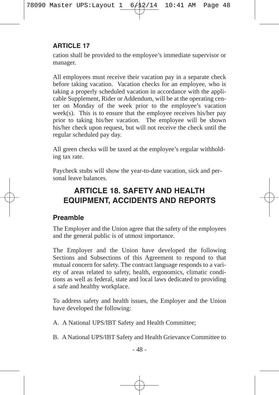cation shall be provided to the employee's immediate supervisor or manager.

All employees must receive their vacation pay in a separate check before taking vacation. Vacation checks for an employee, who is taking a properly scheduled vacation in accordance with the applicable Supplement, Rider or Addendum, will be at the operating center on Monday of the week prior to the employee's vacation week(s). This is to ensure that the employee receives his/her pay prior to taking his/her vacation. The employee will be shown his/her check upon request, but will not receive the check until the regular scheduled pay day.

All green checks will be taxed at the employee's regular withholding tax rate.

Paycheck stubs will show the year-to-date vacation, sick and personal leave balances.

# **ARTICLE 18. SAFETY AND HEALTH EQUIPMENT, ACCIDENTS AND REPORTS**

## **Preamble**

The Employer and the Union agree that the safety of the employees and the general public is of utmost importance.

The Employer and the Union have developed the following Sections and Subsections of this Agreement to respond to that mutual concern for safety. The contract language responds to a variety of areas related to safety, health, ergonomics, climatic conditions as well as federal, state and local laws dedicated to providing a safe and healthy workplace.

To address safety and health issues, the Employer and the Union have developed the following:

A. A National UPS/IBT Safety and Health Committee;

B. A National UPS/IBT Safety and Health Grievance Committee to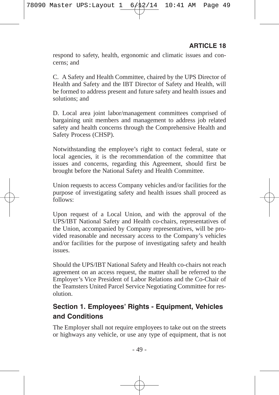respond to safety, health, ergonomic and climatic issues and concerns; and

C. A Safety and Health Committee, chaired by the UPS Director of Health and Safety and the IBT Director of Safety and Health, will be formed to address present and future safety and health issues and solutions; and

D. Local area joint labor/management committees comprised of bargaining unit members and management to address job related safety and health concerns through the Comprehensive Health and Safety Process (CHSP).

Notwithstanding the employee's right to contact federal, state or local agencies, it is the recommendation of the committee that issues and concerns, regarding this Agreement, should first be brought before the National Safety and Health Committee.

Union requests to access Company vehicles and/or facilities for the purpose of investigating safety and health issues shall proceed as follows:

Upon request of a Local Union, and with the approval of the UPS/IBT National Safety and Health co-chairs, representatives of the Union, accompanied by Company representatives, will be provided reasonable and necessary access to the Company's vehicles and/or facilities for the purpose of investigating safety and health issues.

Should the UPS/IBT National Safety and Health co-chairs not reach agreement on an access request, the matter shall be referred to the Employer's Vice President of Labor Relations and the Co-Chair of the Teamsters United Parcel Service Negotiating Committee for resolution.

## **Section 1. Employees' Rights - Equipment, Vehicles and Conditions**

The Employer shall not require employees to take out on the streets or highways any vehicle, or use any type of equipment, that is not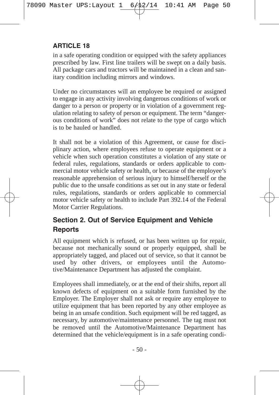in a safe operating condition or equipped with the safety appliances prescribed by law. First line trailers will be swept on a daily basis. All package cars and tractors will be maintained in a clean and sanitary condition including mirrors and windows.

Under no circumstances will an employee be required or assigned to engage in any activity involving dangerous conditions of work or danger to a person or property or in violation of a government regulation relating to safety of person or equipment. The term "dangerous conditions of work" does not relate to the type of cargo which is to be hauled or handled.

It shall not be a violation of this Agreement, or cause for disciplinary action, where employees refuse to operate equipment or a vehicle when such operation constitutes a violation of any state or federal rules, regulations, standards or orders applicable to commercial motor vehicle safety or health, or because of the employee's reasonable apprehension of serious injury to himself/herself or the public due to the unsafe conditions as set out in any state or federal rules, regulations, standards or orders applicable to commercial motor vehicle safety or health to include Part 392.14 of the Federal Motor Carrier Regulations.

## **Section 2. Out of Service Equipment and Vehicle Reports**

All equipment which is refused, or has been written up for repair, because not mechanically sound or properly equipped, shall be appropriately tagged, and placed out of service, so that it cannot be used by other drivers, or employees until the Automotive/Maintenance Department has adjusted the complaint.

Employees shall immediately, or at the end of their shifts, report all known defects of equipment on a suitable form furnished by the Employer. The Employer shall not ask or require any employee to utilize equipment that has been reported by any other employee as being in an unsafe condition. Such equipment will be red tagged, as necessary, by automotive/maintenance personnel. The tag must not be removed until the Automotive/Maintenance Department has determined that the vehicle/equipment is in a safe operating condi-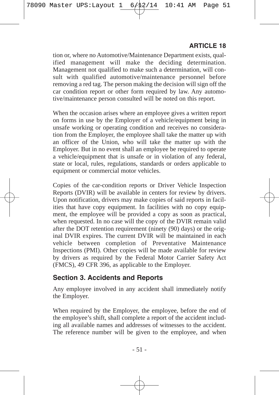tion or, where no Automotive/Maintenance Department exists, qualified management will make the deciding determination. Management not qualified to make such a determination, will consult with qualified automotive/maintenance personnel before removing a red tag. The person making the decision will sign off the car condition report or other form required by law. Any automotive/maintenance person consulted will be noted on this report.

When the occasion arises where an employee gives a written report on forms in use by the Employer of a vehicle/equipment being in unsafe working or operating condition and receives no consideration from the Employer, the employee shall take the matter up with an officer of the Union, who will take the matter up with the Employer. But in no event shall an employee be required to operate a vehicle/equipment that is unsafe or in violation of any federal, state or local, rules, regulations, standards or orders applicable to equipment or commercial motor vehicles.

Copies of the car-condition reports or Driver Vehicle Inspection Reports (DVIR) will be available in centers for review by drivers. Upon notification, drivers may make copies of said reports in facilities that have copy equipment. In facilities with no copy equipment, the employee will be provided a copy as soon as practical, when requested. In no case will the copy of the DVIR remain valid after the DOT retention requirement (ninety (90) days) or the original DVIR expires. The current DVIR will be maintained in each vehicle between completion of Preventative Maintenance Inspections (PMI). Other copies will be made available for review by drivers as required by the Federal Motor Carrier Safety Act (FMCS), 49 CFR 396, as applicable to the Employer.

#### **Section 3. Accidents and Reports**

Any employee involved in any accident shall immediately notify the Employer.

When required by the Employer, the employee, before the end of the employee's shift, shall complete a report of the accident including all available names and addresses of witnesses to the accident. The reference number will be given to the employee, and when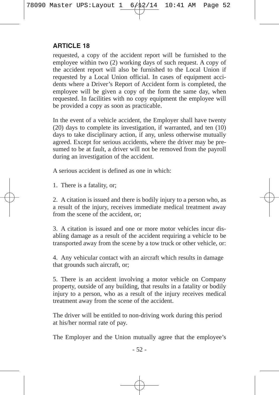requested, a copy of the accident report will be furnished to the employee within two (2) working days of such request. A copy of the accident report will also be furnished to the Local Union if requested by a Local Union official. In cases of equipment accidents where a Driver's Report of Accident form is completed, the employee will be given a copy of the form the same day, when requested. In facilities with no copy equipment the employee will be provided a copy as soon as practicable.

In the event of a vehicle accident, the Employer shall have twenty (20) days to complete its investigation, if warranted, and ten (10) days to take disciplinary action, if any, unless otherwise mutually agreed. Except for serious accidents, where the driver may be presumed to be at fault, a driver will not be removed from the payroll during an investigation of the accident.

A serious accident is defined as one in which:

1. There is a fatality, or;

2. A citation is issued and there is bodily injury to a person who, as a result of the injury, receives immediate medical treatment away from the scene of the accident, or;

3. A citation is issued and one or more motor vehicles incur disabling damage as a result of the accident requiring a vehicle to be transported away from the scene by a tow truck or other vehicle, or:

4. Any vehicular contact with an aircraft which results in damage that grounds such aircraft, or;

5. There is an accident involving a motor vehicle on Company property, outside of any building, that results in a fatality or bodily injury to a person, who as a result of the injury receives medical treatment away from the scene of the accident.

The driver will be entitled to non-driving work during this period at his/her normal rate of pay.

The Employer and the Union mutually agree that the employee's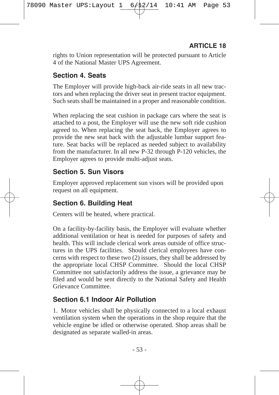rights to Union representation will be protected pursuant to Article 4 of the National Master UPS Agreement.

## **Section 4. Seats**

The Employer will provide high-back air-ride seats in all new tractors and when replacing the driver seat in present tractor equipment. Such seats shall be maintained in a proper and reasonable condition.

When replacing the seat cushion in package cars where the seat is attached to a post, the Employer will use the new soft ride cushion agreed to. When replacing the seat back, the Employer agrees to provide the new seat back with the adjustable lumbar support feature. Seat backs will be replaced as needed subject to availability from the manufacturer. In all new P-32 through P-120 vehicles, the Employer agrees to provide multi-adjust seats.

### **Section 5. Sun Visors**

Employer approved replacement sun visors will be provided upon request on all equipment.

## **Section 6. Building Heat**

Centers will be heated, where practical.

On a facility-by-facility basis, the Employer will evaluate whether additional ventilation or heat is needed for purposes of safety and health. This will include clerical work areas outside of office structures in the UPS facilities. Should clerical employees have concerns with respect to these two (2) issues, they shall be addressed by the appropriate local CHSP Committee. Should the local CHSP Committee not satisfactorily address the issue, a grievance may be filed and would be sent directly to the National Safety and Health Grievance Committee.

### **Section 6.1 Indoor Air Pollution**

1. Motor vehicles shall be physically connected to a local exhaust ventilation system when the operations in the shop require that the vehicle engine be idled or otherwise operated. Shop areas shall be designated as separate walled-in areas.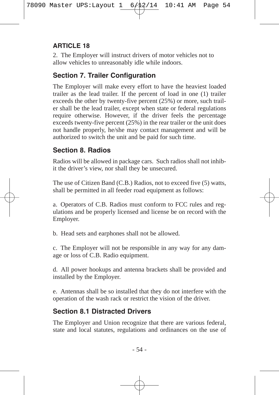2. The Employer will instruct drivers of motor vehicles not to allow vehicles to unreasonably idle while indoors.

## **Section 7. Trailer Configuration**

The Employer will make every effort to have the heaviest loaded trailer as the lead trailer. If the percent of load in one (1) trailer exceeds the other by twenty-five percent (25%) or more, such trailer shall be the lead trailer, except when state or federal regulations require otherwise. However, if the driver feels the percentage exceeds twenty-five percent (25%) in the rear trailer or the unit does not handle properly, he/she may contact management and will be authorized to switch the unit and be paid for such time.

## **Section 8. Radios**

Radios will be allowed in package cars. Such radios shall not inhibit the driver's view, nor shall they be unsecured.

The use of Citizen Band (C.B.) Radios, not to exceed five (5) watts, shall be permitted in all feeder road equipment as follows:

a. Operators of C.B. Radios must conform to FCC rules and regulations and be properly licensed and license be on record with the Employer.

b. Head sets and earphones shall not be allowed.

c. The Employer will not be responsible in any way for any damage or loss of C.B. Radio equipment.

d. All power hookups and antenna brackets shall be provided and installed by the Employer.

e. Antennas shall be so installed that they do not interfere with the operation of the wash rack or restrict the vision of the driver.

## **Section 8.1 Distracted Drivers**

The Employer and Union recognize that there are various federal, state and local statutes, regulations and ordinances on the use of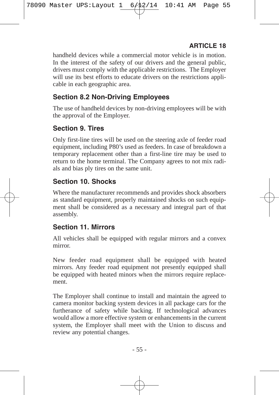handheld devices while a commercial motor vehicle is in motion. In the interest of the safety of our drivers and the general public, drivers must comply with the applicable restrictions. The Employer will use its best efforts to educate drivers on the restrictions applicable in each geographic area.

## **Section 8.2 Non-Driving Employees**

The use of handheld devices by non-driving employees will be with the approval of the Employer.

## **Section 9. Tires**

Only first-line tires will be used on the steering axle of feeder road equipment, including P80's used as feeders. In case of breakdown a temporary replacement other than a first-line tire may be used to return to the home terminal. The Company agrees to not mix radials and bias ply tires on the same unit.

## **Section 10. Shocks**

Where the manufacturer recommends and provides shock absorbers as standard equipment, properly maintained shocks on such equipment shall be considered as a necessary and integral part of that assembly.

### **Section 11. Mirrors**

All vehicles shall be equipped with regular mirrors and a convex mirror.

New feeder road equipment shall be equipped with heated mirrors. Any feeder road equipment not presently equipped shall be equipped with heated minors when the mirrors require replacement.

The Employer shall continue to install and maintain the agreed to camera monitor backing system devices in all package cars for the furtherance of safety while backing. If technological advances would allow a more effective system or enhancements in the current system, the Employer shall meet with the Union to discuss and review any potential changes.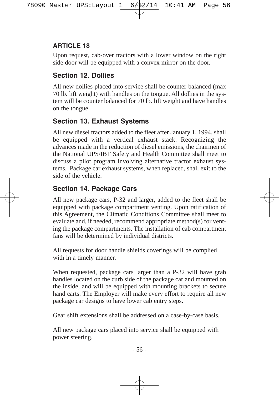Upon request, cab-over tractors with a lower window on the right side door will be equipped with a convex mirror on the door.

## **Section 12. Dollies**

All new dollies placed into service shall be counter balanced (max 70 lb. lift weight) with handles on the tongue. All dollies in the system will be counter balanced for 70 lb. lift weight and have handles on the tongue.

## **Section 13. Exhaust Systems**

All new diesel tractors added to the fleet after January 1, 1994, shall be equipped with a vertical exhaust stack. Recognizing the advances made in the reduction of diesel emissions, the chairmen of the National UPS/IBT Safety and Health Committee shall meet to discuss a pilot program involving alternative tractor exhaust systems. Package car exhaust systems, when replaced, shall exit to the side of the vehicle.

## **Section 14. Package Cars**

All new package cars, P-32 and larger, added to the fleet shall be equipped with package compartment venting. Upon ratification of this Agreement, the Climatic Conditions Committee shall meet to evaluate and, if needed, recommend appropriate method(s) for venting the package compartments. The installation of cab compartment fans will be determined by individual districts.

All requests for door handle shields coverings will be complied with in a timely manner.

When requested, package cars larger than a P-32 will have grab handles located on the curb side of the package car and mounted on the inside, and will be equipped with mounting brackets to secure hand carts. The Employer will make every effort to require all new package car designs to have lower cab entry steps.

Gear shift extensions shall be addressed on a case-by-case basis.

All new package cars placed into service shall be equipped with power steering.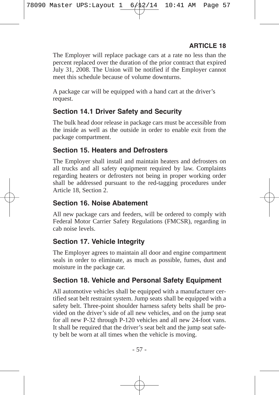The Employer will replace package cars at a rate no less than the percent replaced over the duration of the prior contract that expired July 31, 2008. The Union will be notified if the Employer cannot meet this schedule because of volume downturns.

A package car will be equipped with a hand cart at the driver's request.

## **Section 14.1 Driver Safety and Security**

The bulk head door release in package cars must be accessible from the inside as well as the outside in order to enable exit from the package compartment.

## **Section 15. Heaters and Defrosters**

The Employer shall install and maintain heaters and defrosters on all trucks and all safety equipment required by law. Complaints regarding heaters or defrosters not being in proper working order shall be addressed pursuant to the red-tagging procedures under Article 18, Section 2.

## **Section 16. Noise Abatement**

All new package cars and feeders, will be ordered to comply with Federal Motor Carrier Safety Regulations (FMCSR), regarding in cab noise levels.

## **Section 17. Vehicle Integrity**

The Employer agrees to maintain all door and engine compartment seals in order to eliminate, as much as possible, fumes, dust and moisture in the package car.

## **Section 18. Vehicle and Personal Safety Equipment**

All automotive vehicles shall be equipped with a manufacturer certified seat belt restraint system. Jump seats shall be equipped with a safety belt. Three-point shoulder harness safety belts shall be provided on the driver's side of all new vehicles, and on the jump seat for all new P-32 through P-120 vehicles and all new 24-foot vans. It shall be required that the driver's seat belt and the jump seat safety belt be worn at all times when the vehicle is moving.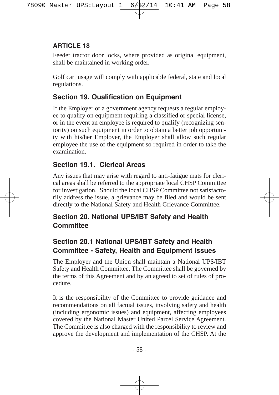Feeder tractor door locks, where provided as original equipment, shall be maintained in working order.

Golf cart usage will comply with applicable federal, state and local regulations.

## **Section 19. Qualification on Equipment**

If the Employer or a government agency requests a regular employee to qualify on equipment requiring a classified or special license, or in the event an employee is required to qualify (recognizing seniority) on such equipment in order to obtain a better job opportunity with his/her Employer, the Employer shall allow such regular employee the use of the equipment so required in order to take the examination.

## **Section 19.1. Clerical Areas**

Any issues that may arise with regard to anti-fatigue mats for clerical areas shall be referred to the appropriate local CHSP Committee for investigation. Should the local CHSP Committee not satisfactorily address the issue, a grievance may be filed and would be sent directly to the National Safety and Health Grievance Committee.

## **Section 20. National UPS/IBT Safety and Health Committee**

## **Section 20.1 National UPS/IBT Safety and Health Committee - Safety, Health and Equipment Issues**

The Employer and the Union shall maintain a National UPS/IBT Safety and Health Committee. The Committee shall be governed by the terms of this Agreement and by an agreed to set of rules of procedure.

It is the responsibility of the Committee to provide guidance and recommendations on all factual issues, involving safety and health (including ergonomic issues) and equipment, affecting employees covered by the National Master United Parcel Service Agreement. The Committee is also charged with the responsibility to review and approve the development and implementation of the CHSP. At the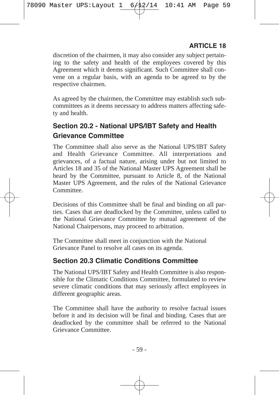discretion of the chairmen, it may also consider any subject pertaining to the safety and health of the employees covered by this Agreement which it deems significant. Such Committee shall convene on a regular basis, with an agenda to be agreed to by the respective chairmen.

As agreed by the chairmen, the Committee may establish such subcommittees as it deems necessary to address matters affecting safety and health.

## **Section 20.2 - National UPS/IBT Safety and Health Grievance Committee**

The Committee shall also serve as the National UPS/IBT Safety and Health Grievance Committee. All interpretations and grievances, of a factual nature, arising under but not limited to Articles 18 and 35 of the National Master UPS Agreement shall be heard by the Committee, pursuant to Article 8, of the National Master UPS Agreement, and the rules of the National Grievance Committee.

Decisions of this Committee shall be final and binding on all parties. Cases that are deadlocked by the Committee, unless called to the National Grievance Committee by mutual agreement of the National Chairpersons, may proceed to arbitration.

The Committee shall meet in conjunction with the National Grievance Panel to resolve all cases on its agenda.

## **Section 20.3 Climatic Conditions Committee**

The National UPS/IBT Safety and Health Committee is also responsible for the Climatic Conditions Committee, formulated to review severe climatic conditions that may seriously affect employees in different geographic areas.

The Committee shall have the authority to resolve factual issues before it and its decision will be final and binding. Cases that are deadlocked by the committee shall be referred to the National Grievance Committee.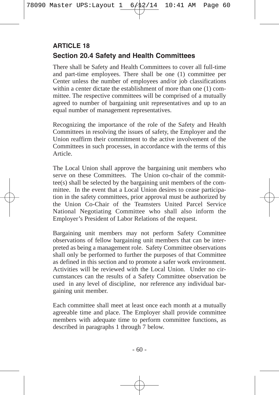## **Section 20.4 Safety and Health Committees ARTICLE 18**

There shall be Safety and Health Committees to cover all full-time and part-time employees. There shall be one (1) committee per Center unless the number of employees and/or job classifications within a center dictate the establishment of more than one (1) committee. The respective committees will be comprised of a mutually agreed to number of bargaining unit representatives and up to an equal number of management representatives.

Recognizing the importance of the role of the Safety and Health Committees in resolving the issues of safety, the Employer and the Union reaffirm their commitment to the active involvement of the Committees in such processes, in accordance with the terms of this Article.

The Local Union shall approve the bargaining unit members who serve on these Committees. The Union co-chair of the committee(s) shall be selected by the bargaining unit members of the committee. In the event that a Local Union desires to cease participation in the safety committees, prior approval must be authorized by the Union Co-Chair of the Teamsters United Parcel Service National Negotiating Committee who shall also inform the Employer's President of Labor Relations of the request.

Bargaining unit members may not perform Safety Committee observations of fellow bargaining unit members that can be interpreted as being a management role. Safety Committee observations shall only be performed to further the purposes of that Committee as defined in this section and to promote a safer work environment. Activities will be reviewed with the Local Union. Under no circumstances can the results of a Safety Committee observation be used in any level of discipline, nor reference any individual bargaining unit member.

Each committee shall meet at least once each month at a mutually agreeable time and place. The Employer shall provide committee members with adequate time to perform committee functions, as described in paragraphs 1 through 7 below.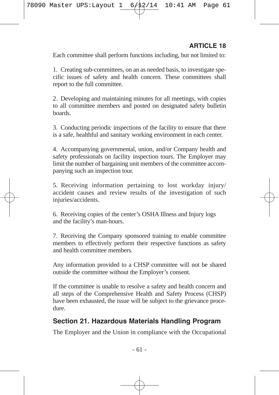Each committee shall perform functions including, but not limited to:

1. Creating sub-committees, on an as needed basis, to investigate specific issues of safety and health concern. These committees shall report to the full committee.

2. Developing and maintaining minutes for all meetings, with copies to all committee members and posted on designated safety bulletin boards.

3. Conducting periodic inspections of the facility to ensure that there is a safe, healthful and sanitary working environment in each center.

4. Accompanying governmental, union, and/or Company health and safety professionals on facility inspection tours. The Employer may limit the number of bargaining unit members of the committee accompanying such an inspection tour.

5. Receiving information pertaining to lost workday injury/ accident causes and review results of the investigation of such injuries/accidents.

6. Receiving copies of the center's OSHA Illness and Injury logs and the facility's man-hours.

7. Receiving the Company sponsored training to enable committee members to effectively perform their respective functions as safety and health committee members.

Any information provided to a CHSP committee will not be shared outside the committee without the Employer's consent.

If the committee is unable to resolve a safety and health concern and all steps of the Comprehensive Health and Safety Process (CHSP) have been exhausted, the issue will be subject to the grievance procedure.

## **Section 21. Hazardous Materials Handling Program**

The Employer and the Union in compliance with the Occupational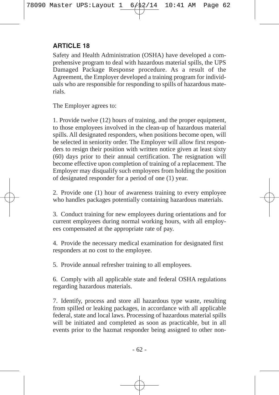Safety and Health Administration (OSHA) have developed a comprehensive program to deal with hazardous material spills, the UPS Damaged Package Response procedure. As a result of the Agreement, the Employer developed a training program for individuals who are responsible for responding to spills of hazardous materials.

The Employer agrees to:

1. Provide twelve (12) hours of training, and the proper equipment, to those employees involved in the clean-up of hazardous material spills. All designated responders, when positions become open, will be selected in seniority order. The Employer will allow first responders to resign their position with written notice given at least sixty (60) days prior to their annual certification. The resignation will become effective upon completion of training of a replacement. The Employer may disqualify such employees from holding the position of designated responder for a period of one (1) year.

2. Provide one (1) hour of awareness training to every employee who handles packages potentially containing hazardous materials.

3. Conduct training for new employees during orientations and for current employees during normal working hours, with all employees compensated at the appropriate rate of pay.

4. Provide the necessary medical examination for designated first responders at no cost to the employee.

5. Provide annual refresher training to all employees.

6. Comply with all applicable state and federal OSHA regulations regarding hazardous materials.

7. Identify, process and store all hazardous type waste, resulting from spilled or leaking packages, in accordance with all applicable federal, state and local laws. Processing of hazardous material spills will be initiated and completed as soon as practicable, but in all events prior to the hazmat responder being assigned to other non-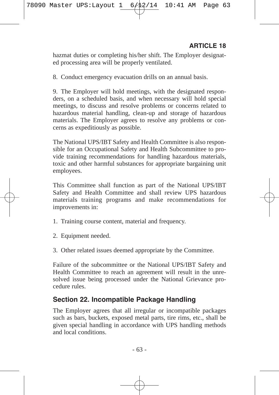hazmat duties or completing his/her shift. The Employer designated processing area will be properly ventilated.

8. Conduct emergency evacuation drills on an annual basis.

9. The Employer will hold meetings, with the designated responders, on a scheduled basis, and when necessary will hold special meetings, to discuss and resolve problems or concerns related to hazardous material handling, clean-up and storage of hazardous materials. The Employer agrees to resolve any problems or concerns as expeditiously as possible.

The National UPS/IBT Safety and Health Committee is also responsible for an Occupational Safety and Health Subcommittee to provide training recommendations for handling hazardous materials, toxic and other harmful substances for appropriate bargaining unit employees.

This Committee shall function as part of the National UPS/IBT Safety and Health Committee and shall review UPS hazardous materials training programs and make recommendations for improvements in:

- 1. Training course content, material and frequency.
- 2. Equipment needed.
- 3. Other related issues deemed appropriate by the Committee.

Failure of the subcommittee or the National UPS/IBT Safety and Health Committee to reach an agreement will result in the unresolved issue being processed under the National Grievance procedure rules.

#### **Section 22. Incompatible Package Handling**

The Employer agrees that all irregular or incompatible packages such as bars, buckets, exposed metal parts, tire rims, etc., shall be given special handling in accordance with UPS handling methods and local conditions.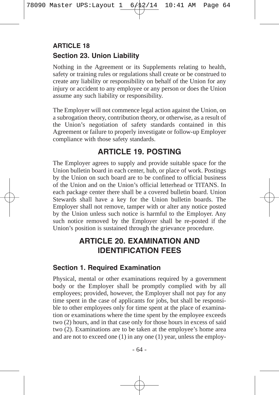## **Section 23. Union Liability ARTICLE 18**

Nothing in the Agreement or its Supplements relating to health, safety or training rules or regulations shall create or be construed to create any liability or responsibility on behalf of the Union for any injury or accident to any employee or any person or does the Union assume any such liability or responsibility.

The Employer will not commence legal action against the Union, on a subrogation theory, contribution theory, or otherwise, as a result of the Union's negotiation of safety standards contained in this Agreement or failure to properly investigate or follow-up Employer compliance with those safety standards.

## **ARTICLE 19. POSTING**

The Employer agrees to supply and provide suitable space for the Union bulletin board in each center, hub, or place of work. Postings by the Union on such board are to be confined to official business of the Union and on the Union's official letterhead or TITANS. In each package center there shall be a covered bulletin board. Union Stewards shall have a key for the Union bulletin boards. The Employer shall not remove, tamper with or alter any notice posted by the Union unless such notice is harmful to the Employer. Any such notice removed by the Employer shall be re-posted if the Union's position is sustained through the grievance procedure.

## **ARTICLE 20. EXAMINATION AND IDENTIFICATION FEES**

### **Section 1. Required Examination**

Physical, mental or other examinations required by a government body or the Employer shall be promptly complied with by all employees; provided, however, the Employer shall not pay for any time spent in the case of applicants for jobs, but shall be responsible to other employees only for time spent at the place of examination or examinations where the time spent by the employee exceeds two (2) hours, and in that case only for those hours in excess of said two (2). Examinations are to be taken at the employee's home area and are not to exceed one (1) in any one (1) year, unless the employ-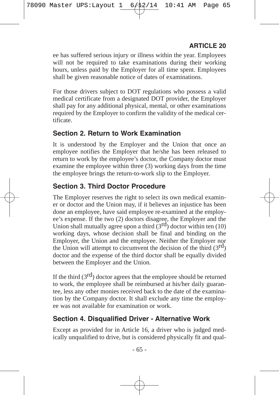ee has suffered serious injury or illness within the year. Employees will not be required to take examinations during their working hours, unless paid by the Employer for all time spent. Employees shall be given reasonable notice of dates of examinations.

For those drivers subject to DOT regulations who possess a valid medical certificate from a designated DOT provider, the Employer shall pay for any additional physical, mental, or other examinations required by the Employer to confirm the validity of the medical certificate.

## **Section 2. Return to Work Examination**

It is understood by the Employer and the Union that once an employee notifies the Employer that he/she has been released to return to work by the employee's doctor, the Company doctor must examine the employee within three (3) working days from the time the employee brings the return-to-work slip to the Employer.

## **Section 3. Third Doctor Procedure**

The Employer reserves the right to select its own medical examiner or doctor and the Union may, if it believes an injustice has been done an employee, have said employee re-examined at the employee's expense. If the two (2) doctors disagree, the Employer and the Union shall mutually agree upon a third  $(3<sup>rd</sup>)$  doctor within ten (10) working days, whose decision shall be final and binding on the Employer, the Union and the employee. Neither the Employer nor the Union will attempt to circumvent the decision of the third  $(3<sup>rd</sup>)$ doctor and the expense of the third doctor shall be equally divided between the Employer and the Union.

If the third  $(3<sup>rd</sup>)$  doctor agrees that the employee should be returned to work, the employee shall be reimbursed at his/her daily guarantee, less any other monies received back to the date of the examination by the Company doctor. It shall exclude any time the employee was not available for examination or work.

# **Section 4. Disqualified Driver - Alternative Work**

Except as provided for in Article 16, a driver who is judged medically unqualified to drive, but is considered physically fit and qual-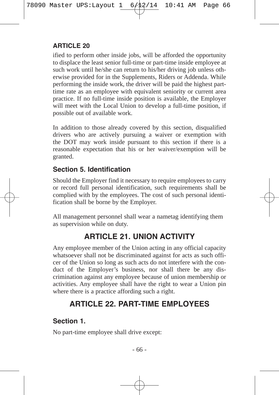ified to perform other inside jobs, will be afforded the opportunity to displace the least senior full-time or part-time inside employee at such work until he/she can return to his/her driving job unless otherwise provided for in the Supplements, Riders or Addenda. While performing the inside work, the driver will be paid the highest parttime rate as an employee with equivalent seniority or current area practice. If no full-time inside position is available, the Employer will meet with the Local Union to develop a full-time position, if possible out of available work.

In addition to those already covered by this section, disqualified drivers who are actively pursuing a waiver or exemption with the DOT may work inside pursuant to this section if there is a reasonable expectation that his or her waiver/exemption will be granted.

### **Section 5. Identification**

Should the Employer find it necessary to require employees to carry or record full personal identification, such requirements shall be complied with by the employees. The cost of such personal identification shall be borne by the Employer.

All management personnel shall wear a nametag identifying them as supervision while on duty.

# **ARTICLE 21. UNION ACTIVITY**

Any employee member of the Union acting in any official capacity whatsoever shall not be discriminated against for acts as such officer of the Union so long as such acts do not interfere with the conduct of the Employer's business, nor shall there be any discrimination against any employee because of union membership or activities. Any employee shall have the right to wear a Union pin where there is a practice affording such a right.

# **ARTICLE 22. PART-TIME EMPLOYEES**

## **Section 1.**

No part-time employee shall drive except: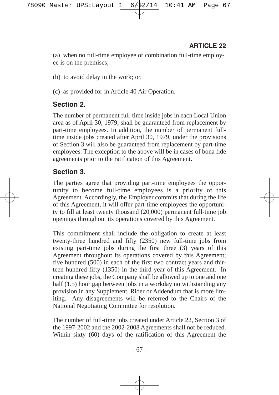(a) when no full-time employee or combination full-time employee is on the premises;

(b) to avoid delay in the work; or,

(c) as provided for in Article 40 Air Operation.

### **Section 2.**

The number of permanent full-time inside jobs in each Local Union area as of April 30, 1979, shall be guaranteed from replacement by part-time employees. In addition, the number of permanent fulltime inside jobs created after April 30, 1979, under the provisions of Section 3 will also be guaranteed from replacement by part-time employees. The exception to the above will be in cases of bona fide agreements prior to the ratification of this Agreement.

### **Section 3.**

The parties agree that providing part-time employees the opportunity to become full-time employees is a priority of this Agreement. Accordingly, the Employer commits that during the life of this Agreement, it will offer part-time employees the opportunity to fill at least twenty thousand (20,000) permanent full-time job openings throughout its operations covered by this Agreement.

This commitment shall include the obligation to create at least twenty-three hundred and fifty (2350) new full-time jobs from existing part-time jobs during the first three (3) years of this Agreement throughout its operations covered by this Agreement; five hundred (500) in each of the first two contract years and thirteen hundred fifty (1350) in the third year of this Agreement. In creating these jobs, the Company shall be allowed up to one and one half (1.5) hour gap between jobs in a workday notwithstanding any provision in any Supplement, Rider or Addendum that is more limiting. Any disagreements will be referred to the Chairs of the National Negotiating Committee for resolution.

The number of full-time jobs created under Article 22, Section 3 of the 1997-2002 and the 2002-2008 Agreements shall not be reduced. Within sixty (60) days of the ratification of this Agreement the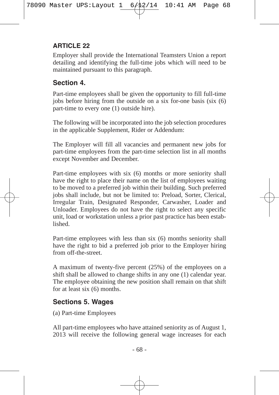Employer shall provide the International Teamsters Union a report detailing and identifying the full-time jobs which will need to be maintained pursuant to this paragraph.

## **Section 4.**

Part-time employees shall be given the opportunity to fill full-time jobs before hiring from the outside on a six for-one basis (six (6) part-time to every one (1) outside hire).

The following will be incorporated into the job selection procedures in the applicable Supplement, Rider or Addendum:

The Employer will fill all vacancies and permanent new jobs for part-time employees from the part-time selection list in all months except November and December.

Part-time employees with six (6) months or more seniority shall have the right to place their name on the list of employees waiting to be moved to a preferred job within their building. Such preferred jobs shall include, but not be limited to: Preload, Sorter, Clerical, Irregular Train, Designated Responder, Carwasher, Loader and Unloader. Employees do not have the right to select any specific unit, load or workstation unless a prior past practice has been established.

Part-time employees with less than six (6) months seniority shall have the right to bid a preferred job prior to the Employer hiring from off-the-street.

A maximum of twenty-five percent (25%) of the employees on a shift shall be allowed to change shifts in any one (1) calendar year. The employee obtaining the new position shall remain on that shift for at least six (6) months.

### **Sections 5. Wages**

(a) Part-time Employees

All part-time employees who have attained seniority as of August 1, 2013 will receive the following general wage increases for each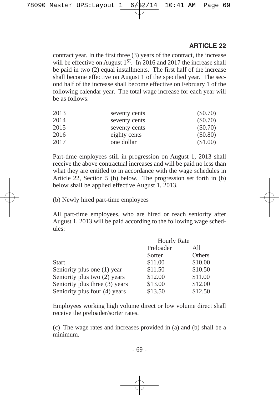contract year. In the first three (3) years of the contract, the increase will be effective on August  $1<sup>st</sup>$ . In 2016 and 2017 the increase shall be paid in two (2) equal installments. The first half of the increase shall become effective on August 1 of the specified year. The second half of the increase shall become effective on February 1 of the following calendar year. The total wage increase for each year will be as follows:

| 2013 | seventy cents | $(\$0.70)$ |
|------|---------------|------------|
| 2014 | seventy cents | $(\$0.70)$ |
| 2015 | seventy cents | (S0.70)    |
| 2016 | eighty cents  | (\$0.80)   |
| 2017 | one dollar    | (\$1.00)   |

Part-time employees still in progression on August 1, 2013 shall receive the above contractual increases and will be paid no less than what they are entitled to in accordance with the wage schedules in Article 22, Section 5 (b) below. The progression set forth in (b) below shall be applied effective August 1, 2013.

(b) Newly hired part-time employees

All part-time employees, who are hired or reach seniority after August 1, 2013 will be paid according to the following wage schedules:

|                                | <b>Hourly Rate</b> |         |
|--------------------------------|--------------------|---------|
|                                | Preloader<br>All   |         |
|                                | Sorter             | Others  |
| Start                          | \$11.00            | \$10.00 |
| Seniority plus one (1) year    | \$11.50            | \$10.50 |
| Seniority plus two (2) years   | \$12.00            | \$11.00 |
| Seniority plus three (3) years | \$13.00            | \$12.00 |
| Seniority plus four (4) years  | \$13.50            | \$12.50 |

Employees working high volume direct or low volume direct shall receive the preloader/sorter rates.

(c) The wage rates and increases provided in (a) and (b) shall be a minimum.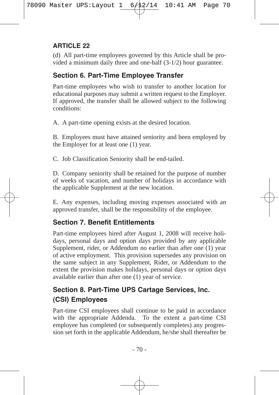(d) All part-time employees governed by this Article shall be provided a minimum daily three and one-half (3-1/2) hour guarantee.

## **Section 6. Part-Time Employee Transfer**

Part-time employees who wish to transfer to another location for educational purposes may submit a written request to the Employer. If approved, the transfer shall be allowed subject to the following conditions:

A. A part-time opening exists at the desired location.

B. Employees must have attained seniority and been employed by the Employer for at least one (1) year.

C. Job Classification Seniority shall be end-tailed.

D. Company seniority shall be retained for the purpose of number of weeks of vacation, and number of holidays in accordance with the applicable Supplement at the new location.

E. Any expenses, including moving expenses associated with an approved transfer, shall be the responsibility of the employee.

## **Section 7. Benefit Entitlements**

Part-time employees hired after August 1, 2008 will receive holidays, personal days and option days provided by any applicable Supplement, rider, or Addendum no earlier than after one (1) year of active employment. This provision supersedes any provision on the same subject in any Supplement, Rider, or Addendum to the extent the provision makes holidays, personal days or option days available earlier than after one (1) year of service.

# **Section 8. Part-Time UPS Cartage Services, Inc. (CSI) Employees**

Part-time CSI employees shall continue to be paid in accordance with the appropriate Addenda. To the extent a part-time CSI employee has completed (or subsequently completes) any progression set forth in the applicable Addendum, he/she shall thereafter be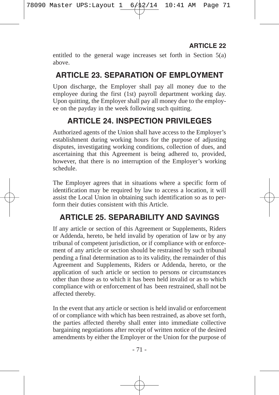entitled to the general wage increases set forth in Section 5(a) above.

# **ARTICLE 23. SEPARATION OF EMPLOYMENT**

Upon discharge, the Employer shall pay all money due to the employee during the first (1st) payroll department working day. Upon quitting, the Employer shall pay all money due to the employee on the payday in the week following such quitting.

# **ARTICLE 24. INSPECTION PRIVILEGES**

Authorized agents of the Union shall have access to the Employer's establishment during working hours for the purpose of adjusting disputes, investigating working conditions, collection of dues, and ascertaining that this Agreement is being adhered to, provided, however, that there is no interruption of the Employer's working schedule.

The Employer agrees that in situations where a specific form of identification may be required by law to access a location, it will assist the Local Union in obtaining such identification so as to perform their duties consistent with this Article.

# **ARTICLE 25. SEPARABILITY AND SAVINGS**

If any article or section of this Agreement or Supplements, Riders or Addenda, hereto, be held invalid by operation of law or by any tribunal of competent jurisdiction, or if compliance with or enforcement of any article or section should be restrained by such tribunal pending a final determination as to its validity, the remainder of this Agreement and Supplements, Riders or Addenda, hereto, or the application of such article or section to persons or circumstances other than those as to which it has been held invalid or as to which compliance with or enforcement of has been restrained, shall not be affected thereby.

In the event that any article or section is held invalid or enforcement of or compliance with which has been restrained, as above set forth, the parties affected thereby shall enter into immediate collective bargaining negotiations after receipt of written notice of the desired amendments by either the Employer or the Union for the purpose of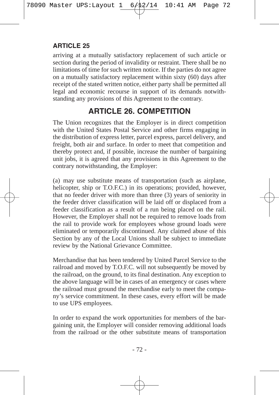arriving at a mutually satisfactory replacement of such article or section during the period of invalidity or restraint. There shall be no limitations of time for such written notice. If the parties do not agree on a mutually satisfactory replacement within sixty (60) days after receipt of the stated written notice, either party shall be permitted all legal and economic recourse in support of its demands notwithstanding any provisions of this Agreement to the contrary.

# **ARTICLE 26. COMPETITION**

The Union recognizes that the Employer is in direct competition with the United States Postal Service and other firms engaging in the distribution of express letter, parcel express, parcel delivery, and freight, both air and surface. In order to meet that competition and thereby protect and, if possible, increase the number of bargaining unit jobs, it is agreed that any provisions in this Agreement to the contrary notwithstanding, the Employer:

(a) may use substitute means of transportation (such as airplane, helicopter, ship or T.O.F.C.) in its operations; provided, however, that no feeder driver with more than three (3) years of seniority in the feeder driver classification will be laid off or displaced from a feeder classification as a result of a run being placed on the rail. However, the Employer shall not be required to remove loads from the rail to provide work for employees whose ground loads were eliminated or temporarily discontinued. Any claimed abuse of this Section by any of the Local Unions shall be subject to immediate review by the National Grievance Committee.

Merchandise that has been tendered by United Parcel Service to the railroad and moved by T.O.F.C. will not subsequently be moved by the railroad, on the ground, to its final destination. Any exception to the above language will be in cases of an emergency or cases where the railroad must ground the merchandise early to meet the company's service commitment. In these cases, every effort will be made to use UPS employees.

In order to expand the work opportunities for members of the bargaining unit, the Employer will consider removing additional loads from the railroad or the other substitute means of transportation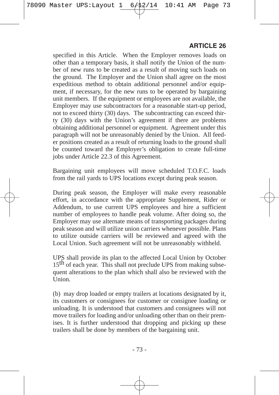specified in this Article. When the Employer removes loads on other than a temporary basis, it shall notify the Union of the number of new runs to be created as a result of moving such loads on the ground. The Employer and the Union shall agree on the most expeditious method to obtain additional personnel and/or equipment, if necessary, for the new runs to be operated by bargaining unit members. If the equipment or employees are not available, the Employer may use subcontractors for a reasonable start-up period, not to exceed thirty (30) days. The subcontracting can exceed thirty (30) days with the Union's agreement if there are problems obtaining additional personnel or equipment. Agreement under this paragraph will not be unreasonably denied by the Union. All feeder positions created as a result of returning loads to the ground shall be counted toward the Employer's obligation to create full-time jobs under Article 22.3 of this Agreement.

Bargaining unit employees will move scheduled T.O.F.C. loads from the rail yards to UPS locations except during peak season.

During peak season, the Employer will make every reasonable effort, in accordance with the appropriate Supplement, Rider or Addendum, to use current UPS employees and hire a sufficient number of employees to handle peak volume. After doing so, the Employer may use alternate means of transporting packages during peak season and will utilize union carriers whenever possible. Plans to utilize outside carriers will be reviewed and agreed with the Local Union. Such agreement will not be unreasonably withheld.

UPS shall provide its plan to the affected Local Union by October 15<sup>th</sup> of each year. This shall not preclude UPS from making subsequent alterations to the plan which shall also be reviewed with the Union.

(b) may drop loaded or empty trailers at locations designated by it, its customers or consignees for customer or consignee loading or unloading. It is understood that customers and consignees will not move trailers for loading and/or unloading other than on their premises. It is further understood that dropping and picking up these trailers shall be done by members of the bargaining unit.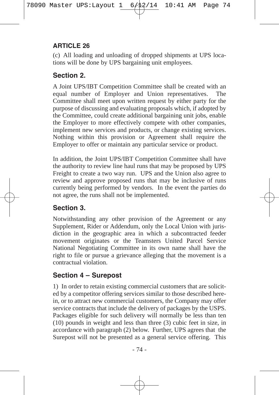(c) All loading and unloading of dropped shipments at UPS locations will be done by UPS bargaining unit employees.

## **Section 2.**

A Joint UPS/IBT Competition Committee shall be created with an equal number of Employer and Union representatives. The Committee shall meet upon written request by either party for the purpose of discussing and evaluating proposals which, if adopted by the Committee, could create additional bargaining unit jobs, enable the Employer to more effectively compete with other companies, implement new services and products, or change existing services. Nothing within this provision or Agreement shall require the Employer to offer or maintain any particular service or product.

In addition, the Joint UPS/IBT Competition Committee shall have the authority to review line haul runs that may be proposed by UPS Freight to create a two way run. UPS and the Union also agree to review and approve proposed runs that may be inclusive of runs currently being performed by vendors. In the event the parties do not agree, the runs shall not be implemented.

## **Section 3.**

Notwithstanding any other provision of the Agreement or any Supplement, Rider or Addendum, only the Local Union with jurisdiction in the geographic area in which a subcontracted feeder movement originates or the Teamsters United Parcel Service National Negotiating Committee in its own name shall have the right to file or pursue a grievance alleging that the movement is a contractual violation.

## **Section 4 – Surepost**

1) In order to retain existing commercial customers that are solicited by a competitor offering services similar to those described herein, or to attract new commercial customers, the Company may offer service contracts that include the delivery of packages by the USPS. Packages eligible for such delivery will normally be less than ten (10) pounds in weight and less than three (3) cubic feet in size, in accordance with paragraph (2) below. Further, UPS agrees that the Surepost will not be presented as a general service offering. This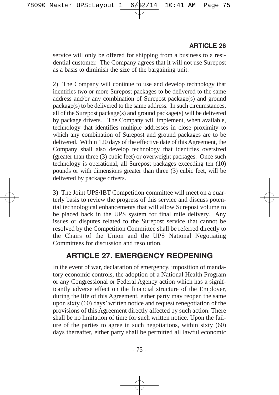service will only be offered for shipping from a business to a residential customer. The Company agrees that it will not use Surepost as a basis to diminish the size of the bargaining unit.

2) The Company will continue to use and develop technology that identifies two or more Surepost packages to be delivered to the same address and/or any combination of Surepost package(s) and ground package(s) to be delivered to the same address. In such circumstances, all of the Surepost package(s) and ground package(s) will be delivered by package drivers. The Company will implement, when available, technology that identifies multiple addresses in close proximity to which any combination of Surepost and ground packages are to be delivered. Within 120 days of the effective date of this Agreement, the Company shall also develop technology that identifies oversized (greater than three (3) cubic feet) or overweight packages. Once such technology is operational, all Surepost packages exceeding ten (10) pounds or with dimensions greater than three (3) cubic feet, will be delivered by package drivers.

3) The Joint UPS/IBT Competition committee will meet on a quarterly basis to review the progress of this service and discuss potential technological enhancements that will allow Surepost volume to be placed back in the UPS system for final mile delivery. Any issues or disputes related to the Surepost service that cannot be resolved by the Competition Committee shall be referred directly to the Chairs of the Union and the UPS National Negotiating Committees for discussion and resolution.

## **ARTICLE 27. EMERGENCY REOPENING**

In the event of war, declaration of emergency, imposition of mandatory economic controls, the adoption of a National Health Program or any Congressional or Federal Agency action which has a significantly adverse effect on the financial structure of the Employer, during the life of this Agreement, either party may reopen the same upon sixty (60) days' written notice and request renegotiation of the provisions of this Agreement directly affected by such action. There shall be no limitation of time for such written notice. Upon the failure of the parties to agree in such negotiations, within sixty (60) days thereafter, either party shall be permitted all lawful economic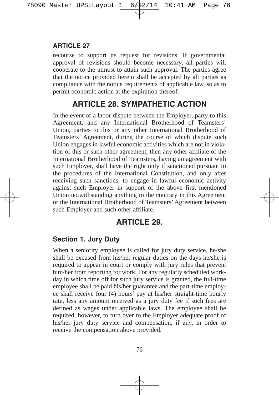recourse to support its request for revisions. If governmental approval of revisions should become necessary, all parties will cooperate to the utmost to attain such approval. The parties agree that the notice provided herein shall be accepted by all parties as compliance with the notice requirements of applicable law, so as to permit economic action at the expiration thereof.

# **ARTICLE 28. SYMPATHETIC ACTION**

In the event of a labor dispute between the Employer, party to this Agreement, and any International Brotherhood of Teamsters' Union, parties to this or any other International Brotherhood of Teamsters' Agreement, during the course of which dispute such Union engages in lawful economic activities which are not in violation of this or such other agreement, then any other affiliate of the International Brotherhood of Teamsters, having an agreement with such Employer, shall have the right only if sanctioned pursuant to the procedures of the International Constitution, and only after receiving such sanctions, to engage in lawful economic activity against such Employer in support of the above first mentioned Union notwithstanding anything to the contrary in this Agreement or the International Brotherhood of Teamsters' Agreement between such Employer and such other affiliate.

## **ARTICLE 29.**

## **Section 1. Jury Duty**

When a seniority employee is called for jury duty service, he/she shall be excused from his/her regular duties on the days he/she is required to appear in court or comply with jury rules that prevent him/her from reporting for work. For any regularly scheduled workday in which time off for such jury service is granted, the full-time employee shall be paid his/her guarantee and the part-time employee shall receive four (4) hours' pay at his/her straight-time hourly rate, less any amount received as a jury duty fee if such fees are defined as wages under applicable laws. The employee shall be required, however, to turn over to the Employer adequate proof of his/her jury duty service and compensation, if any, in order to receive the compensation above provided.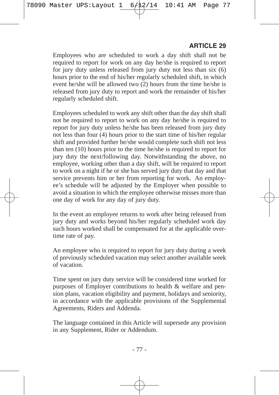Employees who are scheduled to work a day shift shall not be required to report for work on any day he/she is required to report for jury duty unless released from jury duty not less than six (6) hours prior to the end of his/her regularly scheduled shift, in which event he/she will be allowed two (2) hours from the time he/she is released from jury duty to report and work the remainder of his/her regularly scheduled shift.

Employees scheduled to work any shift other than the day shift shall not be required to report to work on any day he/she is required to report for jury duty unless he/she has been released from jury duty not less than four (4) hours prior to the start time of his/her regular shift and provided further he/she would complete such shift not less than ten  $(10)$  hours prior to the time he/she is required to report for jury duty the next/following day. Notwithstanding the above, no employee, working other than a day shift, will be required to report to work on a night if he or she has served jury duty that day and that service prevents him or her from reporting for work. An employee's schedule will be adjusted by the Employer when possible to avoid a situation in which the employee otherwise misses more than one day of work for any day of jury duty.

In the event an employee returns to work after being released from jury duty and works beyond his/her regularly scheduled work day such hours worked shall be compensated for at the applicable overtime rate of pay.

An employee who is required to report for jury duty during a week of previously scheduled vacation may select another available week of vacation.

Time spent on jury duty service will be considered time worked for purposes of Employer contributions to health & welfare and pension plans, vacation eligibility and payment, holidays and seniority, in accordance with the applicable provisions of the Supplemental Agreements, Riders and Addenda.

The language contained in this Article will supersede any provision in any Supplement, Rider or Addendum.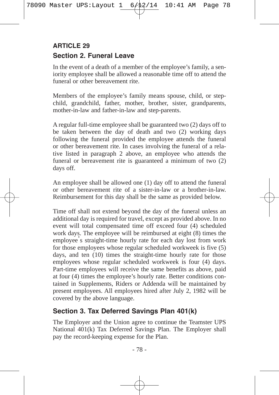## **Section 2. Funeral Leave ARTICLE 29**

In the event of a death of a member of the employee's family, a seniority employee shall be allowed a reasonable time off to attend the funeral or other bereavement rite.

Members of the employee's family means spouse, child, or stepchild, grandchild, father, mother, brother, sister, grandparents, mother-in-law and father-in-law and step-parents.

A regular full-time employee shall be guaranteed two (2) days off to be taken between the day of death and two (2) working days following the funeral provided the employee attends the funeral or other bereavement rite. In cases involving the funeral of a relative listed in paragraph 2 above, an employee who attends the funeral or bereavement rite is guaranteed a minimum of two (2) days off.

An employee shall be allowed one (1) day off to attend the funeral or other bereavement rite of a sister-in-law or a brother-in-law. Reimbursement for this day shall be the same as provided below.

Time off shall not extend beyond the day of the funeral unless an additional day is required for travel, except as provided above. In no event will total compensated time off exceed four (4) scheduled work days. The employee will be reimbursed at eight (8) times the employee's straight-time hourly rate for each day lost from work for those employees whose regular scheduled workweek is five (5) days, and ten (10) times the straight-time hourly rate for those employees whose regular scheduled workweek is four (4) days. Part-time employees will receive the same benefits as above, paid at four (4) times the employee's hourly rate. Better conditions contained in Supplements, Riders or Addenda will be maintained by present employees. All employees hired after July 2, 1982 will be covered by the above language.

## **Section 3. Tax Deferred Savings Plan 401(k)**

The Employer and the Union agree to continue the Teamster UPS National 401(k) Tax Deferred Savings Plan. The Employer shall pay the record-keeping expense for the Plan.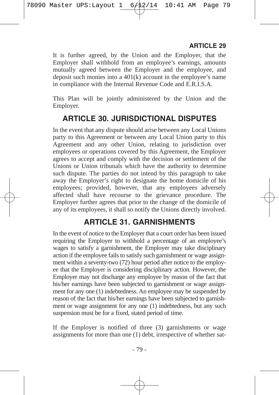It is further agreed, by the Union and the Employer, that the Employer shall withhold from an employee's earnings, amounts mutually agreed between the Employer and the employee, and deposit such monies into a 401(k) account in the employee's name in compliance with the Internal Revenue Code and E.R.I.S.A.

This Plan will be jointly administered by the Union and the Employer.

# **ARTICLE 30. JURISDICTIONAL DISPUTES**

In the event that any dispute should arise between any Local Unions party to this Agreement or between any Local Union party to this Agreement and any other Union, relating to jurisdiction over employees or operations covered by this Agreement, the Employer agrees to accept and comply with the decision or settlement of the Unions or Union tribunals which have the authority to determine such dispute. The parties do not intend by this paragraph to take away the Employer's right to designate the home domicile of his employees; provided, however, that any employees adversely affected shall have recourse to the grievance procedure. The Employer further agrees that prior to the change of the domicile of any of its employees, it shall so notify the Unions directly involved.

## **ARTICLE 31. GARNISHMENTS**

In the event of notice to the Employer that a court order has been issued requiring the Employer to withhold a percentage of an employee's wages to satisfy a garnishment, the Employer may take disciplinary action if the employee fails to satisfy such garnishment or wage assignment within a seventy-two (72) hour period after notice to the employee that the Employer is considering disciplinary action. However, the Employer may not discharge any employee by reason of the fact that his/her earnings have been subjected to garnishment or wage assignment for any one (1) indebtedness. An employee may be suspended by reason of the fact that his/her earnings have been subjected to garnishment or wage assignment for any one (1) indebtedness, but any such suspension must be for a fixed, stated period of time.

If the Employer is notified of three (3) garnishments or wage assignments for more than one (1) debt, irrespective of whether sat-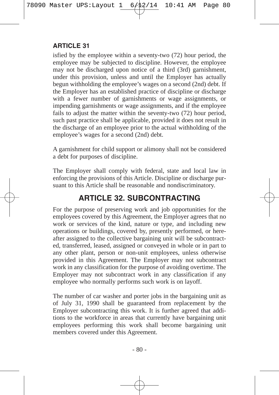isfied by the employee within a seventy-two (72) hour period, the employee may be subjected to discipline. However, the employee may not be discharged upon notice of a third (3rd) garnishment, under this provision, unless and until the Employer has actually begun withholding the employee's wages on a second (2nd) debt. If the Employer has an established practice of discipline or discharge with a fewer number of garnishments or wage assignments, or impending garnishments or wage assignments, and if the employee fails to adjust the matter within the seventy-two (72) hour period, such past practice shall be applicable, provided it does not result in the discharge of an employee prior to the actual withholding of the employee's wages for a second (2nd) debt.

A garnishment for child support or alimony shall not be considered a debt for purposes of discipline.

The Employer shall comply with federal, state and local law in enforcing the provisions of this Article. Discipline or discharge pursuant to this Article shall be reasonable and nondiscriminatory.

# **ARTICLE 32. SUBCONTRACTING**

For the purpose of preserving work and job opportunities for the employees covered by this Agreement, the Employer agrees that no work or services of the kind, nature or type, and including new operations or buildings, covered by, presently performed, or hereafter assigned to the collective bargaining unit will be subcontracted, transferred, leased, assigned or conveyed in whole or in part to any other plant, person or non-unit employees, unless otherwise provided in this Agreement. The Employer may not subcontract work in any classification for the purpose of avoiding overtime. The Employer may not subcontract work in any classification if any employee who normally performs such work is on layoff.

The number of car washer and porter jobs in the bargaining unit as of July 31, 1990 shall be guaranteed from replacement by the Employer subcontracting this work. It is further agreed that additions to the workforce in areas that currently have bargaining unit employees performing this work shall become bargaining unit members covered under this Agreement.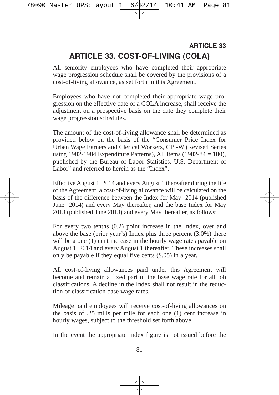# **ARTICLE 33. COST-OF-LIVING (COLA) ARTICLE 33**

All seniority employees who have completed their appropriate wage progression schedule shall be covered by the provisions of a cost-of-living allowance, as set forth in this Agreement.

Employees who have not completed their appropriate wage progression on the effective date of a COLA increase, shall receive the adjustment on a prospective basis on the date they complete their wage progression schedules.

The amount of the cost-of-living allowance shall be determined as provided below on the basis of the "Consumer Price Index for Urban Wage Earners and Clerical Workers, CPI-W (Revised Series using 1982-1984 Expenditure Patterns), All Items (1982-84 = 100), published by the Bureau of Labor Statistics, U.S. Department of Labor" and referred to herein as the "Index".

Effective August 1, 2014 and every August 1 thereafter during the life of the Agreement, a cost-of-living allowance will be calculated on the basis of the difference between the Index for May 2014 (published June 2014) and every May thereafter, and the base Index for May 2013 (published June 2013) and every May thereafter, as follows:

For every two tenths (0.2) point increase in the Index, over and above the base (prior year's) Index plus three percent (3.0%) there will be a one (1) cent increase in the hourly wage rates payable on August 1, 2014 and every August 1 thereafter. These increases shall only be payable if they equal five cents (\$.05) in a year.

All cost-of-living allowances paid under this Agreement will become and remain a fixed part of the base wage rate for all job classifications. A decline in the Index shall not result in the reduction of classification base wage rates.

Mileage paid employees will receive cost-of-living allowances on the basis of .25 mills per mile for each one (1) cent increase in hourly wages, subject to the threshold set forth above.

In the event the appropriate Index figure is not issued before the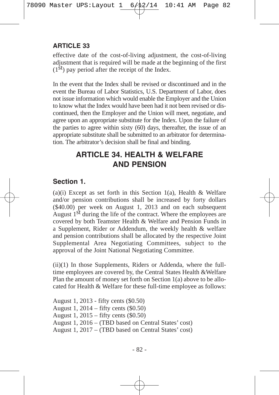effective date of the cost-of-living adjustment, the cost-of-living adjustment that is required will be made at the beginning of the first  $(1<sup>st</sup>)$  pay period after the receipt of the Index.

In the event that the Index shall be revised or discontinued and in the event the Bureau of Labor Statistics, U.S. Department of Labor, does not issue information which would enable the Employer and the Union to know what the Index would have been had it not been revised or discontinued, then the Employer and the Union will meet, negotiate, and agree upon an appropriate substitute for the Index. Upon the failure of the parties to agree within sixty (60) days, thereafter, the issue of an appropriate substitute shall be submitted to an arbitrator for determination. The arbitrator's decision shall be final and binding.

# **ARTICLE 34. HEALTH & WELFARE AND PENSION**

# **Section 1.**

 $(a)(i)$  Except as set forth in this Section 1(a), Health & Welfare and/or pension contributions shall be increased by forty dollars (\$40.00) per week on August 1, 2013 and on each subsequent August  $1<sup>st</sup>$  during the life of the contract. Where the employees are covered by both Teamster Health & Welfare and Pension Funds in a Supplement, Rider or Addendum, the weekly health & welfare and pension contributions shall be allocated by the respective Joint Supplemental Area Negotiating Committees, subject to the approval of the Joint National Negotiating Committee.

(ii)(1) In those Supplements, Riders or Addenda, where the fulltime employees are covered by, the Central States Health &Welfare Plan the amount of money set forth on Section 1(a) above to be allocated for Health & Welfare for these full-time employee as follows:

August 1, 2013 - fifty cents (\$0.50) August 1, 2014 – fifty cents (\$0.50) August 1, 2015 – fifty cents (\$0.50) August 1, 2016 – (TBD based on Central States' cost) August 1, 2017 – (TBD based on Central States' cost)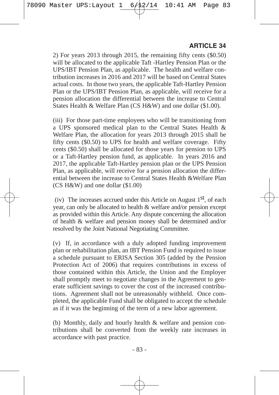2) For years 2013 through 2015, the remaining fifty cents (\$0.50) will be allocated to the applicable Taft -Hartley Pension Plan or the UPS/IBT Pension Plan, as applicable. The health and welfare contribution increases in 2016 and 2017 will be based on Central States actual costs. In those two years, the applicable Taft-Hartley Pension Plan or the UPS/IBT Pension Plan, as applicable, will receive for a pension allocation the differential between the increase to Central States Health & Welfare Plan (CS H&W) and one dollar (\$1.00).

(iii) For those part-time employees who will be transitioning from a UPS sponsored medical plan to the Central States Health & Welfare Plan, the allocation for years 2013 through 2015 shall be fifty cents (\$0.50) to UPS for health and welfare coverage. Fifty cents (\$0.50) shall be allocated for those years for pension to UPS or a Taft-Hartley pension fund, as applicable. In years 2016 and 2017, the applicable Taft-Hartley pension plan or the UPS Pension Plan, as applicable, will receive for a pension allocation the differential between the increase to Central States Health &Welfare Plan (CS H&W) and one dollar (\$1.00)

(iv) The increases accrued under this Article on August  $1<sup>st</sup>$ , of each year, can only be allocated to health & welfare and/or pension except as provided within this Article. Any dispute concerning the allocation of health & welfare and pension money shall be determined and/or resolved by the Joint National Negotiating Committee.

(v) If, in accordance with a duly adopted funding improvement plan or rehabilitation plan, an IBT Pension Fund is required to issue a schedule pursuant to ERISA Section 305 (added by the Pension Protection Act of 2006) that requires contributions in excess of those contained within this Article, the Union and the Employer shall promptly meet to negotiate changes in the Agreement to generate sufficient savings to cover the cost of the increased contributions. Agreement shall not be unreasonably withheld. Once completed, the applicable Fund shall be obligated to accept the schedule as if it was the beginning of the term of a new labor agreement.

(b) Monthly, daily and hourly health & welfare and pension contributions shall be converted from the weekly rate increases in accordance with past practice.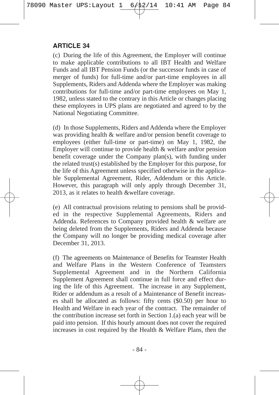(c) During the life of this Agreement, the Employer will continue to make applicable contributions to all IBT Health and Welfare Funds and all IBT Pension Funds (or the successor funds in case of merger of funds) for full-time and/or part-time employees in all Supplements, Riders and Addenda where the Employer was making contributions for full-time and/or part-time employees on May 1, 1982, unless stated to the contrary in this Article or changes placing these employees in UPS plans are negotiated and agreed to by the National Negotiating Committee.

(d) In those Supplements, Riders and Addenda where the Employer was providing health & welfare and/or pension benefit coverage to employees (either full-time or part-time) on May 1, 1982, the Employer will continue to provide health & welfare and/or pension benefit coverage under the Company plan(s), with funding under the related trust(s) established by the Employer for this purpose, for the life of this Agreement unless specified otherwise in the applicable Supplemental Agreement, Rider, Addendum or this Article. However, this paragraph will only apply through December 31, 2013, as it relates to health &welfare coverage.

(e) All contractual provisions relating to pensions shall be provided in the respective Supplemental Agreements, Riders and Addenda. References to Company provided health & welfare are being deleted from the Supplements, Riders and Addenda because the Company will no longer be providing medical coverage after December 31, 2013.

(f) The agreements on Maintenance of Benefits for Teamster Health and Welfare Plans in the Western Conference of Teamsters Supplemental Agreement and in the Northern California Supplement Agreement shall continue in full force and effect during the life of this Agreement. The increase in any Supplement, Rider or addendum as a result of a Maintenance of Benefit increases shall be allocated as follows: fifty cents (\$0.50) per hour to Health and Welfare in each year of the contract. The remainder of the contribution increase set forth in Section 1.(a) each year will be paid into pension. If this hourly amount does not cover the required increases in cost required by the Health & Welfare Plans, then the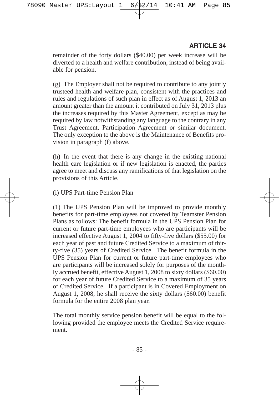remainder of the forty dollars (\$40.00) per week increase will be diverted to a health and welfare contribution, instead of being available for pension.

(g) The Employer shall not be required to contribute to any jointly trusteed health and welfare plan, consistent with the practices and rules and regulations of such plan in effect as of August 1, 2013 an amount greater than the amount it contributed on July 31, 2013 plus the increases required by this Master Agreement, except as may be required by law notwithstanding any language to the contrary in any Trust Agreement, Participation Agreement or similar document. The only exception to the above is the Maintenance of Benefits provision in paragraph (f) above.

(h**)** In the event that there is any change in the existing national health care legislation or if new legislation is enacted, the parties agree to meet and discuss any ramifications of that legislation on the provisions of this Article.

#### (i) UPS Part-time Pension Plan

(1) The UPS Pension Plan will be improved to provide monthly benefits for part-time employees not covered by Teamster Pension Plans as follows: The benefit formula in the UPS Pension Plan for current or future part-time employees who are participants will be increased effective August 1, 2004 to fifty-five dollars (\$55.00) for each year of past and future Credited Service to a maximum of thirty-five (35) years of Credited Service. The benefit formula in the UPS Pension Plan for current or future part-time employees who are participants will be increased solely for purposes of the monthly accrued benefit, effective August 1, 2008 to sixty dollars (\$60.00) for each year of future Credited Service to a maximum of 35 years of Credited Service. If a participant is in Covered Employment on August 1, 2008, he shall receive the sixty dollars (\$60.00) benefit formula for the entire 2008 plan year.

The total monthly service pension benefit will be equal to the following provided the employee meets the Credited Service requirement.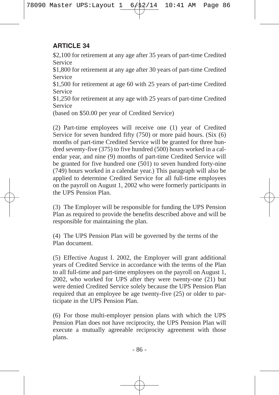\$2,100 for retirement at any age after 35 years of part-time Credited Service

\$1,800 for retirement at any age after 30 years of part-time Credited Service

\$1,500 for retirement at age 60 with 25 years of part-time Credited Service

\$1,250 for retirement at any age with 25 years of part-time Credited Service

(based on \$50.00 per year of Credited Service)

(2) Part-time employees will receive one (1) year of Credited Service for seven hundred fifty (750) or more paid hours. (Six (6) months of part-time Credited Service will be granted for three hundred seventy-five (375) to five hundred (500) hours worked in a calendar year, and nine (9) months of part-time Credited Service will be granted for five hundred one  $(501)$  to seven hundred forty-nine (749) hours worked in a calendar year.) This paragraph will also be applied to determine Credited Service for all full-time employees on the payroll on August 1, 2002 who were formerly participants in the UPS Pension Plan.

(3) The Employer will be responsible for funding the UPS Pension Plan as required to provide the benefits described above and will be responsible for maintaining the plan.

(4) The UPS Pension Plan will be governed by the terms of the Plan document.

(5) Effective August I. 2002, the Employer will grant additional years of Credited Service in accordance with the terms of the Plan to all full-time and part-time employees on the payroll on August 1, 2002, who worked for UPS after they were twenty-one (21) but were denied Credited Service solely because the UPS Pension Plan required that an employee be age twenty-five (25) or older to participate in the UPS Pension Plan.

(6) For those multi-employer pension plans with which the UPS Pension Plan does not have reciprocity, the UPS Pension Plan will execute a mutually agreeable reciprocity agreement with those plans.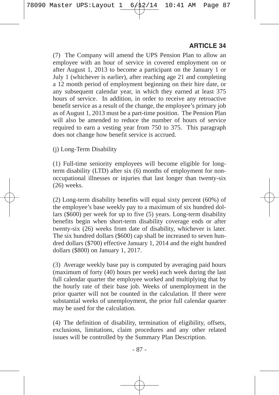(7) The Company will amend the UPS Pension Plan to allow an employee with an hour of service in covered employment on or after August 1, 2013 to become a participant on the January 1 or July 1 (whichever is earlier), after reaching age 21 and completing a 12 month period of employment beginning on their hire date, or any subsequent calendar year, in which they earned at least 375 hours of service. In addition, in order to receive any retroactive benefit service as a result of the change, the employee's primary job as of August 1, 2013 must be a part-time position. The Pension Plan will also be amended to reduce the number of hours of service required to earn a vesting year from 750 to 375. This paragraph does not change how benefit service is accrued.

(j) Long-Term Disability

(1) Full-time seniority employees will become eligible for longterm disability (LTD) after six (6) months of employment for nonoccupational illnesses or injuries that last longer than twenty-six (26) weeks.

(2) Long-term disability benefits will equal sixty percent (60%) of the employee's base weekly pay to a maximum of six hundred dollars (\$600) per week for up to five (5) years. Long-term disability benefits begin when short-term disability coverage ends or after twenty-six (26) weeks from date of disability, whichever is later. The six hundred dollars (\$600) cap shall be increased to seven hundred dollars (\$700) effective January 1, 2014 and the eight hundred dollars (\$800) on January 1, 2017.

(3) Average weekly base pay is computed by averaging paid hours (maximum of forty (40) hours per week) each week during the last full calendar quarter the employee worked and multiplying that by the hourly rate of their base job. Weeks of unemployment in the prior quarter will not be counted in the calculation. If there were substantial weeks of unemployment, the prior full calendar quarter may be used for the calculation.

(4) The definition of disability, termination of eligibility, offsets, exclusions, limitations, claim procedures and any other related issues will be controlled by the Summary Plan Description.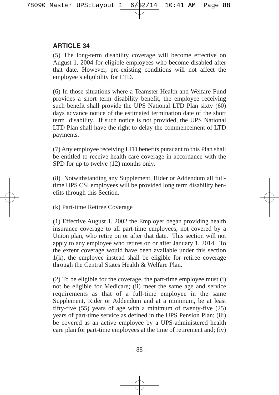(5) The long-term disability coverage will become effective on August 1, 2004 for eligible employees who become disabled after that date. However, pre-existing conditions will not affect the employee's eligibility for LTD.

(6) In those situations where a Teamster Health and Welfare Fund provides a short term disability benefit, the employee receiving such benefit shall provide the UPS National LTD Plan sixty (60) days advance notice of the estimated termination date of the short term disability. If such notice is not provided, the UPS National LTD Plan shall have the right to delay the commencement of LTD payments.

(7) Any employee receiving LTD benefits pursuant to this Plan shall be entitled to receive health care coverage in accordance with the SPD for up to twelve  $(12)$  months only.

(8) Notwithstanding any Supplement, Rider or Addendum all fulltime UPS CSI employees will be provided long term disability benefits through this Section.

(k) Part-time Retiree Coverage

(1) Effective August 1, 2002 the Employer began providing health insurance coverage to all part-time employees, not covered by a Union plan, who retire on or after that date. This section will not apply to any employee who retires on or after January 1, 2014. To the extent coverage would have been available under this section 1(k), the employee instead shall be eligible for retiree coverage through the Central States Health & Welfare Plan.

(2) To be eligible for the coverage, the part-time employee must (i) not be eligible for Medicare; (ii) meet the same age and service requirements as that of a full-time employee in the same Supplement, Rider or Addendum and at a minimum, be at least fifty-five (55) years of age with a minimum of twenty-five (25) years of part-time service as defined in the UPS Pension Plan; (iii) be covered as an active employee by a UPS-administered health care plan for part-time employees at the time of retirement and; (iv)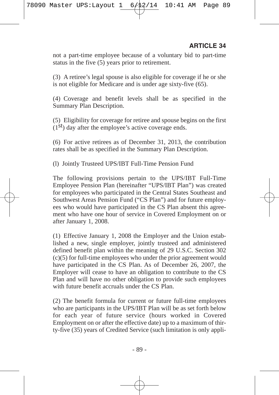not a part-time employee because of a voluntary bid to part-time status in the five (5) years prior to retirement.

(3) A retiree's legal spouse is also eligible for coverage if he or she is not eligible for Medicare and is under age sixty-five (65).

(4) Coverage and benefit levels shall be as specified in the Summary Plan Description.

(5) Eligibility for coverage for retiree and spouse begins on the first  $(1<sup>st</sup>)$  day after the employee's active coverage ends.

(6) For active retirees as of December 31, 2013, the contribution rates shall be as specified in the Summary Plan Description.

(l) Jointly Trusteed UPS/IBT Full-Time Pension Fund

The following provisions pertain to the UPS/IBT Full-Time Employee Pension Plan (hereinafter "UPS/IBT Plan") was created for employees who participated in the Central States Southeast and Southwest Areas Pension Fund ("CS Plan") and for future employees who would have participated in the CS Plan absent this agreement who have one hour of service in Covered Employment on or after January 1, 2008.

(1) Effective January 1, 2008 the Employer and the Union established a new, single employer, jointly trusteed and administered defined benefit plan within the meaning of 29 U.S.C. Section 302 (c)(5) for full-time employees who under the prior agreement would have participated in the CS Plan. As of December 26, 2007, the Employer will cease to have an obligation to contribute to the CS Plan and will have no other obligation to provide such employees with future benefit accruals under the CS Plan.

(2) The benefit formula for current or future full-time employees who are participants in the UPS/IBT Plan will be as set forth below for each year of future service (hours worked in Covered Employment on or after the effective date) up to a maximum of thirty-five (35) years of Credited Service (such limitation is only appli-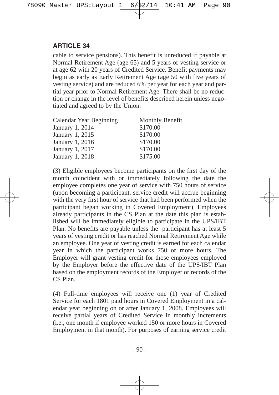cable to service pensions). This benefit is unreduced if payable at Normal Retirement Age (age 65) and 5 years of vesting service or at age 62 with 20 years of Credited Service. Benefit payments may begin as early as Early Retirement Age (age 50 with five years of vesting service) and are reduced 6% per year for each year and partial year prior to Normal Retirement Age. There shall be no reduction or change in the level of benefits described herein unless negotiated and agreed to by the Union.

| Calendar Year Beginning | Monthly Benefit |
|-------------------------|-----------------|
| January 1, 2014         | \$170.00        |
| January 1, 2015         | \$170.00        |
| January 1, 2016         | \$170.00        |
| January 1, 2017         | \$170.00        |
| January 1, 2018         | \$175.00        |

(3) Eligible employees become participants on the first day of the month coincident with or immediately following the date the employee completes one year of service with 750 hours of service (upon becoming a participant, service credit will accrue beginning with the very first hour of service that had been performed when the participant began working in Covered Employment). Employees already participants in the CS Plan at the date this plan is established will be immediately eligible to participate in the UPS/IBT Plan. No benefits are payable unless the participant has at least 5 years of vesting credit or has reached Normal Retirement Age while an employee. One year of vesting credit is earned for each calendar year in which the participant works 750 or more hours. The Employer will grant vesting credit for those employees employed by the Employer before the effective date of the UPS/IBT Plan based on the employment records of the Employer or records of the CS Plan.

(4) Full-time employees will receive one (1) year of Credited Service for each 1801 paid hours in Covered Employment in a calendar year beginning on or after January 1, 2008. Employees will receive partial years of Credited Service in monthly increments (i.e., one month if employee worked 150 or more hours in Covered Employment in that month). For purposes of earning service credit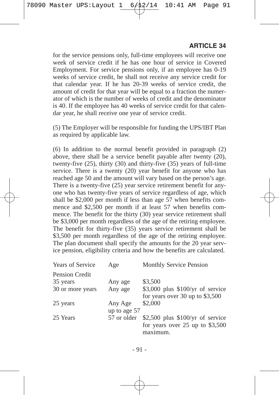for the service pensions only, full-time employees will receive one week of service credit if he has one hour of service in Covered Employment. For service pensions only, if an employee has 0-19 weeks of service credit, he shall not receive any service credit for that calendar year. If he has 20-39 weeks of service credit, the amount of credit for that year will be equal to a fraction the numerator of which is the number of weeks of credit and the denominator is 40. If the employee has 40 weeks of service credit for that calendar year, he shall receive one year of service credit.

(5) The Employer will be responsible for funding the UPS/IBT Plan as required by applicable law.

(6) In addition to the normal benefit provided in paragraph (2) above, there shall be a service benefit payable after twenty (20), twenty-five (25), thirty (30) and thirty-five (35) years of full-time service. There is a twenty (20) year benefit for anyone who has reached age 50 and the amount will vary based on the person's age. There is a twenty-five (25) year service retirement benefit for anyone who has twenty-five years of service regardless of age, which shall be \$2,000 per month if less than age 57 when benefits commence and \$2,500 per month if at least 57 when benefits commence. The benefit for the thirty (30) year service retirement shall be \$3,000 per month regardless of the age of the retiring employee. The benefit for thirty-five (35) years service retirement shall be \$3,500 per month regardless of the age of the retiring employee. The plan document shall specify the amounts for the 20 year service pension, eligibility criteria and how the benefits are calculated.

| Years of Service | Age          | Monthly Service Pension            |
|------------------|--------------|------------------------------------|
| Pension Credit   |              |                                    |
| 35 years         | Any age      | \$3,500                            |
| 30 or more years | Any age      | $$3,000$ plus $$100/yr$ of service |
|                  |              | for years over 30 up to $$3,500$   |
| 25 years         | Any Age      | \$2,000                            |
|                  | up to age 57 |                                    |
| 25 Years         | 57 or older  | \$2,500 plus $$100/yr$ of service  |
|                  |              | for years over $25$ up to \$3,500  |
|                  |              | maximum.                           |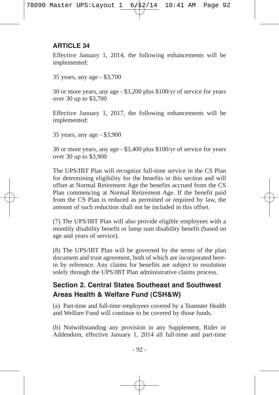Effective January 1, 2014, the following enhancements will be implemented:

35 years, any age - \$3,700

30 or more years, any age - \$3,200 plus \$100/yr of service for years over 30 up to \$3,700

Effective January 1, 2017, the following enhancements will be implemented:

35 years, any age - \$3,900

30 or more years, any age - \$3,400 plus \$100/yr of service for years over 30 up to \$3,900

The UPS/IBT Plan will recognize full-time service in the CS Plan for determining eligibility for the benefits in this section and will offset at Normal Retirement Age the benefits accrued from the CS Plan commencing at Normal Retirement Age. If the benefit paid from the CS Plan is reduced as permitted or required by law, the amount of such reduction shall not be included in this offset.

(7) The UPS/IBT Plan will also provide eligible employees with a monthly disability benefit or lump sum disability benefit (based on age and years of service).

(8) The UPS/IBT Plan will be governed by the terms of the plan document and trust agreement, both of which are incorporated herein by reference. Any claims for benefits are subject to resolution solely through the UPS/IBT Plan administrative claims process.

## **Section 2. Central States Southeast and Southwest Areas Health & Welfare Fund (CSH&W)**

(a) Part-time and full-time employees covered by a Teamster Health and Welfare Fund will continue to be covered by those funds.

(b) Notwithstanding any provision in any Supplement, Rider or Addendum, effective January 1, 2014 all full-time and part-time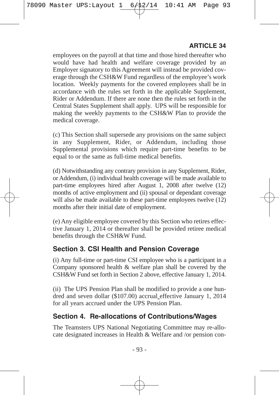employees on the payroll at that time and those hired thereafter who would have had health and welfare coverage provided by an Employer signatory to this Agreement will instead be provided coverage through the CSH&W Fund regardless of the employee's work location. Weekly payments for the covered employees shall be in accordance with the rules set forth in the applicable Supplement, Rider or Addendum. If there are none then the rules set forth in the Central States Supplement shall apply. UPS will be responsible for making the weekly payments to the CSH&W Plan to provide the medical coverage.

(c) This Section shall supersede any provisions on the same subject in any Supplement, Rider, or Addendum, including those Supplemental provisions which require part-time benefits to be equal to or the same as full-time medical benefits.

(d) Notwithstanding any contrary provision in any Supplement, Rider, or Addendum, (i) individual health coverage will be made available to part-time employees hired after August 1, 2008 after twelve (12) months of active employment and (ii) spousal or dependant coverage will also be made available to these part-time employees twelve  $(12)$ months after their initial date of employment.

(e) Any eligible employee covered by this Section who retires effective January 1, 2014 or thereafter shall be provided retiree medical benefits through the CSH&W Fund.

### **Section 3. CSI Health and Pension Coverage**

(i) Any full-time or part-time CSI employee who is a participant in a Company sponsored health & welfare plan shall be covered by the CSH&W Fund set forth in Section 2 above, effective January 1, 2014.

(ii) The UPS Pension Plan shall be modified to provide a one hundred and seven dollar (\$107.00) accrual effective January 1, 2014 for all years accrued under the UPS Pension Plan.

### **Section 4. Re-allocations of Contributions/Wages**

The Teamsters UPS National Negotiating Committee may re-allocate designated increases in Health & Welfare and /or pension con-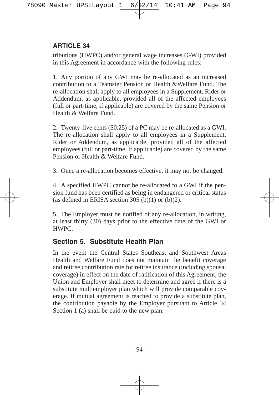tributions (HWPC) and/or general wage increases (GWI) provided in this Agreement in accordance with the following rules:

1. Any portion of any GWI may be re-allocated as an increased contribution to a Teamster Pension or Health &Welfare Fund. The re-allocation shall apply to all employees in a Supplement, Rider or Addendum, as applicable, provided all of the affected employees (full or part-time, if applicable) are covered by the same Pension or Health & Welfare Fund.

2. Twenty-five cents (\$0.25) of a PC may be re-allocated as a GWI. The re-allocation shall apply to all employees in a Supplement, Rider or Addendum, as applicable, provided all of the affected employees (full or part-time, if applicable) are covered by the same Pension or Health & Welfare Fund.

3. Once a re-allocation becomes effective, it may not be changed.

4. A specified HWPC cannot be re-allocated to a GWI if the pension fund has been certified as being in endangered or critical status (as defined in ERISA section 305 (b)(1) or (b)(2).

5. The Employer must be notified of any re-allocation, in writing, at least thirty (30) days prior to the effective date of the GWI or HWPC.

### **Section 5. Substitute Health Plan**

In the event the Central States Southeast and Southwest Areas Health and Welfare Fund does not maintain the benefit coverage and retiree contribution rate for retiree insurance (including spousal coverage) in effect on the date of ratification of this Agreement, the Union and Employer shall meet to determine and agree if there is a substitute multiemployer plan which will provide comparable coverage. If mutual agreement is reached to provide a substitute plan, the contribution payable by the Employer pursuant to Article 34 Section 1 (a) shall be paid to the new plan.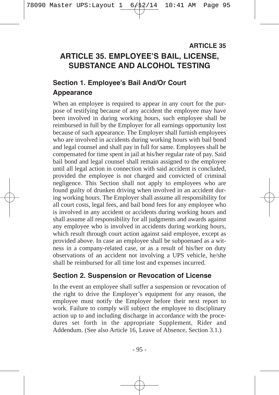## **ARTICLE 35. EMPLOYEE'S BAIL, LICENSE, SUBSTANCE AND ALCOHOL TESTING ARTICLE 35**

## **Section 1. Employee's Bail And/Or Court Appearance**

When an employee is required to appear in any court for the purpose of testifying because of any accident the employee may have been involved in during working hours, such employee shall be reimbursed in full by the Employer for all earnings opportunity lost because of such appearance. The Employer shall furnish employees who are involved in accidents during working hours with bail bond and legal counsel and shall pay in full for same. Employees shall be compensated for time spent in jail at his/her regular rate of pay. Said bail bond and legal counsel shall remain assigned to the employee until all legal action in connection with said accident is concluded, provided the employee is not charged and convicted of criminal negligence. This Section shall not apply to employees who are found guilty of drunken driving when involved in an accident during working hours. The Employer shall assume all responsibility for all court costs, legal fees, and bail bond fees for any employee who is involved in any accident or accidents during working hours and shall assume all responsibility for all judgments and awards against any employee who is involved in accidents during working hours, which result through court action against said employee, except as provided above. In case an employee shall be subpoenaed as a witness in a company-related case, or as a result of his/her on duty observations of an accident not involving a UPS vehicle, he/she shall be reimbursed for all time lost and expenses incurred.

### **Section 2. Suspension or Revocation of License**

In the event an employee shall suffer a suspension or revocation of the right to drive the Employer's equipment for any reason, the employee must notify the Employer before their next report to work. Failure to comply will subject the employee to disciplinary action up to and including discharge in accordance with the procedures set forth in the appropriate Supplement, Rider and Addendum. (See also Article 16, Leave of Absence, Section 3.1.)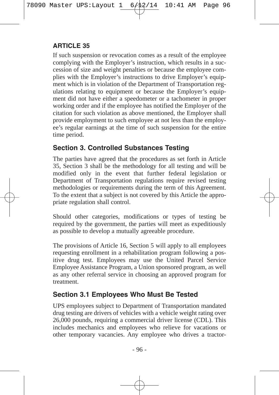If such suspension or revocation comes as a result of the employee complying with the Employer's instruction, which results in a succession of size and weight penalties or because the employee complies with the Employer's instructions to drive Employer's equipment which is in violation of the Department of Transportation regulations relating to equipment or because the Employer's equipment did not have either a speedometer or a tachometer in proper working order and if the employee has notified the Employer of the citation for such violation as above mentioned, the Employer shall provide employment to such employee at not less than the employee's regular earnings at the time of such suspension for the entire time period.

### **Section 3. Controlled Substances Testing**

The parties have agreed that the procedures as set forth in Article 35, Section 3 shall be the methodology for all testing and will be modified only in the event that further federal legislation or Department of Transportation regulations require revised testing methodologies or requirements during the term of this Agreement. To the extent that a subject is not covered by this Article the appropriate regulation shall control.

Should other categories, modifications or types of testing be required by the government, the parties will meet as expeditiously as possible to develop a mutually agreeable procedure.

The provisions of Article 16, Section 5 will apply to all employees requesting enrollment in a rehabilitation program following a positive drug test. Employees may use the United Parcel Service Employee Assistance Program, a Union sponsored program, as well as any other referral service in choosing an approved program for treatment.

## **Section 3.1 Employees Who Must Be Tested**

UPS employees subject to Department of Transportation mandated drug testing are drivers of vehicles with a vehicle weight rating over 26,000 pounds, requiring a commercial driver license (CDL). This includes mechanics and employees who relieve for vacations or other temporary vacancies. Any employee who drives a tractor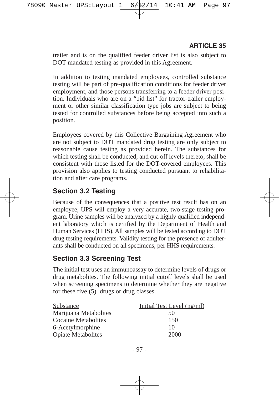trailer and is on the qualified feeder driver list is also subject to DOT mandated testing as provided in this Agreement.

In addition to testing mandated employees, controlled substance testing will be part of pre-qualification conditions for feeder driver employment, and those persons transferring to a feeder driver position. Individuals who are on a "bid list" for tractor-trailer employment or other similar classification type jobs are subject to being tested for controlled substances before being accepted into such a position.

Employees covered by this Collective Bargaining Agreement who are not subject to DOT mandated drug testing are only subject to reasonable cause testing as provided herein. The substances for which testing shall be conducted, and cut-off levels thereto, shall be consistent with those listed for the DOT-covered employees. This provision also applies to testing conducted pursuant to rehabilitation and after care programs.

## **Section 3.2 Testing**

Because of the consequences that a positive test result has on an employee, UPS will employ a very accurate, two-stage testing program. Urine samples will be analyzed by a highly qualified independent laboratory which is certified by the Department of Health and Human Services (HHS). All samples will be tested according to DOT drug testing requirements. Validity testing for the presence of adulterants shall be conducted on all specimens, per HHS requirements.

### **Section 3.3 Screening Test**

The initial test uses an immunoassay to determine levels of drugs or drug metabolites. The following initial cutoff levels shall be used when screening specimens to determine whether they are negative for these five (5) drugs or drug classes.

| Substance                 | Initial Test Level (ng/ml) |
|---------------------------|----------------------------|
| Marijuana Metabolites     | 50                         |
| Cocaine Metabolites       | 150                        |
| 6-Acetylmorphine          | 10                         |
| <b>Opiate Metabolites</b> | 2000                       |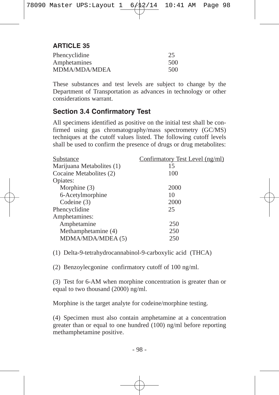| Phencyclidine | 25  |
|---------------|-----|
| Amphetamines  | 500 |
| MDMA/MDA/MDEA | 500 |

These substances and test levels are subject to change by the Department of Transportation as advances in technology or other considerations warrant.

### **Section 3.4 Confirmatory Test**

All specimens identified as positive on the initial test shall be confirmed using gas chromatography/mass spectrometry (GC/MS) techniques at the cutoff values listed. The following cutoff levels shall be used to confirm the presence of drugs or drug metabolites:

| Substance                 | Confirmatory Test Level (ng/ml) |
|---------------------------|---------------------------------|
| Marijuana Metabolites (1) | 15                              |
| Cocaine Metabolites (2)   | 100                             |
| Opiates:                  |                                 |
| Morphine (3)              | 2000                            |
| 6-Acetylmorphine          | 10                              |
| Codeine (3)               | 2000                            |
| Phencyclidine             | 25                              |
| Amphetamines:             |                                 |
| Amphetamine               | 250                             |
| Methamphetamine (4)       | 250                             |
| MDMA/MDA/MDEA (5)         | 250                             |

(1) Delta-9-tetrahydrocannabinol-9-carboxylic acid (THCA)

(2) Benzoylecgonine confirmatory cutoff of 100 ng/ml.

(3) Test for 6-AM when morphine concentration is greater than or equal to two thousand (2000) ng/ml.

Morphine is the target analyte for codeine/morphine testing.

(4) Specimen must also contain amphetamine at a concentration greater than or equal to one hundred (100) ng/ml before reporting methamphetamine positive.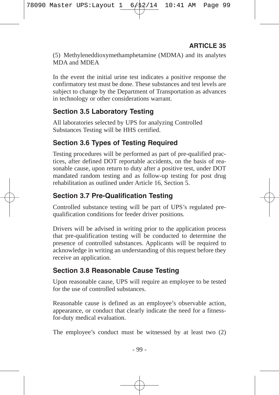(5) Methyleneddioxymethamphetamine (MDMA) and its analytes MDA and MDEA

In the event the initial urine test indicates a positive response the confirmatory test must be done. These substances and test levels are subject to change by the Department of Transportation as advances in technology or other considerations warrant.

## **Section 3.5 Laboratory Testing**

All laboratories selected by UPS for analyzing Controlled Substances Testing will be HHS certified.

## **Section 3.6 Types of Testing Required**

Testing procedures will be performed as part of pre-qualified practices, after defined DOT reportable accidents, on the basis of reasonable cause, upon return to duty after a positive test, under DOT mandated random testing and as follow-up testing for post drug rehabilitation as outlined under Article 16, Section 5.

## **Section 3.7 Pre-Qualification Testing**

Controlled substance testing will be part of UPS's regulated prequalification conditions for feeder driver positions.

Drivers will be advised in writing prior to the application process that pre-qualification testing will be conducted to determine the presence of controlled substances. Applicants will be required to acknowledge in writing an understanding of this request before they receive an application.

## **Section 3.8 Reasonable Cause Testing**

Upon reasonable cause, UPS will require an employee to be tested for the use of controlled substances.

Reasonable cause is defined as an employee's observable action, appearance, or conduct that clearly indicate the need for a fitnessfor-duty medical evaluation.

The employee's conduct must be witnessed by at least two (2)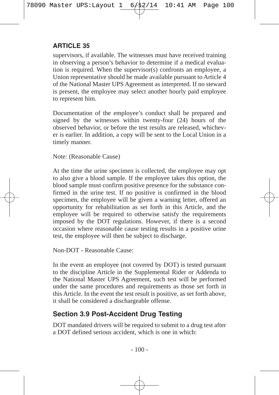supervisors, if available. The witnesses must have received training in observing a person's behavior to determine if a medical evaluation is required. When the supervisor(s) confronts an employee, a Union representative should be made available pursuant to Article 4 of the National Master UPS Agreement as interpreted. If no steward is present, the employee may select another hourly paid employee to represent him.

Documentation of the employee's conduct shall be prepared and signed by the witnesses within twenty-four (24) hours of the observed behavior, or before the test results are released, whichever is earlier. In addition, a copy will be sent to the Local Union in a timely manner.

Note: (Reasonable Cause)

At the time the urine specimen is collected, the employee may opt to also give a blood sample. If the employee takes this option, the blood sample must confirm positive presence for the substance confirmed in the urine test. If no positive is confirmed in the blood specimen, the employee will be given a warning letter, offered an opportunity for rehabilitation as set forth in this Article, and the employee will be required to otherwise satisfy the requirements imposed by the DOT regulations. However, if there is a second occasion where reasonable cause testing results in a positive urine test, the employee will then be subject to discharge.

Non-DOT - Reasonable Cause:

In the event an employee (not covered by DOT) is tested pursuant to the discipline Article in the Supplemental Rider or Addenda to the National Master UPS Agreement, such test will be performed under the same procedures and requirements as those set forth in this Article. In the event the test result is positive, as set forth above, it shall be considered a dischargeable offense.

## **Section 3.9 Post-Accident Drug Testing**

DOT mandated drivers will be required to submit to a drug test after a DOT defined serious accident, which is one in which: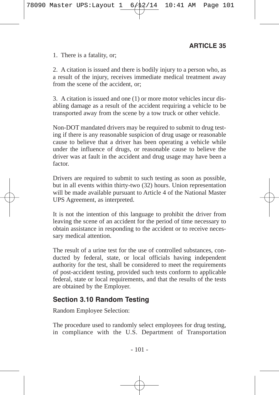1. There is a fatality, or;

2. A citation is issued and there is bodily injury to a person who, as a result of the injury, receives immediate medical treatment away from the scene of the accident, or;

3. A citation is issued and one (1) or more motor vehicles incur disabling damage as a result of the accident requiring a vehicle to be transported away from the scene by a tow truck or other vehicle.

Non-DOT mandated drivers may be required to submit to drug testing if there is any reasonable suspicion of drug usage or reasonable cause to believe that a driver has been operating a vehicle while under the influence of drugs, or reasonable cause to believe the driver was at fault in the accident and drug usage may have been a factor.

Drivers are required to submit to such testing as soon as possible, but in all events within thirty-two (32) hours. Union representation will be made available pursuant to Article 4 of the National Master UPS Agreement, as interpreted.

It is not the intention of this language to prohibit the driver from leaving the scene of an accident for the period of time necessary to obtain assistance in responding to the accident or to receive necessary medical attention.

The result of a urine test for the use of controlled substances, conducted by federal, state, or local officials having independent authority for the test, shall be considered to meet the requirements of post-accident testing, provided such tests conform to applicable federal, state or local requirements, and that the results of the tests are obtained by the Employer.

#### **Section 3.10 Random Testing**

Random Employee Selection:

The procedure used to randomly select employees for drug testing, in compliance with the U.S. Department of Transportation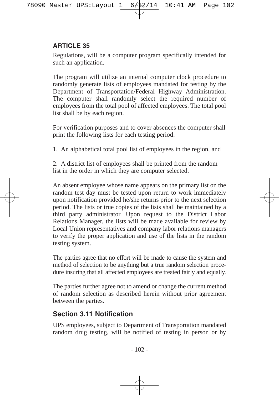Regulations, will be a computer program specifically intended for such an application.

The program will utilize an internal computer clock procedure to randomly generate lists of employees mandated for testing by the Department of Transportation/Federal Highway Administration. The computer shall randomly select the required number of employees from the total pool of affected employees. The total pool list shall be by each region.

For verification purposes and to cover absences the computer shall print the following lists for each testing period:

1. An alphabetical total pool list of employees in the region, and

2. A district list of employees shall be printed from the random list in the order in which they are computer selected.

An absent employee whose name appears on the primary list on the random test day must be tested upon return to work immediately upon notification provided he/she returns prior to the next selection period. The lists or true copies of the lists shall be maintained by a third party administrator. Upon request to the District Labor Relations Manager, the lists will be made available for review by Local Union representatives and company labor relations managers to verify the proper application and use of the lists in the random testing system.

The parties agree that no effort will be made to cause the system and method of selection to be anything but a true random selection procedure insuring that all affected employees are treated fairly and equally.

The parties further agree not to amend or change the current method of random selection as described herein without prior agreement between the parties.

## **Section 3.11 Notification**

UPS employees, subject to Department of Transportation mandated random drug testing, will be notified of testing in person or by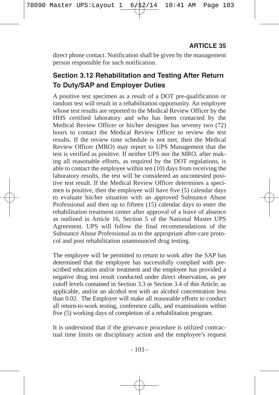direct phone contact. Notification shall be given by the management person responsible for such notification.

# **Section 3.12 Rehabilitation and Testing After Return To Duty/SAP and Employer Duties**

A positive test specimen as a result of a DOT pre-qualification or random test will result in a rehabilitation opportunity. An employee whose test results are reported to the Medical Review Officer by the HHS certified laboratory and who has been contacted by the Medical Review Officer or his/her designee has seventy two (72) hours to contact the Medical Review Officer to review the test results. If the review time schedule is not met, then the Medical Review Officer (MRO) may report to UPS Management that the test is verified as positive. If neither UPS nor the MRO, after making all reasonable efforts, as required by the DOT regulations, is able to contact the employee within ten (10) days from receiving the laboratory results, the test will be considered an uncontested positive test result. If the Medical Review Officer determines a specimen is positive, then the employee will have five (5) calendar days to evaluate his/her situation with an approved Substance Abuse Professional and then up to fifteen (15) calendar days to enter the rehabilitation treatment center after approval of a leave of absence as outlined in Article 16, Section  $5 \text{ of the National Master UPS}$ Agreement. UPS will follow the final recommendations of the Substance Abuse Professional as to the appropriate after-care protocol and post rehabilitation unannounced drug testing.

The employee will be permitted to return to work after the SAP has determined that the employee has successfully complied with prescribed education and/or treatment and the employee has provided a negative drug test result conducted under direct observation, as per cutoff levels contained in Section 3.3 or Section 3.4 of this Article, as applicable, and/or an alcohol test with an alcohol concentration less than 0.02. The Employer will make all reasonable efforts to conduct all return-to-work testing, conference calls, and examinations within five (5) working days of completion of a rehabilitation program.

It is understood that if the grievance procedure is utilized contractual time limits on disciplinary action and the employee's request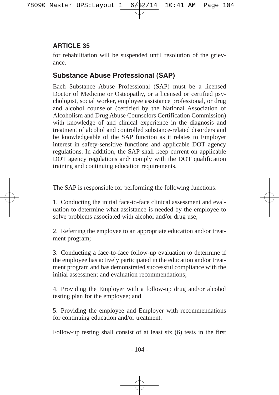for rehabilitation will be suspended until resolution of the grievance.

# **Substance Abuse Professional (SAP)**

Each Substance Abuse Professional (SAP) must be a licensed Doctor of Medicine or Osteopathy, or a licensed or certified psychologist, social worker, employee assistance professional, or drug and alcohol counselor (certified by the National Association of Alcoholism and Drug Abuse Counselors Certification Commission) with knowledge of and clinical experience in the diagnosis and treatment of alcohol and controlled substance-related disorders and be knowledgeable of the SAP function as it relates to Employer interest in safety-sensitive functions and applicable DOT agency regulations. In addition, the SAP shall keep current on applicable DOT agency regulations and comply with the DOT qualification training and continuing education requirements.

The SAP is responsible for performing the following functions:

1. Conducting the initial face-to-face clinical assessment and evaluation to determine what assistance is needed by the employee to solve problems associated with alcohol and/or drug use;

2. Referring the employee to an appropriate education and/or treatment program;

3. Conducting a face-to-face follow-up evaluation to determine if the employee has actively participated in the education and/or treatment program and has demonstrated successful compliance with the initial assessment and evaluation recommendations;

4. Providing the Employer with a follow-up drug and/or alcohol testing plan for the employee; and

5. Providing the employee and Employer with recommendations for continuing education and/or treatment.

Follow-up testing shall consist of at least six (6) tests in the first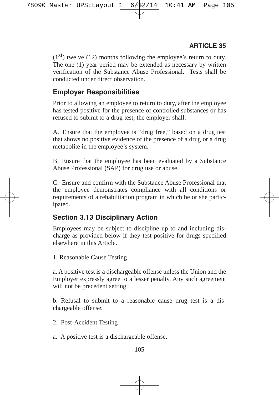$(1<sup>st</sup>)$  twelve  $(12)$  months following the employee's return to duty. The one (1) year period may be extended as necessary by written verification of the Substance Abuse Professional. Tests shall be conducted under direct observation.

#### **Employer Responsibilities**

Prior to allowing an employee to return to duty, after the employee has tested positive for the presence of controlled substances or has refused to submit to a drug test, the employer shall:

A. Ensure that the employee is "drug free," based on a drug test that shows no positive evidence of the presence of a drug or a drug metabolite in the employee's system.

B. Ensure that the employee has been evaluated by a Substance Abuse Professional (SAP) for drug use or abuse.

C. Ensure and confirm with the Substance Abuse Professional that the employee demonstrates compliance with all conditions or requirements of a rehabilitation program in which he or she participated.

#### **Section 3.13 Disciplinary Action**

Employees may be subject to discipline up to and including discharge as provided below if they test positive for drugs specified elsewhere in this Article.

1. Reasonable Cause Testing

a. A positive test is a dischargeable offense unless the Union and the Employer expressly agree to a lesser penalty. Any such agreement will not be precedent setting.

b. Refusal to submit to a reasonable cause drug test is a dischargeable offense.

- 2. Post-Accident Testing
- a. A positive test is a dischargeable offense.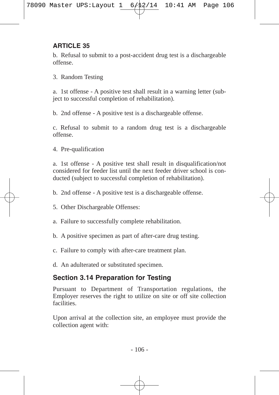b. Refusal to submit to a post-accident drug test is a dischargeable offense.

3. Random Testing

a. 1st offense - A positive test shall result in a warning letter (subject to successful completion of rehabilitation).

b. 2nd offense - A positive test is a dischargeable offense.

c. Refusal to submit to a random drug test is a dischargeable offense.

4. Pre-qualification

a. 1st offense - A positive test shall result in disqualification/not considered for feeder list until the next feeder driver school is conducted (subject to successful completion of rehabilitation).

- b. 2nd offense A positive test is a dischargeable offense.
- 5. Other Dischargeable Offenses:
- a. Failure to successfully complete rehabilitation.
- b. A positive specimen as part of after-care drug testing.
- c. Failure to comply with after-care treatment plan.
- d. An adulterated or substituted specimen.

# **Section 3.14 Preparation for Testing**

Pursuant to Department of Transportation regulations, the Employer reserves the right to utilize on site or off site collection facilities.

Upon arrival at the collection site, an employee must provide the collection agent with: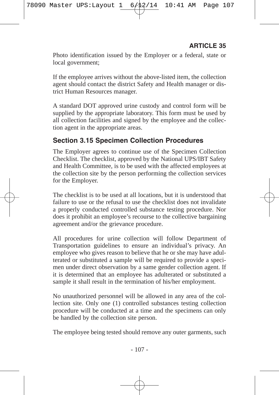Photo identification issued by the Employer or a federal, state or local government;

If the employee arrives without the above-listed item, the collection agent should contact the district Safety and Health manager or district Human Resources manager.

A standard DOT approved urine custody and control form will be supplied by the appropriate laboratory. This form must be used by all collection facilities and signed by the employee and the collection agent in the appropriate areas.

## **Section 3.15 Specimen Collection Procedures**

The Employer agrees to continue use of the Specimen Collection Checklist. The checklist, approved by the National UPS/IBT Safety and Health Committee, is to be used with the affected employees at the collection site by the person performing the collection services for the Employer.

The checklist is to be used at all locations, but it is understood that failure to use or the refusal to use the checklist does not invalidate a properly conducted controlled substance testing procedure. Nor does it prohibit an employee's recourse to the collective bargaining agreement and/or the grievance procedure.

All procedures for urine collection will follow Department of Transportation guidelines to ensure an individual's privacy. An employee who gives reason to believe that he or she may have adulterated or substituted a sample will be required to provide a specimen under direct observation by a same gender collection agent. If it is determined that an employee has adulterated or substituted a sample it shall result in the termination of his/her employment.

No unauthorized personnel will be allowed in any area of the collection site. Only one (1) controlled substances testing collection procedure will be conducted at a time and the specimens can only be handled by the collection site person.

The employee being tested should remove any outer garments, such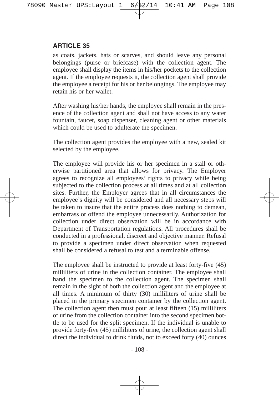as coats, jackets, hats or scarves, and should leave any personal belongings (purse or briefcase) with the collection agent. The employee shall display the items in his/her pockets to the collection agent. If the employee requests it, the collection agent shall provide the employee a receipt for his or her belongings. The employee may retain his or her wallet.

After washing his/her hands, the employee shall remain in the presence of the collection agent and shall not have access to any water fountain, faucet, soap dispenser, cleaning agent or other materials which could be used to adulterate the specimen.

The collection agent provides the employee with a new, sealed kit selected by the employee.

The employee will provide his or her specimen in a stall or otherwise partitioned area that allows for privacy. The Employer agrees to recognize all employees' rights to privacy while being subjected to the collection process at all times and at all collection sites. Further, the Employer agrees that in all circumstances the employee's dignity will be considered and all necessary steps will be taken to insure that the entire process does nothing to demean, embarrass or offend the employee unnecessarily. Authorization for collection under direct observation will be in accordance with Department of Transportation regulations. All procedures shall be conducted in a professional, discreet and objective manner. Refusal to provide a specimen under direct observation when requested shall be considered a refusal to test and a terminable offense.

The employee shall be instructed to provide at least forty-five (45) milliliters of urine in the collection container. The employee shall hand the specimen to the collection agent. The specimen shall remain in the sight of both the collection agent and the employee at all times. A minimum of thirty (30) milliliters of urine shall be placed in the primary specimen container by the collection agent. The collection agent then must pour at least fifteen (15) milliliters of urine from the collection container into the second specimen bottle to be used for the split specimen. If the individual is unable to provide forty-five (45) milliliters of urine, the collection agent shall direct the individual to drink fluids, not to exceed forty (40) ounces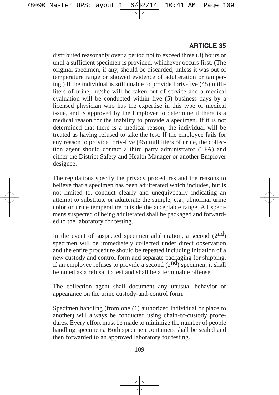distributed reasonably over a period not to exceed three (3) hours or until a sufficient specimen is provided, whichever occurs first. (The original specimen, if any, should be discarded, unless it was out of temperature range or showed evidence of adulteration or tampering.) If the individual is still unable to provide forty-five (45) milliliters of urine, he/she will be taken out of service and a medical evaluation will be conducted within five (5) business days by a licensed physician who has the expertise in this type of medical issue, and is approved by the Employer to determine if there is a medical reason for the inability to provide a specimen. If it is not determined that there is a medical reason, the individual will be treated as having refused to take the test. If the employee fails for any reason to provide forty-five (45) milliliters of urine, the collection agent should contact a third party administrator (TPA) and either the District Safety and Health Manager or another Employer designee.

The regulations specify the privacy procedures and the reasons to believe that a specimen has been adulterated which includes, but is not limited to, conduct clearly and unequivocally indicating an attempt to substitute or adulterate the sample, e.g., abnormal urine color or urine temperature outside the acceptable range. All specimens suspected of being adulterated shall be packaged and forwarded to the laboratory for testing.

In the event of suspected specimen adulteration, a second  $(2<sup>nd</sup>)$ specimen will be immediately collected under direct observation and the entire procedure should be repeated including initiation of a new custody and control form and separate packaging for shipping. If an employee refuses to provide a second  $(2<sup>nd</sup>)$  specimen, it shall be noted as a refusal to test and shall be a terminable offense.

The collection agent shall document any unusual behavior or appearance on the urine custody-and-control form.

Specimen handling (from one (1) authorized individual or place to another) will always be conducted using chain-of-custody procedures. Every effort must be made to minimize the number of people handling specimens. Both specimen containers shall be sealed and then forwarded to an approved laboratory for testing.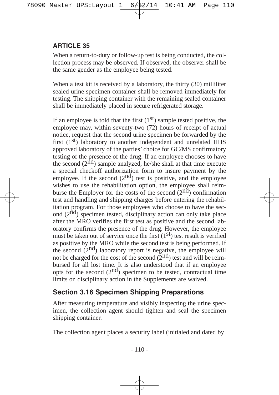When a return-to-duty or follow-up test is being conducted, the collection process may be observed. If observed, the observer shall be the same gender as the employee being tested.

When a test kit is received by a laboratory, the thirty (30) milliliter sealed urine specimen container shall be removed immediately for testing. The shipping container with the remaining sealed container shall be immediately placed in secure refrigerated storage.

If an employee is told that the first  $(1<sup>st</sup>)$  sample tested positive, the employee may, within seventy-two (72) hours of receipt of actual notice, request that the second urine specimen be forwarded by the first  $(1<sup>st</sup>)$  laboratory to another independent and unrelated HHS approved laboratory of the parties' choice for GC/MS confirmatory testing of the presence of the drug. If an employee chooses to have the second  $(2<sup>\hat{nd}</sup>)$  sample analyzed, he/she shall at that time execute a special checkoff authorization form to insure payment by the employee. If the second  $(2<sup>nd</sup>)$  test is positive, and the employee wishes to use the rehabilitation option, the employee shall reimburse the Employer for the costs of the second  $(2<sup>n</sup>d)$  confirmation test and handling and shipping charges before entering the rehabilitation program. For those employees who choose to have the second  $(2<sup>\hat{nd}</sup>)$  specimen tested, disciplinary action can only take place after the MRO verifies the first test as positive and the second laboratory confirms the presence of the drug. However, the employee must be taken out of service once the first  $(1<sup>st</sup>)$  test result is verified as positive by the MRO while the second test is being performed. If the second  $(2<sup>nd</sup>)$  laboratory report is negative, the employee will not be charged for the cost of the second  $(2^{nd})$  test and will be reimbursed for all lost time. It is also understood that if an employee opts for the second  $(2<sup>nd</sup>)$  specimen to be tested, contractual time limits on disciplinary action in the Supplements are waived.

#### **Section 3.16 Specimen Shipping Preparations**

After measuring temperature and visibly inspecting the urine specimen, the collection agent should tighten and seal the specimen shipping container.

The collection agent places a security label (initialed and dated by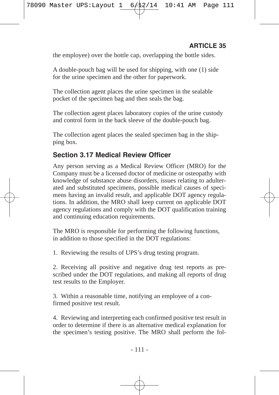the employee) over the bottle cap, overlapping the bottle sides.

A double-pouch bag will be used for shipping, with one (1) side for the urine specimen and the other for paperwork.

The collection agent places the urine specimen in the sealable pocket of the specimen bag and then seals the bag.

The collection agent places laboratory copies of the urine custody and control form in the back sleeve of the double-pouch bag.

The collection agent places the sealed specimen bag in the shipping box.

#### **Section 3.17 Medical Review Officer**

Any person serving as a Medical Review Officer (MRO) for the Company must be a licensed doctor of medicine or osteopathy with knowledge of substance abuse disorders, issues relating to adulterated and substituted specimens, possible medical causes of specimens having an invalid result, and applicable DOT agency regulations. In addition, the MRO shall keep current on applicable DOT agency regulations and comply with the DOT qualification training and continuing education requirements.

The MRO is responsible for performing the following functions, in addition to those specified in the DOT regulations:

1. Reviewing the results of UPS's drug testing program.

2. Receiving all positive and negative drug test reports as prescribed under the DOT regulations, and making all reports of drug test results to the Employer.

3. Within a reasonable time, notifying an employee of a confirmed positive test result.

4. Reviewing and interpreting each confirmed positive test result in order to determine if there is an alternative medical explanation for the specimen's testing positive. The MRO shall perform the fol-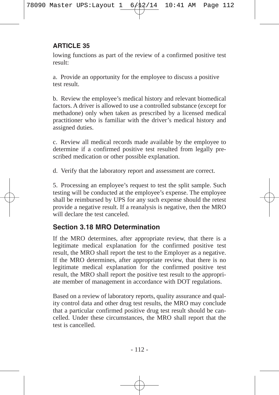lowing functions as part of the review of a confirmed positive test result:

a. Provide an opportunity for the employee to discuss a positive test result.

b. Review the employee's medical history and relevant biomedical factors. A driver is allowed to use a controlled substance (except for methadone) only when taken as prescribed by a licensed medical practitioner who is familiar with the driver's medical history and assigned duties.

c. Review all medical records made available by the employee to determine if a confirmed positive test resulted from legally prescribed medication or other possible explanation.

d. Verify that the laboratory report and assessment are correct.

5. Processing an employee's request to test the split sample. Such testing will be conducted at the employee's expense. The employee shall be reimbursed by UPS for any such expense should the retest provide a negative result. If a reanalysis is negative, then the MRO will declare the test canceled.

# **Section 3.18 MRO Determination**

If the MRO determines, after appropriate review, that there is a legitimate medical explanation for the confirmed positive test result, the MRO shall report the test to the Employer as a negative. If the MRO determines, after appropriate review, that there is no legitimate medical explanation for the confirmed positive test result, the MRO shall report the positive test result to the appropriate member of management in accordance with DOT regulations.

Based on a review of laboratory reports, quality assurance and quality control data and other drug test results, the MRO may conclude that a particular confirmed positive drug test result should be cancelled. Under these circumstances, the MRO shall report that the test is cancelled.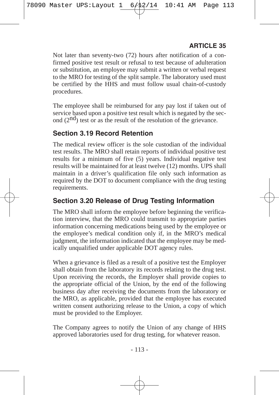Not later than seventy-two (72) hours after notification of a confirmed positive test result or refusal to test because of adulteration or substitution, an employee may submit a written or verbal request to the MRO for testing of the split sample. The laboratory used must be certified by the HHS and must follow usual chain-of-custody procedures.

The employee shall be reimbursed for any pay lost if taken out of service based upon a positive test result which is negated by the second  $(2<sup>nd</sup>)$  test or as the result of the resolution of the grievance.

# **Section 3.19 Record Retention**

The medical review officer is the sole custodian of the individual test results. The MRO shall retain reports of individual positive test results for a minimum of five (5) years. Individual negative test results will be maintained for at least twelve (12) months. UPS shall maintain in a driver's qualification file only such information as required by the DOT to document compliance with the drug testing requirements.

# **Section 3.20 Release of Drug Testing Information**

The MRO shall inform the employee before beginning the verification interview, that the MRO could transmit to appropriate parties information concerning medications being used by the employee or the employee's medical condition only if, in the MRO's medical judgment, the information indicated that the employee may be medically unqualified under applicable DOT agency rules.

When a grievance is filed as a result of a positive test the Employer shall obtain from the laboratory its records relating to the drug test. Upon receiving the records, the Employer shall provide copies to the appropriate official of the Union, by the end of the following business day after receiving the documents from the laboratory or the MRO, as applicable, provided that the employee has executed written consent authorizing release to the Union, a copy of which must be provided to the Employer.

The Company agrees to notify the Union of any change of HHS approved laboratories used for drug testing, for whatever reason.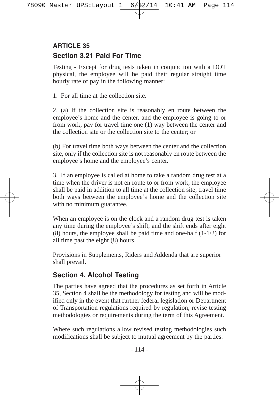# **Section 3.21 Paid For Time ARTICLE 35**

Testing - Except for drug tests taken in conjunction with a DOT physical, the employee will be paid their regular straight time hourly rate of pay in the following manner:

1. For all time at the collection site.

2. (a) If the collection site is reasonably en route between the employee's home and the center, and the employee is going to or from work, pay for travel time one (1) way between the center and the collection site or the collection site to the center; or

(b) For travel time both ways between the center and the collection site, only if the collection site is not reasonably en route between the employee's home and the employee's center.

3. If an employee is called at home to take a random drug test at a time when the driver is not en route to or from work, the employee shall be paid in addition to all time at the collection site, travel time both ways between the employee's home and the collection site with no minimum guarantee.

When an employee is on the clock and a random drug test is taken any time during the employee's shift, and the shift ends after eight (8) hours, the employee shall be paid time and one-half (1-1/2) for all time past the eight (8) hours.

Provisions in Supplements, Riders and Addenda that are superior shall prevail.

# **Section 4. Alcohol Testing**

The parties have agreed that the procedures as set forth in Article 35, Section 4 shall be the methodology for testing and will be modified only in the event that further federal legislation or Department of Transportation regulations required by regulation, revise testing methodologies or requirements during the term of this Agreement.

Where such regulations allow revised testing methodologies such modifications shall be subject to mutual agreement by the parties.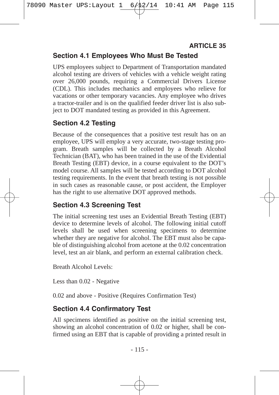## **Section 4.1 Employees Who Must Be Tested**

UPS employees subject to Department of Transportation mandated alcohol testing are drivers of vehicles with a vehicle weight rating over 26,000 pounds, requiring a Commercial Drivers License (CDL). This includes mechanics and employees who relieve for vacations or other temporary vacancies. Any employee who drives a tractor-trailer and is on the qualified feeder driver list is also subject to DOT mandated testing as provided in this Agreement.

# **Section 4.2 Testing**

Because of the consequences that a positive test result has on an employee, UPS will employ a very accurate, two-stage testing program. Breath samples will be collected by a Breath Alcohol Technician (BAT), who has been trained in the use of the Evidential Breath Testing (EBT) device, in a course equivalent to the DOT's model course. All samples will be tested according to DOT alcohol testing requirements. In the event that breath testing is not possible in such cases as reasonable cause, or post accident, the Employer has the right to use alternative DOT approved methods.

## **Section 4.3 Screening Test**

The initial screening test uses an Evidential Breath Testing (EBT) device to determine levels of alcohol. The following initial cutoff levels shall be used when screening specimens to determine whether they are negative for alcohol. The EBT must also be capable of distinguishing alcohol from acetone at the 0.02 concentration level, test an air blank, and perform an external calibration check.

Breath Alcohol Levels:

Less than 0.02 - Negative

0.02 and above - Positive (Requires Confirmation Test)

## **Section 4.4 Confirmatory Test**

All specimens identified as positive on the initial screening test, showing an alcohol concentration of 0.02 or higher, shall be confirmed using an EBT that is capable of providing a printed result in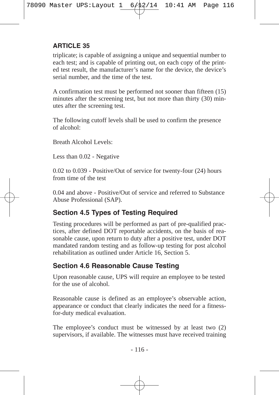triplicate; is capable of assigning a unique and sequential number to each test; and is capable of printing out, on each copy of the printed test result, the manufacturer's name for the device, the device's serial number, and the time of the test.

A confirmation test must be performed not sooner than fifteen (15) minutes after the screening test, but not more than thirty (30) minutes after the screening test.

The following cutoff levels shall be used to confirm the presence of alcohol:

Breath Alcohol Levels:

Less than 0.02 - Negative

0.02 to 0.039 - Positive/Out of service for twenty-four (24) hours from time of the test

0.04 and above - Positive/Out of service and referred to Substance Abuse Professional (SAP).

## **Section 4.5 Types of Testing Required**

Testing procedures will be performed as part of pre-qualified practices, after defined DOT reportable accidents, on the basis of reasonable cause, upon return to duty after a positive test, under DOT mandated random testing and as follow-up testing for post alcohol rehabilitation as outlined under Article 16, Section 5.

## **Section 4.6 Reasonable Cause Testing**

Upon reasonable cause, UPS will require an employee to be tested for the use of alcohol.

Reasonable cause is defined as an employee's observable action, appearance or conduct that clearly indicates the need for a fitnessfor-duty medical evaluation.

The employee's conduct must be witnessed by at least two (2) supervisors, if available. The witnesses must have received training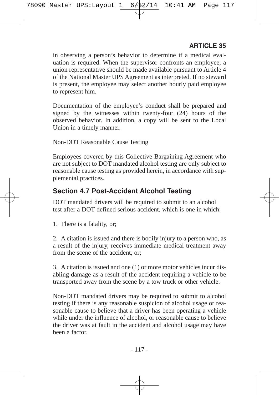in observing a person's behavior to determine if a medical evaluation is required. When the supervisor confronts an employee, a union representative should be made available pursuant to Article 4 of the National Master UPS Agreement as interpreted. If no steward is present, the employee may select another hourly paid employee to represent him.

Documentation of the employee's conduct shall be prepared and signed by the witnesses within twenty-four (24) hours of the observed behavior. In addition, a copy will be sent to the Local Union in a timely manner.

Non-DOT Reasonable Cause Testing

Employees covered by this Collective Bargaining Agreement who are not subject to DOT mandated alcohol testing are only subject to reasonable cause testing as provided herein, in accordance with supplemental practices.

#### **Section 4.7 Post-Accident Alcohol Testing**

DOT mandated drivers will be required to submit to an alcohol test after a DOT defined serious accident, which is one in which:

1. There is a fatality, or;

2. A citation is issued and there is bodily injury to a person who, as a result of the injury, receives immediate medical treatment away from the scene of the accident, or;

3. A citation is issued and one (1) or more motor vehicles incur disabling damage as a result of the accident requiring a vehicle to be transported away from the scene by a tow truck or other vehicle.

Non-DOT mandated drivers may be required to submit to alcohol testing if there is any reasonable suspicion of alcohol usage or reasonable cause to believe that a driver has been operating a vehicle while under the influence of alcohol, or reasonable cause to believe the driver was at fault in the accident and alcohol usage may have been a factor.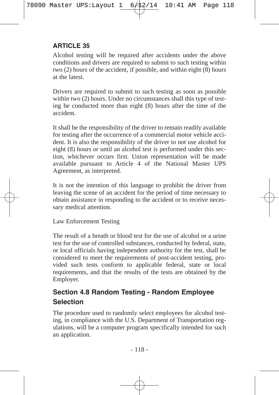Alcohol testing will be required after accidents under the above conditions and drivers are required to submit to such testing within two (2) hours of the accident, if possible, and within eight (8) hours at the latest.

Drivers are required to submit to such testing as soon as possible within two (2) hours. Under no circumstances shall this type of testing be conducted more than eight (8) hours after the time of the accident.

It shall be the responsibility of the driver to remain readily available for testing after the occurrence of a commercial motor vehicle accident. It is also the responsibility of the driver to not use alcohol for eight (8) hours or until an alcohol test is performed under this section, whichever occurs first. Union representation will be made available pursuant to Article 4 of the National Master UPS Agreement, as interpreted.

It is not the intention of this language to prohibit the driver from leaving the scene of an accident for the period of time necessary to obtain assistance in responding to the accident or to receive necessary medical attention.

Law Enforcement Testing

The result of a breath or blood test for the use of alcohol or a urine test for the use of controlled substances, conducted by federal, state, or local officials having independent authority for the test, shall be considered to meet the requirements of post-accident testing, provided such tests conform to applicable federal, state or local requirements, and that the results of the tests are obtained by the Employer.

# **Section 4.8 Random Testing - Random Employee Selection**

The procedure used to randomly select employees for alcohol testing, in compliance with the U.S. Department of Transportation regulations, will be a computer program specifically intended for such an application.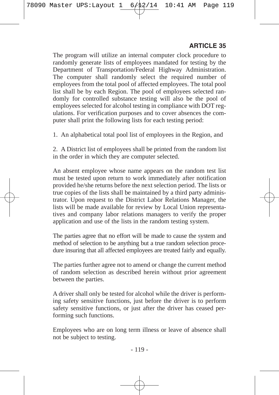The program will utilize an internal computer clock procedure to randomly generate lists of employees mandated for testing by the Department of Transportation/Federal Highway Administration. The computer shall randomly select the required number of employees from the total pool of affected employees. The total pool list shall be by each Region. The pool of employees selected randomly for controlled substance testing will also be the pool of employees selected for alcohol testing in compliance with DOT regulations. For verification purposes and to cover absences the computer shall print the following lists for each testing period:

1. An alphabetical total pool list of employees in the Region, and

2. A District list of employees shall be printed from the random list in the order in which they are computer selected.

An absent employee whose name appears on the random test list must be tested upon return to work immediately after notification provided he/she returns before the next selection period. The lists or true copies of the lists shall be maintained by a third party administrator. Upon request to the District Labor Relations Manager, the lists will be made available for review by Local Union representatives and company labor relations managers to verify the proper application and use of the lists in the random testing system.

The parties agree that no effort will be made to cause the system and method of selection to be anything but a true random selection procedure insuring that all affected employees are treated fairly and equally.

The parties further agree not to amend or change the current method of random selection as described herein without prior agreement between the parties.

A driver shall only be tested for alcohol while the driver is performing safety sensitive functions, just before the driver is to perform safety sensitive functions, or just after the driver has ceased performing such functions.

Employees who are on long term illness or leave of absence shall not be subject to testing.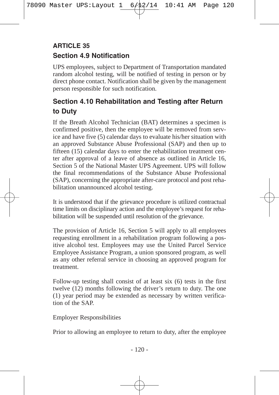# **Section 4.9 Notification ARTICLE 35**

UPS employees, subject to Department of Transportation mandated random alcohol testing, will be notified of testing in person or by direct phone contact. Notification shall be given by the management person responsible for such notification.

# **Section 4.10 Rehabilitation and Testing after Return to Duty**

If the Breath Alcohol Technician (BAT) determines a specimen is confirmed positive, then the employee will be removed from service and have five (5) calendar days to evaluate his/her situation with an approved Substance Abuse Professional (SAP) and then up to fifteen (15) calendar days to enter the rehabilitation treatment center after approval of a leave of absence as outlined in Article 16, Section 5 of the National Master UPS Agreement. UPS will follow the final recommendations of the Substance Abuse Professional (SAP), concerning the appropriate after-care protocol and post rehabilitation unannounced alcohol testing.

It is understood that if the grievance procedure is utilized contractual time limits on disciplinary action and the employee's request for rehabilitation will be suspended until resolution of the grievance.

The provision of Article 16, Section 5 will apply to all employees requesting enrollment in a rehabilitation program following a positive alcohol test. Employees may use the United Parcel Service Employee Assistance Program, a union sponsored program, as well as any other referral service in choosing an approved program for treatment.

Follow-up testing shall consist of at least six (6) tests in the first twelve (12) months following the driver's return to duty. The one (1) year period may be extended as necessary by written verification of the SAP.

Employer Responsibilities

Prior to allowing an employee to return to duty, after the employee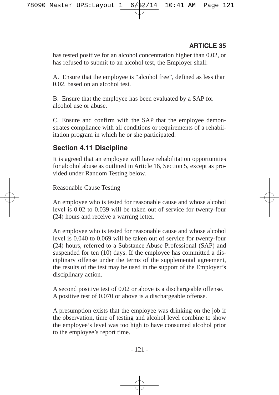has tested positive for an alcohol concentration higher than 0.02, or has refused to submit to an alcohol test, the Employer shall:

A. Ensure that the employee is "alcohol free", defined as less than 0.02, based on an alcohol test.

B. Ensure that the employee has been evaluated by a SAP for alcohol use or abuse.

C. Ensure and confirm with the SAP that the employee demonstrates compliance with all conditions or requirements of a rehabilitation program in which he or she participated.

#### **Section 4.11 Discipline**

It is agreed that an employee will have rehabilitation opportunities for alcohol abuse as outlined in Article 16, Section 5, except as provided under Random Testing below.

Reasonable Cause Testing

An employee who is tested for reasonable cause and whose alcohol level is 0.02 to 0.039 will be taken out of service for twenty-four (24) hours and receive a warning letter.

An employee who is tested for reasonable cause and whose alcohol level is 0.040 to 0.069 will be taken out of service for twenty-four (24) hours, referred to a Substance Abuse Professional (SAP) and suspended for ten (10) days. If the employee has committed a disciplinary offense under the terms of the supplemental agreement, the results of the test may be used in the support of the Employer's disciplinary action.

A second positive test of 0.02 or above is a dischargeable offense. A positive test of 0.070 or above is a dischargeable offense.

A presumption exists that the employee was drinking on the job if the observation, time of testing and alcohol level combine to show the employee's level was too high to have consumed alcohol prior to the employee's report time.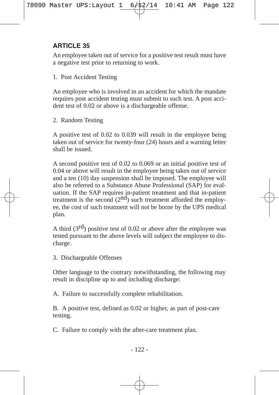An employee taken out of service for a positive test result must have a negative test prior to returning to work.

1. Post Accident Testing

An employee who is involved in an accident for which the mandate requires post accident testing must submit to such test. A post accident test of 0.02 or above is a dischargeable offense.

2. Random Testing

A positive test of 0.02 to 0.039 will result in the employee being taken out of service for twenty-four (24) hours and a warning letter shall be issued.

A second positive test of 0.02 to 0.069 or an initial positive test of 0.04 or above will result in the employee being taken out of service and a ten (10) day suspension shall be imposed. The employee will also be referred to a Substance Abuse Professional (SAP) for evaluation. If the SAP requires in-patient treatment and that in-patient treatment is the second  $(2<sup>nd</sup>)$  such treatment afforded the employee, the cost of such treatment will not be borne by the UPS medical plan.

A third  $(3<sup>rd</sup>)$  positive test of 0.02 or above after the employee was tested pursuant to the above levels will subject the employee to discharge.

3. Dischargeable Offenses

Other language to the contrary notwithstanding, the following may result in discipline up to and including discharge:

A. Failure to successfully complete rehabilitation.

B. A positive test, defined as 0.02 or higher, as part of post-care testing.

C. Failure to comply with the after-care treatment plan.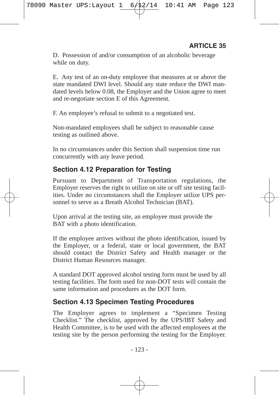D. Possession of and/or consumption of an alcoholic beverage while on duty.

E. Any test of an on-duty employee that measures at or above the state mandated DWI level. Should any state reduce the DWI mandated levels below 0.08, the Employer and the Union agree to meet and re-negotiate section E of this Agreement.

F. An employee's refusal to submit to a negotiated test.

Non-mandated employees shall be subject to reasonable cause testing as outlined above.

In no circumstances under this Section shall suspension time run concurrently with any leave period.

# **Section 4.12 Preparation for Testing**

Pursuant to Department of Transportation regulations, the Employer reserves the right to utilize on site or off site testing facilities. Under no circumstances shall the Employer utilize UPS personnel to serve as a Breath Alcohol Technician (BAT).

Upon arrival at the testing site, an employee must provide the BAT with a photo identification.

If the employee arrives without the photo identification, issued by the Employer, or a federal, state or local government, the BAT should contact the District Safety and Health manager or the District Human Resources manager.

A standard DOT approved alcohol testing form must be used by all testing facilities. The form used for non-DOT tests will contain the same information and procedures as the DOT form.

#### **Section 4.13 Specimen Testing Procedures**

The Employer agrees to implement a "Specimen Testing Checklist." The checklist, approved by the UPS/IBT Safety and Health Committee, is to be used with the affected employees at the testing site by the person performing the testing for the Employer.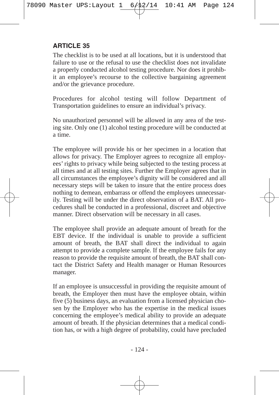The checklist is to be used at all locations, but it is understood that failure to use or the refusal to use the checklist does not invalidate a properly conducted alcohol testing procedure. Nor does it prohibit an employee's recourse to the collective bargaining agreement and/or the grievance procedure.

Procedures for alcohol testing will follow Department of Transportation guidelines to ensure an individual's privacy.

No unauthorized personnel will be allowed in any area of the testing site. Only one (1) alcohol testing procedure will be conducted at a time.

The employee will provide his or her specimen in a location that allows for privacy. The Employer agrees to recognize all employees' rights to privacy while being subjected to the testing process at all times and at all testing sites. Further the Employer agrees that in all circumstances the employee's dignity will be considered and all necessary steps will be taken to insure that the entire process does nothing to demean, embarrass or offend the employees unnecessarily. Testing will be under the direct observation of a BAT. All procedures shall be conducted in a professional, discreet and objective manner. Direct observation will be necessary in all cases.

The employee shall provide an adequate amount of breath for the EBT device. If the individual is unable to provide a sufficient amount of breath, the BAT shall direct the individual to again attempt to provide a complete sample. If the employee fails for any reason to provide the requisite amount of breath, the BAT shall contact the District Safety and Health manager or Human Resources manager.

If an employee is unsuccessful in providing the requisite amount of breath, the Employer then must have the employee obtain, within five (5) business days, an evaluation from a licensed physician chosen by the Employer who has the expertise in the medical issues concerning the employee's medical ability to provide an adequate amount of breath. If the physician determines that a medical condition has, or with a high degree of probability, could have precluded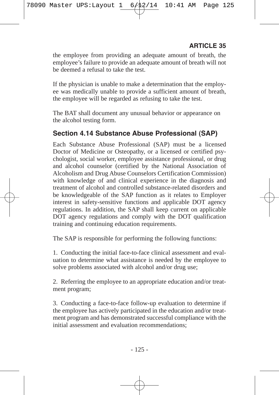the employee from providing an adequate amount of breath, the employee's failure to provide an adequate amount of breath will not be deemed a refusal to take the test.

If the physician is unable to make a determination that the employee was medically unable to provide a sufficient amount of breath, the employee will be regarded as refusing to take the test.

The BAT shall document any unusual behavior or appearance on the alcohol testing form.

## **Section 4.14 Substance Abuse Professional (SAP)**

Each Substance Abuse Professional (SAP) must be a licensed Doctor of Medicine or Osteopathy, or a licensed or certified psychologist, social worker, employee assistance professional, or drug and alcohol counselor (certified by the National Association of Alcoholism and Drug Abuse Counselors Certification Commission) with knowledge of and clinical experience in the diagnosis and treatment of alcohol and controlled substance-related disorders and be knowledgeable of the SAP function as it relates to Employer interest in safety-sensitive functions and applicable DOT agency regulations. In addition, the SAP shall keep current on applicable DOT agency regulations and comply with the DOT qualification training and continuing education requirements.

The SAP is responsible for performing the following functions:

1. Conducting the initial face-to-face clinical assessment and evaluation to determine what assistance is needed by the employee to solve problems associated with alcohol and/or drug use;

2. Referring the employee to an appropriate education and/or treatment program;

3. Conducting a face-to-face follow-up evaluation to determine if the employee has actively participated in the education and/or treatment program and has demonstrated successful compliance with the initial assessment and evaluation recommendations;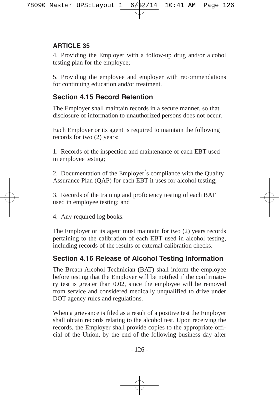4. Providing the Employer with a follow-up drug and/or alcohol testing plan for the employee;

5. Providing the employee and employer with recommendations for continuing education and/or treatment.

## **Section 4.15 Record Retention**

The Employer shall maintain records in a secure manner, so that disclosure of information to unauthorized persons does not occur.

Each Employer or its agent is required to maintain the following records for two (2) years:

1. Records of the inspection and maintenance of each EBT used in employee testing;

2. Documentation of the Employer's compliance with the Quality Assurance Plan (QAP) for each EBT it uses for alcohol testing;

3. Records of the training and proficiency testing of each BAT used in employee testing; and

4. Any required log books.

The Employer or its agent must maintain for two (2) years records pertaining to the calibration of each EBT used in alcohol testing, including records of the results of external calibration checks.

# **Section 4.16 Release of Alcohol Testing Information**

The Breath Alcohol Technician (BAT) shall inform the employee before testing that the Employer will be notified if the confirmatory test is greater than 0.02, since the employee will be removed from service and considered medically unqualified to drive under DOT agency rules and regulations.

When a grievance is filed as a result of a positive test the Employer shall obtain records relating to the alcohol test. Upon receiving the records, the Employer shall provide copies to the appropriate official of the Union, by the end of the following business day after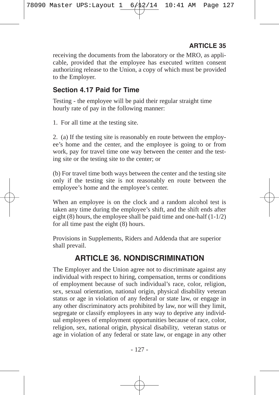receiving the documents from the laboratory or the MRO, as applicable, provided that the employee has executed written consent authorizing release to the Union, a copy of which must be provided to the Employer.

#### **Section 4.17 Paid for Time**

Testing - the employee will be paid their regular straight time hourly rate of pay in the following manner:

1. For all time at the testing site.

2. (a) If the testing site is reasonably en route between the employee's home and the center, and the employee is going to or from work, pay for travel time one way between the center and the testing site or the testing site to the center; or

(b) For travel time both ways between the center and the testing site only if the testing site is not reasonably en route between the employee's home and the employee's center.

When an employee is on the clock and a random alcohol test is taken any time during the employee's shift, and the shift ends after eight  $(8)$  hours, the employee shall be paid time and one-half  $(1-1/2)$ for all time past the eight (8) hours.

Provisions in Supplements, Riders and Addenda that are superior shall prevail.

# **ARTICLE 36. NONDISCRIMINATION**

The Employer and the Union agree not to discriminate against any individual with respect to hiring, compensation, terms or conditions of employment because of such individual's race, color, religion, sex, sexual orientation, national origin, physical disability veteran status or age in violation of any federal or state law, or engage in any other discriminatory acts prohibited by law, nor will they limit, segregate or classify employees in any way to deprive any individual employees of employment opportunities because of race, color, religion, sex, national origin, physical disability, veteran status or age in violation of any federal or state law, or engage in any other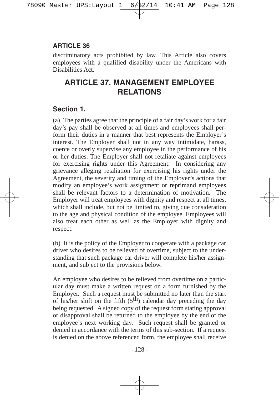discriminatory acts prohibited by law. This Article also covers employees with a qualified disability under the Americans with Disabilities Act.

# **ARTICLE 37. MANAGEMENT EMPLOYEE RELATIONS**

## **Section 1.**

(a) The parties agree that the principle of a fair day's work for a fair day's pay shall be observed at all times and employees shall perform their duties in a manner that best represents the Employer's interest. The Employer shall not in any way intimidate, harass, coerce or overly supervise any employee in the performance of his or her duties. The Employer shall not retaliate against employees for exercising rights under this Agreement. In considering any grievance alleging retaliation for exercising his rights under the Agreement, the severity and timing of the Employer's actions that modify an employee's work assignment or reprimand employees shall be relevant factors to a determination of motivation. The Employer will treat employees with dignity and respect at all times, which shall include, but not be limited to, giving due consideration to the age and physical condition of the employee. Employees will also treat each other as well as the Employer with dignity and respect.

(b) It is the policy of the Employer to cooperate with a package car driver who desires to be relieved of overtime, subject to the understanding that such package car driver will complete his/her assignment, and subject to the provisions below.

An employee who desires to be relieved from overtime on a particular day must make a written request on a form furnished by the Employer. Such a request must be submitted no later than the start of his/her shift on the fifth  $(5<sup>th</sup>)$  calendar day preceding the day being requested. A signed copy of the request form stating approval or disapproval shall be returned to the employee by the end of the employee's next working day. Such request shall be granted or denied in accordance with the terms of this sub-section. If a request is denied on the above referenced form, the employee shall receive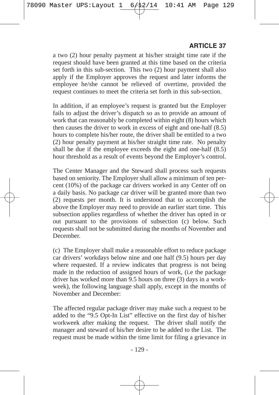a two (2) hour penalty payment at his/her straight time rate if the request should have been granted at this time based on the criteria set forth in this sub-section. This two (2) hour payment shall also apply if the Employer approves the request and later informs the employee he/she cannot be relieved of overtime, provided the request continues to meet the criteria set forth in this sub-section.

In addition, if an employee's request is granted but the Employer fails to adjust the driver's dispatch so as to provide an amount of work that can reasonably be completed within eight (8) hours which then causes the driver to work in excess of eight and one-half (8.5) hours to complete his/her route, the driver shall be entitled to a two (2) hour penalty payment at his/her straight time rate. No penalty shall be due if the employee exceeds the eight and one-half (8.5) hour threshold as a result of events beyond the Employer's control.

The Center Manager and the Steward shall process such requests based on seniority. The Employer shall allow a minimum of ten percent (10%) of the package car drivers worked in any Center off on a daily basis. No package car driver will be granted more than two (2) requests per month. It is understood that to accomplish the above the Employer may need to provide an earlier start time. This subsection applies regardless of whether the driver has opted in or out pursuant to the provisions of subsection (c) below. Such requests shall not be submitted during the months of November and December.

(c) The Employer shall make a reasonable effort to reduce package car drivers' workdays below nine and one half (9.5) hours per day where requested. If a review indicates that progress is not being made in the reduction of assigned hours of work, (i.e the package driver has worked more than 9.5 hours on three (3) days in a workweek), the following language shall apply, except in the months of November and December:

The affected regular package driver may make such a request to be added to the "9.5 Opt-In List" effective on the first day of his/her workweek after making the request. The driver shall notify the manager and steward of his/her desire to be added to the List. The request must be made within the time limit for filing a grievance in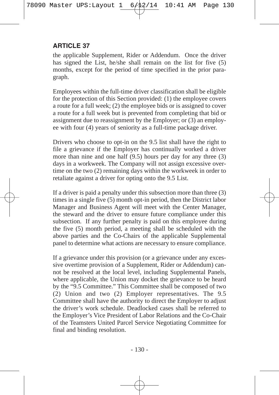the applicable Supplement, Rider or Addendum. Once the driver has signed the List, he/she shall remain on the list for five (5) months, except for the period of time specified in the prior paragraph.

Employees within the full-time driver classification shall be eligible for the protection of this Section provided: (1) the employee covers a route for a full week; (2) the employee bids or is assigned to cover a route for a full week but is prevented from completing that bid or assignment due to reassignment by the Employer; or (3) an employee with four (4) years of seniority as a full-time package driver.

Drivers who choose to opt-in on the 9.5 list shall have the right to file a grievance if the Employer has continually worked a driver more than nine and one half (9.5) hours per day for any three (3) days in a workweek. The Company will not assign excessive overtime on the two (2) remaining days within the workweek in order to retaliate against a driver for opting onto the 9.5 List.

If a driver is paid a penalty under this subsection more than three (3) times in a single five (5) month opt-in period, then the District labor Manager and Business Agent will meet with the Center Manager, the steward and the driver to ensure future compliance under this subsection. If any further penalty is paid on this employee during the five (5) month period, a meeting shall be scheduled with the above parties and the Co-Chairs of the applicable Supplemental panel to determine what actions are necessary to ensure compliance.

If a grievance under this provision (or a grievance under any excessive overtime provision of a Supplement, Rider or Addendum) cannot be resolved at the local level, including Supplemental Panels, where applicable, the Union may docket the grievance to be heard by the "9.5 Committee." This Committee shall be composed of two (2) Union and two (2) Employer representatives. The 9.5 Committee shall have the authority to direct the Employer to adjust the driver's work schedule. Deadlocked cases shall be referred to the Employer's Vice President of Labor Relations and the Co-Chair of the Teamsters United Parcel Service Negotiating Committee for final and binding resolution.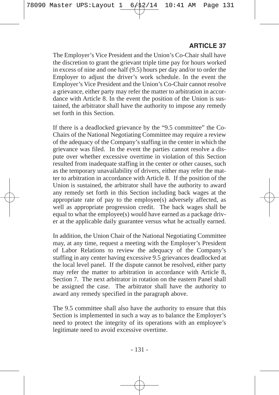The Employer's Vice President and the Union's Co-Chair shall have the discretion to grant the grievant triple time pay for hours worked in excess of nine and one half (9.5) hours per day and/or to order the Employer to adjust the driver's work schedule. In the event the Employer's Vice President and the Union's Co-Chair cannot resolve a grievance, either party may refer the matter to arbitration in accordance with Article 8. In the event the position of the Union is sustained, the arbitrator shall have the authority to impose any remedy set forth in this Section.

If there is a deadlocked grievance by the "9.5 committee" the Co-Chairs of the National Negotiating Committee may require a review of the adequacy of the Company's staffing in the center in which the grievance was filed. In the event the parties cannot resolve a dispute over whether excessive overtime in violation of this Section resulted from inadequate staffing in the center or other causes, such as the temporary unavailability of drivers, either may refer the matter to arbitration in accordance with Article 8. If the position of the Union is sustained, the arbitrator shall have the authority to award any remedy set forth in this Section including back wages at the appropriate rate of pay to the employee(s) adversely affected, as well as appropriate progression credit. The back wages shall be equal to what the employee(s) would have earned as a package driver at the applicable daily guarantee versus what he actually earned.

In addition, the Union Chair of the National Negotiating Committee may, at any time, request a meeting with the Employer's President of Labor Relations to review the adequacy of the Company's staffing in any center having excessive 9.5 grievances deadlocked at the local level panel. If the dispute cannot be resolved, either party may refer the matter to arbitration in accordance with Article 8, Section 7. The next arbitrator in rotation on the eastern Panel shall be assigned the case. The arbitrator shall have the authority to award any remedy specified in the paragraph above.

The 9.5 committee shall also have the authority to ensure that this Section is implemented in such a way as to balance the Employer's need to protect the integrity of its operations with an employee's legitimate need to avoid excessive overtime.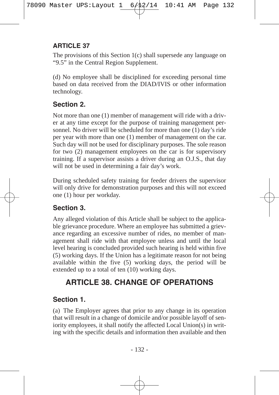The provisions of this Section 1(c) shall supersede any language on "9.5" in the Central Region Supplement.

(d) No employee shall be disciplined for exceeding personal time based on data received from the DIAD/IVIS or other information technology.

# **Section 2.**

Not more than one (1) member of management will ride with a driver at any time except for the purpose of training management personnel. No driver will be scheduled for more than one (1) day's ride per year with more than one (1) member of management on the car. Such day will not be used for disciplinary purposes. The sole reason for two (2) management employees on the car is for supervisory training. If a supervisor assists a driver during an O.J.S., that day will not be used in determining a fair day's work.

During scheduled safety training for feeder drivers the supervisor will only drive for demonstration purposes and this will not exceed one (1) hour per workday.

## **Section 3.**

Any alleged violation of this Article shall be subject to the applicable grievance procedure. Where an employee has submitted a grievance regarding an excessive number of rides, no member of management shall ride with that employee unless and until the local level hearing is concluded provided such hearing is held within five (5) working days. If the Union has a legitimate reason for not being available within the five (5) working days, the period will be extended up to a total of ten (10) working days.

# **ARTICLE 38. CHANGE OF OPERATIONS**

# **Section 1.**

(a) The Employer agrees that prior to any change in its operation that will result in a change of domicile and/or possible layoff of seniority employees, it shall notify the affected Local Union(s) in writing with the specific details and information then available and then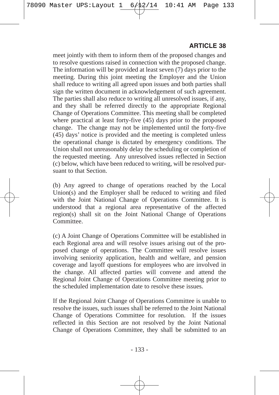meet jointly with them to inform them of the proposed changes and to resolve questions raised in connection with the proposed change. The information will be provided at least seven  $(7)$  days prior to the meeting. During this joint meeting the Employer and the Union shall reduce to writing all agreed upon issues and both parties shall sign the written document in acknowledgement of such agreement. The parties shall also reduce to writing all unresolved issues, if any, and they shall be referred directly to the appropriate Regional Change of Operations Committee. This meeting shall be completed where practical at least forty-five (45) days prior to the proposed change. The change may not be implemented until the forty-five (45) days' notice is provided and the meeting is completed unless the operational change is dictated by emergency conditions. The Union shall not unreasonably delay the scheduling or completion of the requested meeting. Any unresolved issues reflected in Section (c) below, which have been reduced to writing, will be resolved pursuant to that Section.

(b) Any agreed to change of operations reached by the Local Union(s) and the Employer shall be reduced to writing and filed with the Joint National Change of Operations Committee. It is understood that a regional area representative of the affected region(s) shall sit on the Joint National Change of Operations Committee.

(c) A Joint Change of Operations Committee will be established in each Regional area and will resolve issues arising out of the proposed change of operations. The Committee will resolve issues involving seniority application, health and welfare, and pension coverage and layoff questions for employees who are involved in the change. All affected parties will convene and attend the Regional Joint Change of Operations Committee meeting prior to the scheduled implementation date to resolve these issues.

If the Regional Joint Change of Operations Committee is unable to resolve the issues, such issues shall be referred to the Joint National Change of Operations Committee for resolution. If the issues reflected in this Section are not resolved by the Joint National Change of Operations Committee, they shall be submitted to an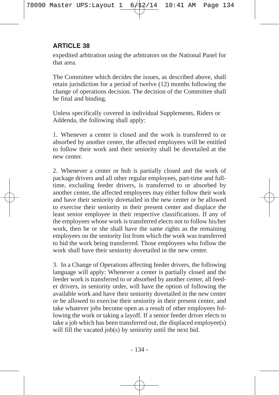expedited arbitration using the arbitrators on the National Panel for that area.

The Committee which decides the issues, as described above, shall retain jurisdiction for a period of twelve (12) months following the change of operations decision. The decision of the Committee shall be final and binding.

Unless specifically covered in individual Supplements, Riders or Addenda, the following shall apply:

1. Whenever a center is closed and the work is transferred to or absorbed by another center, the affected employees will be entitled to follow their work and their seniority shall be dovetailed at the new center.

2. Whenever a center or hub is partially closed and the work of package drivers and all other regular employees, part-time and fulltime, excluding feeder drivers, is transferred to or absorbed by another center, the affected employees may either follow their work and have their seniority dovetailed in the new center or be allowed to exercise their seniority in their present center and displace the least senior employee in their respective classifications. If any of the employees whose work is transferred elects not to follow his/her work, then he or she shall have the same rights as the remaining employees on the seniority list from which the work was transferred to bid the work being transferred. Those employees who follow the work shall have their seniority dovetailed in the new center.

3. In a Change of Operations affecting feeder drivers, the following language will apply: Whenever a center is partially closed and the feeder work is transferred to or absorbed by another center, all feeder drivers, in seniority order, will have the option of following the available work and have their seniority dovetailed in the new center or be allowed to exercise their seniority in their present center, and take whatever jobs become open as a result of other employees following the work or taking a layoff. If a senior feeder driver elects to take a job which has been transferred out, the displaced employee(s) will fill the vacated job(s) by seniority until the next bid.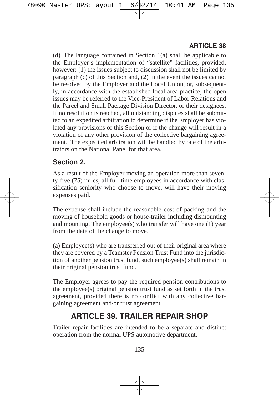(d) The language contained in Section 1(a) shall be applicable to the Employer's implementation of "satellite" facilities, provided, however: (1) the issues subject to discussion shall not be limited by paragraph (c) of this Section and, (2) in the event the issues cannot be resolved by the Employer and the Local Union, or, subsequently, in accordance with the established local area practice, the open issues may be referred to the Vice-President of Labor Relations and the Parcel and Small Package Division Director, or their designees. If no resolution is reached, all outstanding disputes shall be submitted to an expedited arbitration to determine if the Employer has violated any provisions of this Section or if the change will result in a violation of any other provision of the collective bargaining agreement. The expedited arbitration will be handled by one of the arbitrators on the National Panel for that area.

## **Section 2.**

As a result of the Employer moving an operation more than seventy-five (75) miles, all full-time employees in accordance with classification seniority who choose to move, will have their moving expenses paid.

The expense shall include the reasonable cost of packing and the moving of household goods or house-trailer including dismounting and mounting. The employee(s) who transfer will have one (1) year from the date of the change to move.

(a) Employee(s) who are transferred out of their original area where they are covered by a Teamster Pension Trust Fund into the jurisdiction of another pension trust fund, such employee(s) shall remain in their original pension trust fund.

The Employer agrees to pay the required pension contributions to the employee(s) original pension trust fund as set forth in the trust agreement, provided there is no conflict with any collective bargaining agreement and/or trust agreement.

# **ARTICLE 39. TRAILER REPAIR SHOP**

Trailer repair facilities are intended to be a separate and distinct operation from the normal UPS automotive department.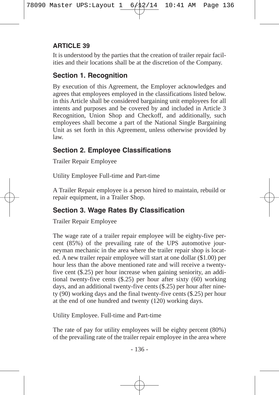It is understood by the parties that the creation of trailer repair facilities and their locations shall be at the discretion of the Company.

# **Section 1. Recognition**

By execution of this Agreement, the Employer acknowledges and agrees that employees employed in the classifications listed below. in this Article shall be considered bargaining unit employees for all intents and purposes and be covered by and included in Article 3 Recognition, Union Shop and Checkoff, and additionally, such employees shall become a part of the National Single Bargaining Unit as set forth in this Agreement, unless otherwise provided by law.

# **Section 2. Employee Classifications**

Trailer Repair Employee

Utility Employee Full-time and Part-time

A Trailer Repair employee is a person hired to maintain, rebuild or repair equipment, in a Trailer Shop.

# **Section 3. Wage Rates By Classification**

Trailer Repair Employee

The wage rate of a trailer repair employee will be eighty-five percent (85%) of the prevailing rate of the UPS automotive journeyman mechanic in the area where the trailer repair shop is located. A new trailer repair employee will start at one dollar (\$1.00) per hour less than the above mentioned rate and will receive a twentyfive cent (\$.25) per hour increase when gaining seniority, an additional twenty-five cents (\$.25) per hour after sixty (60) working days, and an additional twenty-five cents (\$.25) per hour after ninety (90) working days and the final twenty-five cents (\$.25) per hour at the end of one hundred and twenty (120) working days.

Utility Employee. Full-time and Part-time

The rate of pay for utility employees will be eighty percent (80%) of the prevailing rate of the trailer repair employee in the area where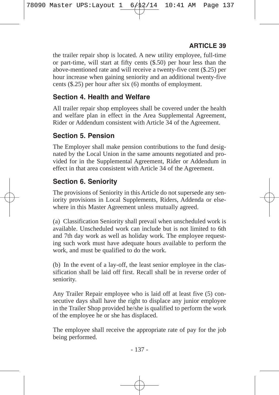the trailer repair shop is located. A new utility employee, full-time or part-time, will start at fifty cents (\$.50) per hour less than the above-mentioned rate and will receive a twenty-five cent (\$.25) per hour increase when gaining seniority and an additional twenty-five cents (\$.25) per hour after six (6) months of employment.

#### **Section 4. Health and Welfare**

All trailer repair shop employees shall be covered under the health and welfare plan in effect in the Area Supplemental Agreement, Rider or Addendum consistent with Article 34 of the Agreement.

## **Section 5. Pension**

The Employer shall make pension contributions to the fund designated by the Local Union in the same amounts negotiated and provided for in the Supplemental Agreement, Rider or Addendum in effect in that area consistent with Article 34 of the Agreement.

## **Section 6. Seniority**

The provisions of Seniority in this Article do not supersede any seniority provisions in Local Supplements, Riders, Addenda or elsewhere in this Master Agreement unless mutually agreed.

(a) Classification Seniority shall prevail when unscheduled work is available. Unscheduled work can include but is not limited to 6th and 7th day work as well as holiday work. The employee requesting such work must have adequate hours available to perform the work, and must be qualified to do the work.

(b) In the event of a lay-off, the least senior employee in the classification shall be laid off first. Recall shall be in reverse order of seniority.

Any Trailer Repair employee who is laid off at least five (5) consecutive days shall have the right to displace any junior employee in the Trailer Shop provided he/she is qualified to perform the work of the employee he or she has displaced.

The employee shall receive the appropriate rate of pay for the job being performed.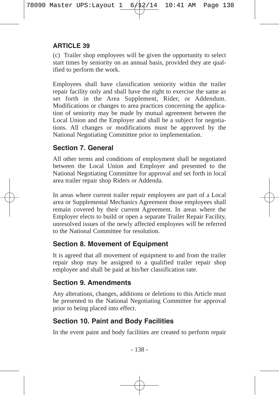(c) Trailer shop employees will be given the opportunity to select start times by seniority on an annual basis, provided they are qualified to perform the work.

Employees shall have classification seniority within the trailer repair facility only and shall have the right to exercise the same as set forth in the Area Supplement, Rider, or Addendum. Modifications or changes to area practices concerning the application of seniority may be made by mutual agreement between the Local Union and the Employer and shall be a subject for negotiations. All changes or modifications must be approved by the National Negotiating Committee prior to implementation.

#### **Section 7. General**

All other terms and conditions of employment shall be negotiated between the Local Union and Employer and presented to the National Negotiating Committee for approval and set forth in local area trailer repair shop Riders or Addenda.

In areas where current trailer repair employees are part of a Local area or Supplemental Mechanics Agreement those employees shall remain covered by their current Agreement. In areas where the Employer elects to build or open a separate Trailer Repair Facility, unresolved issues of the newly affected employees will be referred to the National Committee for resolution.

#### **Section 8. Movement of Equipment**

It is agreed that all movement of equipment to and from the trailer repair shop may be assigned to a qualified trailer repair shop employee and shall be paid at his/her classification rate.

## **Section 9. Amendments**

Any alterations, changes, additions or deletions to this Article must be presented to the National Negotiating Committee for approval prior to being placed into effect.

## **Section 10. Paint and Body Facilities**

In the event paint and body facilities are created to perform repair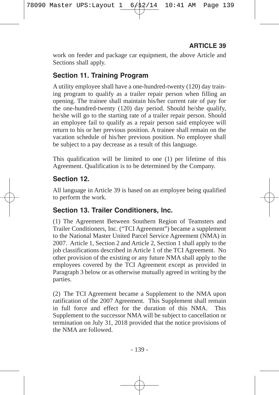work on feeder and package car equipment, the above Article and Sections shall apply.

## **Section 11. Training Program**

A utility employee shall have a one-hundred-twenty (120) day training program to qualify as a trailer repair person when filling an opening. The trainee shall maintain his/her current rate of pay for the one-hundred-twenty (120) day period. Should he/she qualify, he/she will go to the starting rate of a trailer repair person. Should an employee fail to qualify as a repair person said employee will return to his or her previous position. A trainee shall remain on the vacation schedule of his/her previous position. No employee shall be subject to a pay decrease as a result of this language.

This qualification will be limited to one (1) per lifetime of this Agreement. Qualification is to be determined by the Company.

#### **Section 12.**

All language in Article 39 is based on an employee being qualified to perform the work.

## **Section 13. Trailer Conditioners, Inc.**

(1) The Agreement Between Southern Region of Teamsters and Trailer Conditioners, Inc. ("TCI Agreement") became a supplement to the National Master United Parcel Service Agreement (NMA) in 2007. Article 1, Section 2 and Article 2, Section 1 shall apply to the job classifications described in Article 1 of the TCI Agreement. No other provision of the existing or any future NMA shall apply to the employees covered by the TCI Agreement except as provided in Paragraph 3 below or as otherwise mutually agreed in writing by the parties.

(2) The TCI Agreement became a Supplement to the NMA upon ratification of the 2007 Agreement. This Supplement shall remain in full force and effect for the duration of this NMA. This Supplement to the successor NMA will be subject to cancellation or termination on July 31, 2018 provided that the notice provisions of the NMA are followed.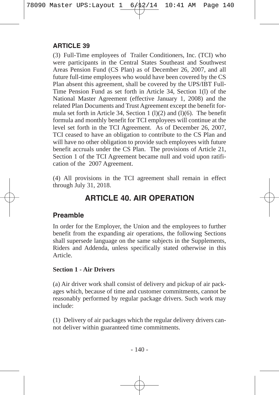(3) Full-Time employees of Trailer Conditioners, Inc. (TCI) who were participants in the Central States Southeast and Southwest Areas Pension Fund (CS Plan) as of December 26, 2007, and all future full-time employees who would have been covered by the CS Plan absent this agreement, shall be covered by the UPS/IBT Full-Time Pension Fund as set forth in Article 34, Section 1(l) of the National Master Agreement (effective January 1, 2008) and the related Plan Documents and Trust Agreement except the benefit formula set forth in Article 34, Section 1  $(l)(2)$  and  $(l)(6)$ . The benefit formula and monthly benefit for TCI employees will continue at the level set forth in the TCI Agreement. As of December 26, 2007, TCI ceased to have an obligation to contribute to the CS Plan and will have no other obligation to provide such employees with future benefit accruals under the CS Plan. The provisions of Article 21, Section 1 of the TCI Agreement became null and void upon ratification of the 2007 Agreement.

(4) All provisions in the TCI agreement shall remain in effect through July 31, 2018.

## **ARTICLE 40. AIR OPERATION**

#### **Preamble**

In order for the Employer, the Union and the employees to further benefit from the expanding air operations, the following Sections shall supersede language on the same subjects in the Supplements, Riders and Addenda, unless specifically stated otherwise in this Article.

#### **Section 1 - Air Drivers**

(a) Air driver work shall consist of delivery and pickup of air packages which, because of time and customer commitments, cannot be reasonably performed by regular package drivers. Such work may include:

(1) Delivery of air packages which the regular delivery drivers cannot deliver within guaranteed time commitments.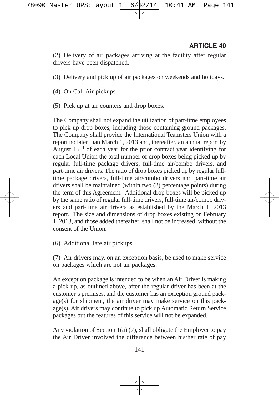(2) Delivery of air packages arriving at the facility after regular drivers have been dispatched.

- (3) Delivery and pick up of air packages on weekends and holidays.
- (4) On Call Air pickups.
- (5) Pick up at air counters and drop boxes.

The Company shall not expand the utilization of part-time employees to pick up drop boxes, including those containing ground packages. The Company shall provide the International Teamsters Union with a report no later than March 1, 2013 and, thereafter, an annual report by August  $15<sup>th</sup>$  of each year for the prior contract year identifying for each Local Union the total number of drop boxes being picked up by regular full-time package drivers, full-time air/combo drivers, and part-time air drivers. The ratio of drop boxes picked up by regular fulltime package drivers, full-time air/combo drivers and part-time air drivers shall be maintained (within two (2) percentage points) during the term of this Agreement. Additional drop boxes will be picked up by the same ratio of regular full-time drivers, full-time air/combo drivers and part-time air drivers as established by the March 1, 2013 report. The size and dimensions of drop boxes existing on February 1, 2013, and those added thereafter, shall not be increased, without the consent of the Union.

(6) Additional late air pickups.

(7) Air drivers may, on an exception basis, be used to make service on packages which are not air packages.

An exception package is intended to be when an Air Driver is making a pick up, as outlined above, after the regular driver has been at the customer's premises, and the customer has an exception ground pack $age(s)$  for shipment, the air driver may make service on this package(s). Air drivers may continue to pick up Automatic Return Service packages but the features of this service will not be expanded.

Any violation of Section 1(a) (7), shall obligate the Employer to pay the Air Driver involved the difference between his/her rate of pay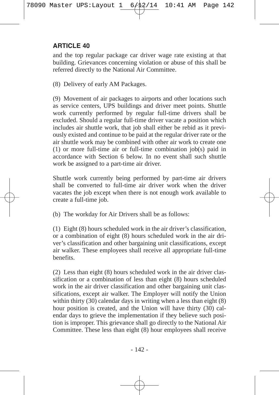and the top regular package car driver wage rate existing at that building. Grievances concerning violation or abuse of this shall be referred directly to the National Air Committee.

(8) Delivery of early AM Packages.

(9) Movement of air packages to airports and other locations such as service centers, UPS buildings and driver meet points. Shuttle work currently performed by regular full-time drivers shall be excluded. Should a regular full-time driver vacate a position which includes air shuttle work, that job shall either be rebid as it previously existed and continue to be paid at the regular driver rate or the air shuttle work may be combined with other air work to create one (1) or more full-time air or full-time combination job(s) paid in accordance with Section 6 below. In no event shall such shuttle work be assigned to a part-time air driver.

Shuttle work currently being performed by part-time air drivers shall be converted to full-time air driver work when the driver vacates the job except when there is not enough work available to create a full-time job.

(b) The workday for Air Drivers shall be as follows:

(1) Eight (8) hours scheduled work in the air driver's classification, or a combination of eight (8) hours scheduled work in the air driver's classification and other bargaining unit classifications, except air walker. These employees shall receive all appropriate full-time benefits.

(2) Less than eight (8) hours scheduled work in the air driver classification or a combination of less than eight (8) hours scheduled work in the air driver classification and other bargaining unit classifications, except air walker. The Employer will notify the Union within thirty  $(30)$  calendar days in writing when a less than eight  $(8)$ hour position is created, and the Union will have thirty (30) calendar days to grieve the implementation if they believe such position is improper. This grievance shall go directly to the National Air Committee. These less than eight (8) hour employees shall receive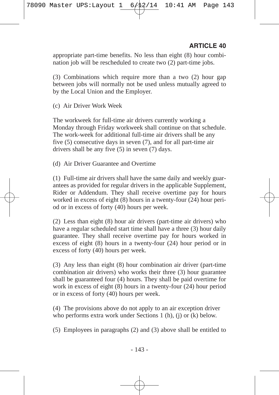appropriate part-time benefits. No less than eight (8) hour combination job will be rescheduled to create two (2) part-time jobs.

(3) Combinations which require more than a two (2) hour gap between jobs will normally not be used unless mutually agreed to by the Local Union and the Employer.

(c) Air Driver Work Week

The workweek for full-time air drivers currently working a Monday through Friday workweek shall continue on that schedule. The work-week for additional full-time air drivers shall be any five (5) consecutive days in seven (7), and for all part-time air drivers shall be any five (5) in seven (7) days.

(d) Air Driver Guarantee and Overtime

(1) Full-time air drivers shall have the same daily and weekly guarantees as provided for regular drivers in the applicable Supplement, Rider or Addendum. They shall receive overtime pay for hours worked in excess of eight (8) hours in a twenty-four (24) hour period or in excess of forty (40) hours per week.

(2) Less than eight (8) hour air drivers (part-time air drivers) who have a regular scheduled start time shall have a three (3) hour daily guarantee. They shall receive overtime pay for hours worked in excess of eight (8) hours in a twenty-four (24) hour period or in excess of forty (40) hours per week.

(3) Any less than eight (8) hour combination air driver (part-time combination air drivers) who works their three (3) hour guarantee shall be guaranteed four (4) hours. They shall be paid overtime for work in excess of eight (8) hours in a twenty-four (24) hour period or in excess of forty (40) hours per week.

(4) The provisions above do not apply to an air exception driver who performs extra work under Sections 1 (h), (j) or (k) below.

(5) Employees in paragraphs (2) and (3) above shall be entitled to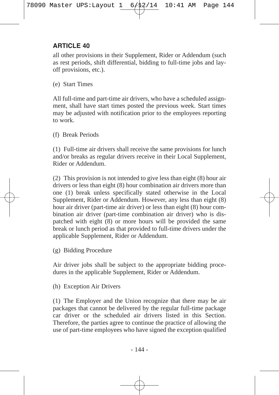all other provisions in their Supplement, Rider or Addendum (such as rest periods, shift differential, bidding to full-time jobs and layoff provisions, etc.).

(e) Start Times

All full-time and part-time air drivers, who have a scheduled assignment, shall have start times posted the previous week. Start times may be adjusted with notification prior to the employees reporting to work.

(f) Break Periods

(1) Full-time air drivers shall receive the same provisions for lunch and/or breaks as regular drivers receive in their Local Supplement, Rider or Addendum.

(2) This provision is not intended to give less than eight (8) hour air drivers or less than eight (8) hour combination air drivers more than one (1) break unless specifically stated otherwise in the Local Supplement, Rider or Addendum. However, any less than eight (8) hour air driver (part-time air driver) or less than eight (8) hour combination air driver (part-time combination air driver) who is dispatched with eight (8) or more hours will be provided the same break or lunch period as that provided to full-time drivers under the applicable Supplement, Rider or Addendum.

(g) Bidding Procedure

Air driver jobs shall be subject to the appropriate bidding procedures in the applicable Supplement, Rider or Addendum.

(h) Exception Air Drivers

(1) The Employer and the Union recognize that there may be air packages that cannot be delivered by the regular full-time package car driver or the scheduled air drivers listed in this Section. Therefore, the parties agree to continue the practice of allowing the use of part-time employees who have signed the exception qualified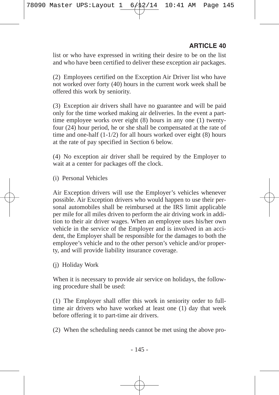list or who have expressed in writing their desire to be on the list and who have been certified to deliver these exception air packages.

(2) Employees certified on the Exception Air Driver list who have not worked over forty (40) hours in the current work week shall be offered this work by seniority.

(3) Exception air drivers shall have no guarantee and will be paid only for the time worked making air deliveries. In the event a parttime employee works over eight (8) hours in any one (1) twentyfour (24) hour period, he or she shall be compensated at the rate of time and one-half (1-1/2) for all hours worked over eight (8) hours at the rate of pay specified in Section 6 below.

(4) No exception air driver shall be required by the Employer to wait at a center for packages off the clock.

(i) Personal Vehicles

Air Exception drivers will use the Employer's vehicles whenever possible. Air Exception drivers who would happen to use their personal automobiles shall be reimbursed at the IRS limit applicable per mile for all miles driven to perform the air driving work in addition to their air driver wages. When an employee uses his/her own vehicle in the service of the Employer and is involved in an accident, the Employer shall be responsible for the damages to both the employee's vehicle and to the other person's vehicle and/or property, and will provide liability insurance coverage.

(j) Holiday Work

When it is necessary to provide air service on holidays, the following procedure shall be used:

(1) The Employer shall offer this work in seniority order to fulltime air drivers who have worked at least one (1) day that week before offering it to part-time air drivers.

(2) When the scheduling needs cannot be met using the above pro-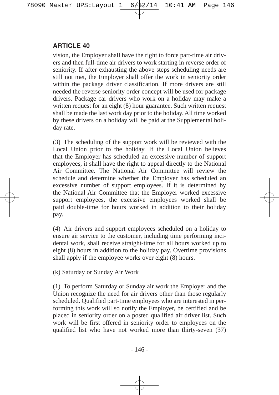vision, the Employer shall have the right to force part-time air drivers and then full-time air drivers to work starting in reverse order of seniority. If after exhausting the above steps scheduling needs are still not met, the Employer shall offer the work in seniority order within the package driver classification. If more drivers are still needed the reverse seniority order concept will be used for package drivers. Package car drivers who work on a holiday may make a written request for an eight (8) hour guarantee. Such written request shall be made the last work day prior to the holiday. All time worked by these drivers on a holiday will be paid at the Supplemental holiday rate.

(3) The scheduling of the support work will be reviewed with the Local Union prior to the holiday. If the Local Union believes that the Employer has scheduled an excessive number of support employees, it shall have the right to appeal directly to the National Air Committee. The National Air Committee will review the schedule and determine whether the Employer has scheduled an excessive number of support employees. If it is determined by the National Air Committee that the Employer worked excessive support employees, the excessive employees worked shall be paid double-time for hours worked in addition to their holiday pay.

(4) Air drivers and support employees scheduled on a holiday to ensure air service to the customer, including time performing incidental work, shall receive straight-time for all hours worked up to eight (8) hours in addition to the holiday pay. Overtime provisions shall apply if the employee works over eight (8) hours.

(k) Saturday or Sunday Air Work

(1) To perform Saturday or Sunday air work the Employer and the Union recognize the need for air drivers other than those regularly scheduled. Qualified part-time employees who are interested in performing this work will so notify the Employer, be certified and be placed in seniority order on a posted qualified air driver list. Such work will be first offered in seniority order to employees on the qualified list who have not worked more than thirty-seven (37)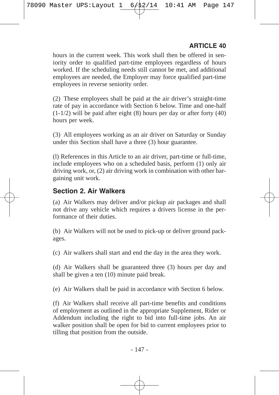hours in the current week. This work shall then be offered in seniority order to qualified part-time employees regardless of hours worked. If the scheduling needs still cannot be met, and additional employees are needed, the Employer may force qualified part-time employees in reverse seniority order.

(2) These employees shall be paid at the air driver's straight-time rate of pay in accordance with Section 6 below. Time and one-half (1-1/2) will be paid after eight (8) hours per day or after forty (40) hours per week.

(3) All employees working as an air driver on Saturday or Sunday under this Section shall have a three (3) hour guarantee.

(l) References in this Article to an air driver, part-time or full-time, include employees who on a scheduled basis, perform (1) only air driving work, or, (2) air driving work in combination with other bargaining unit work.

#### **Section 2. Air Walkers**

(a) Air Walkers may deliver and/or pickup air packages and shall not drive any vehicle which requires a drivers license in the performance of their duties.

(b) Air Walkers will not be used to pick-up or deliver ground packages.

(c) Air walkers shall start and end the day in the area they work.

(d) Air Walkers shall be guaranteed three (3) hours per day and shall be given a ten (10) minute paid break.

(e) Air Walkers shall be paid in accordance with Section 6 below.

(f) Air Walkers shall receive all part-time benefits and conditions of employment as outlined in the appropriate Supplement, Rider or Addendum including the right to bid into full-time jobs. An air walker position shall be open for bid to current employees prior to tilling that position from the outside.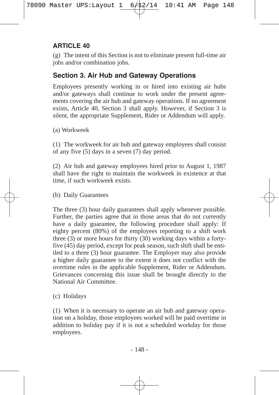(g) The intent of this Section is not to eliminate present full-time air jobs and/or combination jobs.

## **Section 3. Air Hub and Gateway Operations**

Employees presently working in or hired into existing air hubs and/or gateways shall continue to work under the present agreements covering the air hub and gateway operations. If no agreement exists, Article 40, Section 3 shall apply. However, if Section 3 is silent, the appropriate Supplement, Rider or Addendum will apply.

(a) Workweek

(1) The workweek for air hub and gateway employees shall consist of any five (5) days in a seven (7) day period.

(2) Air hub and gateway employees hired prior to August 1, 1987 shall have the right to maintain the workweek in existence at that time, if such workweek exists.

(b) Daily Guarantees

The three (3) hour daily guarantees shall apply whenever possible. Further, the parties agree that in those areas that do not currently have a daily guarantee, the following procedure shall apply: If eighty percent (80%) of the employees reporting to a shift work three (3) or more hours for thirty (30) working days within a fortyfive (45) day period, except for peak season, such shift shall be entitled to a three (3) hour guarantee. The Employer may also provide a higher daily guarantee to the extent it does not conflict with the overtime rules in the applicable Supplement, Rider or Addendum. Grievances concerning this issue shall be brought directly to the National Air Committee.

(c) Holidays

(1) When it is necessary to operate an air hub and gateway operation on a holiday, those employees worked will be paid overtime in addition to holiday pay if it is not a scheduled workday for those employees.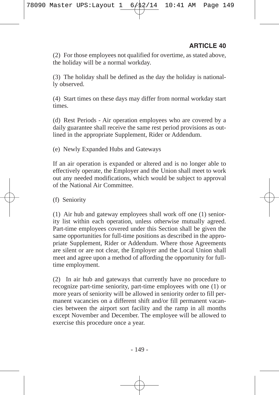(2) For those employees not qualified for overtime, as stated above, the holiday will be a normal workday.

(3) The holiday shall be defined as the day the holiday is nationally observed.

(4) Start times on these days may differ from normal workday start times.

(d) Rest Periods - Air operation employees who are covered by a daily guarantee shall receive the same rest period provisions as outlined in the appropriate Supplement, Rider or Addendum.

(e) Newly Expanded Hubs and Gateways

If an air operation is expanded or altered and is no longer able to effectively operate, the Employer and the Union shall meet to work out any needed modifications, which would be subject to approval of the National Air Committee.

(f) Seniority

(1) Air hub and gateway employees shall work off one (1) seniority list within each operation, unless otherwise mutually agreed. Part-time employees covered under this Section shall be given the same opportunities for full-time positions as described in the appropriate Supplement, Rider or Addendum. Where those Agreements are silent or are not clear, the Employer and the Local Union shall meet and agree upon a method of affording the opportunity for fulltime employment.

(2) In air hub and gateways that currently have no procedure to recognize part-time seniority, part-time employees with one (1) or more years of seniority will be allowed in seniority order to fill permanent vacancies on a different shift and/or fill permanent vacancies between the airport sort facility and the ramp in all months except November and December. The employee will be allowed to exercise this procedure once a year.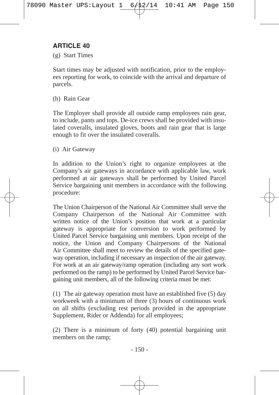(g) Start Times

Start times may be adjusted with notification, prior to the employees reporting for work, to coincide with the arrival and departure of parcels.

(h) Rain Gear

The Employer shall provide all outside ramp employees rain gear, to include, pants and tops. De-ice crews shall be provided with insulated coveralls, insulated gloves, boots and rain gear that is large enough to fit over the insulated coveralls.

(i) Air Gateway

In addition to the Union's right to organize employees at the Company's air gateways in accordance with applicable law, work performed at air gateways shall be performed by United Parcel Service bargaining unit members in accordance with the following procedure:

The Union Chairperson of the National Air Committee shall serve the Company Chairperson of the National Air Committee with written notice of the Union's position that work at a particular gateway is appropriate for conversion to work performed by United Parcel Service bargaining unit members. Upon receipt of the notice, the Union and Company Chairpersons of the National Air Committee shall meet to review the details of the specified gateway operation, including if necessary an inspection of the air gateway. For work at an air gateway/ramp operation (including any sort work performed on the ramp) to be performed by United Parcel Service bargaining unit members, all of the following criteria must be met:

(1) The air gateway operation must have an established five (5) day workweek with a minimum of three (3) hours of continuous work on all shifts (excluding rest periods provided in the appropriate Supplement, Rider or Addenda) for all employees;

(2) There is a minimum of forty (40) potential bargaining unit members on the ramp;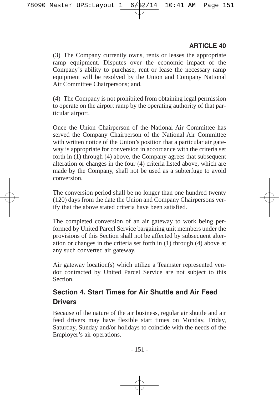(3) The Company currently owns, rents or leases the appropriate ramp equipment. Disputes over the economic impact of the Company's ability to purchase, rent or lease the necessary ramp equipment will be resolved by the Union and Company National Air Committee Chairpersons; and,

(4) The Company is not prohibited from obtaining legal permission to operate on the airport ramp by the operating authority of that particular airport.

Once the Union Chairperson of the National Air Committee has served the Company Chairperson of the National Air Committee with written notice of the Union's position that a particular air gateway is appropriate for conversion in accordance with the criteria set forth in (1) through (4) above, the Company agrees that subsequent alteration or changes in the four (4) criteria listed above, which are made by the Company, shall not be used as a subterfuge to avoid conversion.

The conversion period shall be no longer than one hundred twenty (120) days from the date the Union and Company Chairpersons verify that the above stated criteria have been satisfied.

The completed conversion of an air gateway to work being performed by United Parcel Service bargaining unit members under the provisions of this Section shall not be affected by subsequent alteration or changes in the criteria set forth in (1) through (4) above at any such converted air gateway.

Air gateway location(s) which utilize a Teamster represented vendor contracted by United Parcel Service are not subject to this **Section** 

## **Section 4. Start Times for Air Shuttle and Air Feed Drivers**

Because of the nature of the air business, regular air shuttle and air feed drivers may have flexible start times on Monday, Friday, Saturday, Sunday and/or holidays to coincide with the needs of the Employer's air operations.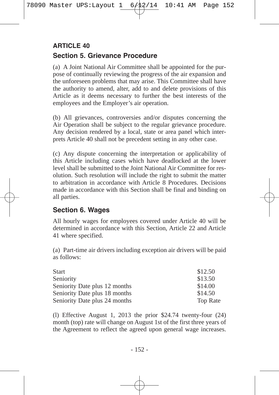## **Section 5. Grievance Procedure ARTICLE 40**

(a) A Joint National Air Committee shall be appointed for the purpose of continually reviewing the progress of the air expansion and the unforeseen problems that may arise. This Committee shall have the authority to amend, alter, add to and delete provisions of this Article as it deems necessary to further the best interests of the employees and the Employer's air operation.

(b) All grievances, controversies and/or disputes concerning the Air Operation shall be subject to the regular grievance procedure. Any decision rendered by a local, state or area panel which interprets Article 40 shall not be precedent setting in any other case.

(c) Any dispute concerning the interpretation or applicability of this Article including cases which have deadlocked at the lower level shall be submitted to the Joint National Air Committee for resolution. Such resolution will include the right to submit the matter to arbitration in accordance with Article 8 Procedures. Decisions made in accordance with this Section shall be final and binding on all parties.

## **Section 6. Wages**

All hourly wages for employees covered under Article 40 will be determined in accordance with this Section, Article 22 and Article 41 where specified.

(a) Part-time air drivers including exception air drivers will be paid as follows:

| Start                         | \$12.50         |
|-------------------------------|-----------------|
| Seniority                     | \$13.50         |
| Seniority Date plus 12 months | \$14.00         |
| Seniority Date plus 18 months | \$14.50         |
| Seniority Date plus 24 months | <b>Top Rate</b> |

(l) Effective August 1, 2013 the prior \$24.74 twenty-four (24) month (top) rate will change on August 1st of the first three years of the Agreement to reflect the agreed upon general wage increases.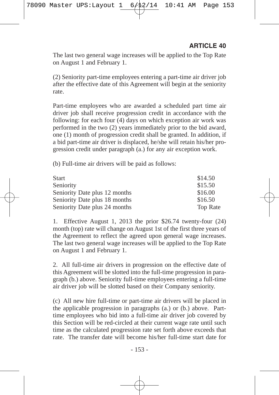The last two general wage increases will be applied to the Top Rate on August 1 and February 1.

(2) Seniority part-time employees entering a part-time air driver job after the effective date of this Agreement will begin at the seniority rate.

Part-time employees who are awarded a scheduled part time air driver job shall receive progression credit in accordance with the following: for each four (4) days on which exception air work was performed in the two (2) years immediately prior to the bid award, one (1) month of progression credit shall be granted. In addition, if a bid part-time air driver is displaced, he/she will retain his/her progression credit under paragraph (a.) for any air exception work.

(b) Full-time air drivers will be paid as follows:

| <b>Start</b>                  | \$14.50         |
|-------------------------------|-----------------|
| Seniority                     | \$15.50         |
| Seniority Date plus 12 months | \$16.00         |
| Seniority Date plus 18 months | \$16.50         |
| Seniority Date plus 24 months | <b>Top Rate</b> |

1. Effective August 1, 2013 the prior \$26.74 twenty-four (24) month (top) rate will change on August 1st of the first three years of the Agreement to reflect the agreed upon general wage increases. The last two general wage increases will be applied to the Top Rate on August 1 and February 1.

2. All full-time air drivers in progression on the effective date of this Agreement will be slotted into the full-time progression in paragraph (b.) above. Seniority full-time employees entering a full-time air driver job will be slotted based on their Company seniority.

(c) All new hire full-time or part-time air drivers will be placed in the applicable progression in paragraphs (a.) or (b.) above. Parttime employees who bid into a full-time air driver job covered by this Section will be red-circled at their current wage rate until such time as the calculated progression rate set forth above exceeds that rate. The transfer date will become his/her full-time start date for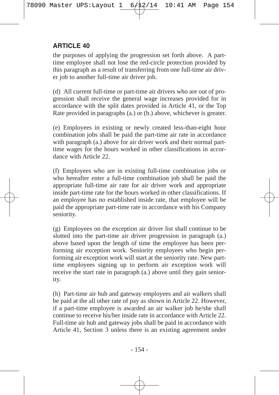the purposes of applying the progression set forth above. A parttime employee shall not lose the red-circle protection provided by this paragraph as a result of transferring from one full-time air driver job to another full-time air driver job.

(d) All current full-time or part-time air drivers who are out of progression shall receive the general wage increases provided for in accordance with the split dates provided in Article 41, or the Top Rate provided in paragraphs (a.) or (b.) above, whichever is greater.

(e) Employees in existing or newly created less-than-eight hour combination jobs shall be paid the part-time air rate in accordance with paragraph (a.) above for air driver work and their normal parttime wages for the hours worked in other classifications in accordance with Article 22.

(f) Employees who are in existing full-time combination jobs or who hereafter enter a full-time combination job shall be paid the appropriate full-time air rate for air driver work and appropriate inside part-time rate for the hours worked in other classifications. If an employee has no established inside rate, that employee will be paid the appropriate part-time rate in accordance with his Company seniority.

(g) Employees on the exception air driver list shall continue to be slotted into the part-time air driver progression in paragraph (a.) above based upon the length of time the employee has been performing air exception work. Seniority employees who begin performing air exception work will start at the seniority rate. New parttime employees signing up to perform air exception work will receive the start rate in paragraph (a.) above until they gain seniority.

(h) Part-time air hub and gateway employees and air walkers shall be paid at the all other rate of pay as shown in Article 22. However, if a part-time employee is awarded an air walker job he/she shall continue to receive his/her inside rate in accordance with Article 22. Full-time air hub and gateway jobs shall be paid in accordance with Article 41, Section 3 unless there is an existing agreement under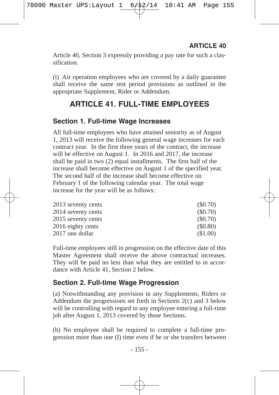Article 40, Section 3 expressly providing a pay rate for such a classification.

(i) Air operation employees who are covered by a daily guarantee shall receive the same rest period provisions as outlined in the appropriate Supplement, Rider or Addendum.

## **ARTICLE 41. FULL-TIME EMPLOYEES**

#### **Section 1. Full-time Wage Increases**

All full-time employees who have attained seniority as of August 1, 2013 will receive the following general wage increases for each contract year. In the first three years of the contract, the increase will be effective on August 1. In 2016 and 2017, the increase shall be paid in two (2) equal installments. The first half of the increase shall become effective on August 1 of the specified year. The second half of the increase shall become effective on February 1 of the following calendar year. The total wage increase for the year will be as follows:

| 2013 seventy cents | (S0.70) |
|--------------------|---------|
| 2014 seventy cents | (S0.70) |
| 2015 seventy cents | (S0.70) |
| 2016 eighty cents  | (S0.80) |
| 2017 one dollar    | (S1.00) |

Full-time employees still in progression on the effective date of this Master Agreement shall receive the above contractual increases. They will be paid no less than what they are entitled to in accordance with Article 41, Section 2 below.

#### **Section 2. Full-time Wage Progression**

(a) Notwithstanding any provision in any Supplements, Riders or Addendum the progressions set forth in Sections 2(c) and 3 below will be controlling with regard to any employee entering a full-time job after August 1, 2013 covered by those Sections.

(b) No employee shall be required to complete a full-time progression more than one (I) time even if he or she transfers between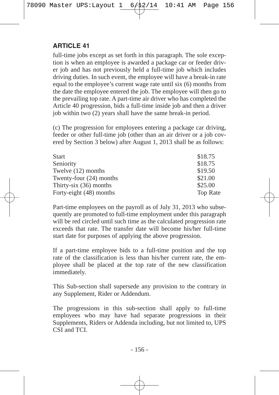full-time jobs except as set forth in this paragraph. The sole exception is when an employee is awarded a package car or feeder driver job and has not previously held a full-time job which includes driving duties. In such event, the employee will have a break-in rate equal to the employee's current wage rate until six (6) months from the date the employee entered the job. The employee will then go to the prevailing top rate. A part-time air driver who has completed the Article 40 progression, bids a full-time inside job and then a driver job within two (2) years shall have the same break-in period.

(c) The progression for employees entering a package car driving, feeder or other full-time job (other than an air driver or a job covered by Section 3 below) after August 1, 2013 shall be as follows:

| <b>Start</b>             | \$18.75         |
|--------------------------|-----------------|
| Seniority                | \$18.75         |
| Twelve (12) months       | \$19.50         |
| Twenty-four (24) months  | \$21.00         |
| Thirty-six $(36)$ months | \$25.00         |
| Forty-eight (48) months  | <b>Top Rate</b> |

Part-time employees on the payroll as of July 31, 2013 who subsequently are promoted to full-time employment under this paragraph will be red circled until such time as the calculated progression rate exceeds that rate. The transfer date will become his/her full-time start date for purposes of applying the above progression.

If a part-time employee bids to a full-time position and the top rate of the classification is less than his/her current rate, the employee shall be placed at the top rate of the new classification immediately.

This Sub-section shall supersede any provision to the contrary in any Supplement, Rider or Addendum.

The progressions in this sub-section shall apply to full-time employees who may have had separate progressions in their Supplements, Riders or Addenda including, but not limited to, UPS CSI and TCI.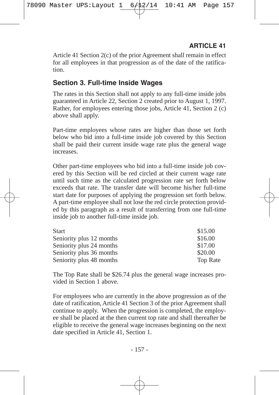Article 41 Section 2(c) of the prior Agreement shall remain in effect for all employees in that progression as of the date of the ratification.

## **Section 3. Full-time Inside Wages**

The rates in this Section shall not apply to any full-time inside jobs guaranteed in Article 22, Section 2 created prior to August 1, 1997. Rather, for employees entering those jobs, Article 41, Section 2 (c) above shall apply.

Part-time employees whose rates are higher than those set forth below who bid into a full-time inside job covered by this Section shall be paid their current inside wage rate plus the general wage increases.

Other part-time employees who bid into a full-time inside job covered by this Section will be red circled at their current wage rate until such time as the calculated progression rate set forth below exceeds that rate. The transfer date will become his/her full-time start date for purposes of applying the progression set forth below. A part-time employee shall not lose the red circle protection provided by this paragraph as a result of transferring from one full-time inside job to another full-time inside job.

| <b>Start</b>             | \$15.00         |
|--------------------------|-----------------|
| Seniority plus 12 months | \$16.00         |
| Seniority plus 24 months | \$17.00         |
| Seniority plus 36 months | \$20.00         |
| Seniority plus 48 months | <b>Top Rate</b> |

The Top Rate shall be \$26.74 plus the general wage increases provided in Section 1 above.

For employees who are currently in the above progression as of the date of ratification, Article 41 Section 3 of the prior Agreement shall continue to apply. When the progression is completed, the employee shall be placed at the then current top rate and shall thereafter be eligible to receive the general wage increases beginning on the next date specified in Article 41, Section 1.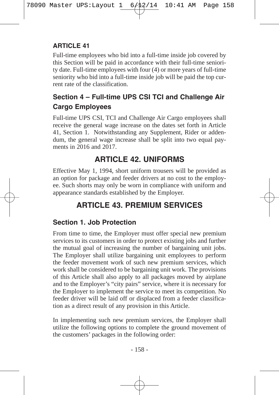Full-time employees who bid into a full-time inside job covered by this Section will be paid in accordance with their full-time seniority date. Full-time employees with four (4) or more years of full-time seniority who bid into a full-time inside job will be paid the top current rate of the classification.

## **Section 4 – Full-time UPS CSI TCI and Challenge Air Cargo Employees**

Full-time UPS CSI, TCI and Challenge Air Cargo employees shall receive the general wage increase on the dates set forth in Article 41, Section 1. Notwithstanding any Supplement, Rider or addendum, the general wage increase shall be split into two equal payments in 2016 and 2017.

## **ARTICLE 42. UNIFORMS**

Effective May 1, 1994, short uniform trousers will be provided as an option for package and feeder drivers at no cost to the employee. Such shorts may only be worn in compliance with uniform and appearance standards established by the Employer.

# **ARTICLE 43. PREMIUM SERVICES**

## **Section 1. Job Protection**

From time to time, the Employer must offer special new premium services to its customers in order to protect existing jobs and further the mutual goal of increasing the number of bargaining unit jobs. The Employer shall utilize bargaining unit employees to perform the feeder movement work of such new premium services, which work shall be considered to be bargaining unit work. The provisions of this Article shall also apply to all packages moved by airplane and to the Employer's "city pairs" service, where it is necessary for the Employer to implement the service to meet its competition. No feeder driver will be laid off or displaced from a feeder classification as a direct result of any provision in this Article.

In implementing such new premium services, the Employer shall utilize the following options to complete the ground movement of the customers' packages in the following order: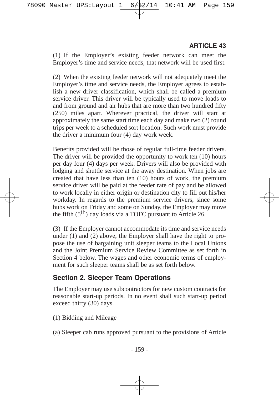(1) If the Employer's existing feeder network can meet the Employer's time and service needs, that network will be used first.

(2) When the existing feeder network will not adequately meet the Employer's time and service needs, the Employer agrees to establish a new driver classification, which shall be called a premium service driver. This driver will be typically used to move loads to and from ground and air hubs that are more than two hundred fifty (250) miles apart. Wherever practical, the driver will start at approximately the same start time each day and make two (2) round trips per week to a scheduled sort location. Such work must provide the driver a minimum four (4) day work week.

Benefits provided will be those of regular full-time feeder drivers. The driver will be provided the opportunity to work ten (10) hours per day four (4) days per week. Drivers will also be provided with lodging and shuttle service at the away destination. When jobs are created that have less than ten (10) hours of work, the premium service driver will be paid at the feeder rate of pay and be allowed to work locally in either origin or destination city to fill out his/her workday. In regards to the premium service drivers, since some hubs work on Friday and some on Sunday, the Employer may move the fifth  $(5<sup>th</sup>)$  day loads via a TOFC pursuant to Article 26.

(3) If the Employer cannot accommodate its time and service needs under (1) and (2) above, the Employer shall have the right to propose the use of bargaining unit sleeper teams to the Local Unions and the Joint Premium Service Review Committee as set forth in Section 4 below. The wages and other economic terms of employment for such sleeper teams shall be as set forth below.

#### **Section 2. Sleeper Team Operations**

The Employer may use subcontractors for new custom contracts for reasonable start-up periods. In no event shall such start-up period exceed thirty (30) days.

- (1) Bidding and Mileage
- (a) Sleeper cab runs approved pursuant to the provisions of Article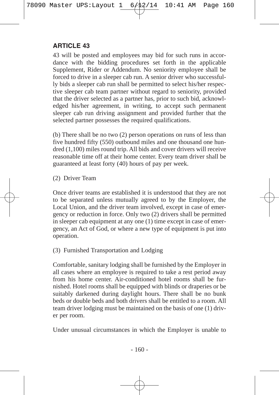43 will be posted and employees may bid for such runs in accordance with the bidding procedures set forth in the applicable Supplement, Rider or Addendum. No seniority employee shall be forced to drive in a sleeper cab run. A senior driver who successfully bids a sleeper cab run shall be permitted to select his/her respective sleeper cab team partner without regard to seniority, provided that the driver selected as a partner has, prior to such bid, acknowledged his/her agreement, in writing, to accept such permanent sleeper cab run driving assignment and provided further that the selected partner possesses the required qualifications.

(b) There shall be no two (2) person operations on runs of less than five hundred fifty (550) outbound miles and one thousand one hundred (1,100) miles round trip. All bids and cover drivers will receive reasonable time off at their home center. Every team driver shall be guaranteed at least forty (40) hours of pay per week.

(2) Driver Team

Once driver teams are established it is understood that they are not to be separated unless mutually agreed to by the Employer, the Local Union, and the driver team involved, except in case of emergency or reduction in force. Only two (2) drivers shall be permitted in sleeper cab equipment at any one (1) time except in case of emergency, an Act of God, or where a new type of equipment is put into operation.

(3) Furnished Transportation and Lodging

Comfortable, sanitary lodging shall be furnished by the Employer in all cases where an employee is required to take a rest period away from his home center. Air-conditioned hotel rooms shall be furnished. Hotel rooms shall be equipped with blinds or draperies or be suitably darkened during daylight hours. There shall be no bunk beds or double beds and both drivers shall be entitled to a room. All team driver lodging must be maintained on the basis of one (1) driver per room.

Under unusual circumstances in which the Employer is unable to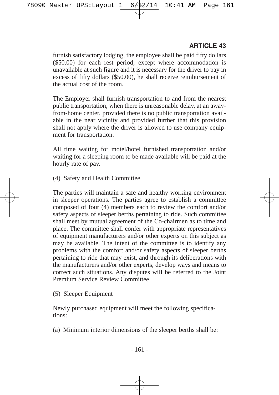furnish satisfactory lodging, the employee shall be paid fifty dollars (\$50.00) for each rest period; except where accommodation is unavailable at such figure and it is necessary for the driver to pay in excess of fifty dollars (\$50.00), he shall receive reimbursement of the actual cost of the room.

The Employer shall furnish transportation to and from the nearest public transportation, when there is unreasonable delay, at an awayfrom-home center, provided there is no public transportation available in the near vicinity and provided further that this provision shall not apply where the driver is allowed to use company equipment for transportation.

All time waiting for motel/hotel furnished transportation and/or waiting for a sleeping room to be made available will be paid at the hourly rate of pay.

(4) Safety and Health Committee

The parties will maintain a safe and healthy working environment in sleeper operations. The parties agree to establish a committee composed of four (4) members each to review the comfort and/or safety aspects of sleeper berths pertaining to ride. Such committee shall meet by mutual agreement of the Co-chairmen as to time and place. The committee shall confer with appropriate representatives of equipment manufacturers and/or other experts on this subject as may be available. The intent of the committee is to identify any problems with the comfort and/or safety aspects of sleeper berths pertaining to ride that may exist, and through its deliberations with the manufacturers and/or other experts, develop ways and means to correct such situations. Any disputes will be referred to the Joint Premium Service Review Committee.

(5) Sleeper Equipment

Newly purchased equipment will meet the following specifications:

(a) Minimum interior dimensions of the sleeper berths shall be: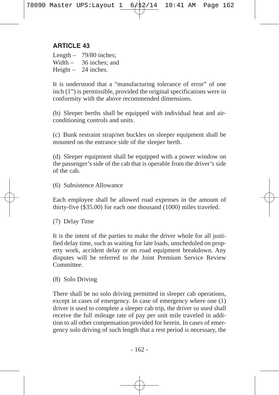Length – 79/80 inches;

Width – 36 inches; and

Height – 24 inches.

It is understood that a "manufacturing tolerance of error" of one inch (1") is permissible, provided the original specifications were in conformity with the above recommended dimensions.

(b) Sleeper berths shall be equipped with individual heat and airconditioning controls and units.

(c) Bunk restraint strap/net buckles on sleeper equipment shall be mounted on the entrance side of the sleeper berth.

(d) Sleeper equipment shall be equipped with a power window on the passenger's side of the cab that is operable from the driver's side of the cab.

(6) Subsistence Allowance

Each employee shall be allowed road expenses in the amount of thirty-five (\$35.00) for each one thousand (1000) miles traveled.

(7) Delay Time

It is the intent of the parties to make the driver whole for all justified delay time, such as waiting for late loads, unscheduled on property work, accident delay or on road equipment breakdown. Any disputes will be referred to the Joint Premium Service Review Committee.

(8) Solo Driving

There shall be no solo driving permitted in sleeper cab operations, except in cases of emergency. In case of emergency where one (1) driver is used to complete a sleeper cab trip, the driver so used shall receive the full mileage rate of pay per unit mile traveled in addition to all other compensation provided for herein. In cases of emergency solo driving of such length that a rest period is necessary, the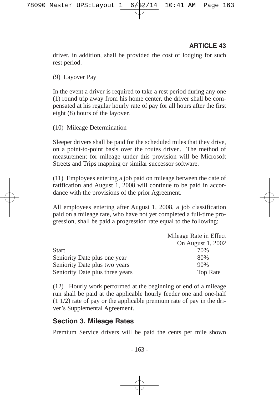driver, in addition, shall be provided the cost of lodging for such rest period.

(9) Layover Pay

In the event a driver is required to take a rest period during any one (1) round trip away from his home center, the driver shall be compensated at his regular hourly rate of pay for all hours after the first eight (8) hours of the layover.

(10) Mileage Determination

Sleeper drivers shall be paid for the scheduled miles that they drive, on a point-to-point basis over the routes driven. The method of measurement for mileage under this provision will be Microsoft Streets and Trips mapping or similar successor software.

(11) Employees entering a job paid on mileage between the date of ratification and August 1, 2008 will continue to be paid in accordance with the provisions of the prior Agreement.

All employees entering after August 1, 2008, a job classification paid on a mileage rate, who have not yet completed a full-time progression, shall be paid a progression rate equal to the following:

|                                 | Mileage Rate in Effect |
|---------------------------------|------------------------|
|                                 | On August 1, 2002      |
| Start                           | 70%                    |
| Seniority Date plus one year    | 80%                    |
| Seniority Date plus two years   | 90%                    |
| Seniority Date plus three years | <b>Top Rate</b>        |

(12) Hourly work performed at the beginning or end of a mileage run shall be paid at the applicable hourly feeder one and one-half (1 1/2) rate of pay or the applicable premium rate of pay in the driver's Supplemental Agreement.

#### **Section 3. Mileage Rates**

Premium Service drivers will be paid the cents per mile shown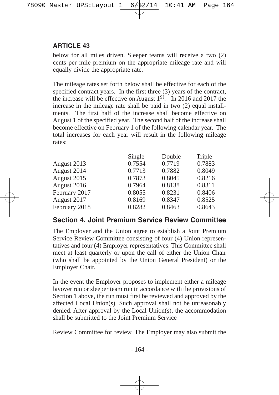below for all miles driven. Sleeper teams will receive a two (2) cents per mile premium on the appropriate mileage rate and will equally divide the appropriate rate.

The mileage rates set forth below shall be effective for each of the specified contract years. In the first three (3) years of the contract, the increase will be effective on August 1st. In 2016 and 2017 the increase in the mileage rate shall be paid in two (2) equal installments. The first half of the increase shall become effective on August 1 of the specified year. The second half of the increase shall become effective on February 1 of the following calendar year. The total increases for each year will result in the following mileage rates:

|               | Single | Double | Triple |
|---------------|--------|--------|--------|
| August 2013   | 0.7554 | 0.7719 | 0.7883 |
| August 2014   | 0.7713 | 0.7882 | 0.8049 |
| August 2015   | 0.7873 | 0.8045 | 0.8216 |
| August 2016   | 0.7964 | 0.8138 | 0.8311 |
| February 2017 | 0.8055 | 0.8231 | 0.8406 |
| August 2017   | 0.8169 | 0.8347 | 0.8525 |
| February 2018 | 0.8282 | 0.8463 | 0.8643 |

#### **Section 4. Joint Premium Service Review Committee**

The Employer and the Union agree to establish a Joint Premium Service Review Committee consisting of four (4) Union representatives and four (4) Employer representatives. This Committee shall meet at least quarterly or upon the call of either the Union Chair (who shall be appointed by the Union General President) or the Employer Chair.

In the event the Employer proposes to implement either a mileage layover run or sleeper team run in accordance with the provisions of Section 1 above, the run must first be reviewed and approved by the affected Local Union(s). Such approval shall not be unreasonably denied. After approval by the Local Union(s), the accommodation shall be submitted to the Joint Premium Service

Review Committee for review. The Employer may also submit the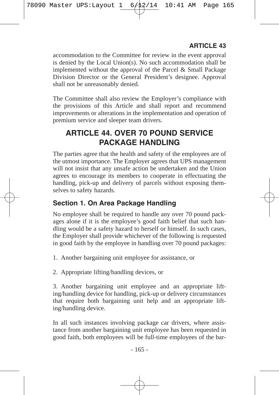accommodation to the Committee for review in the event approval is denied by the Local Union(s). No such accommodation shall be implemented without the approval of the Parcel & Small Package Division Director or the General President's designee. Approval shall not be unreasonably denied.

The Committee shall also review the Employer's compliance with the provisions of this Article and shall report and recommend improvements or alterations in the implementation and operation of premium service and sleeper team drivers.

## **ARTICLE 44. OVER 70 POUND SERVICE PACKAGE HANDLING**

The parties agree that the health and safety of the employees are of the utmost importance. The Employer agrees that UPS management will not insist that any unsafe action be undertaken and the Union agrees to encourage its members to cooperate in effectuating the handling, pick-up and delivery of parcels without exposing themselves to safety hazards.

## **Section 1. On Area Package Handling**

No employee shall be required to handle any over 70 pound packages alone if it is the employee's good faith belief that such handling would be a safety hazard to herself or himself. In such cases, the Employer shall provide whichever of the following is requested in good faith by the employee in handling over 70 pound packages:

1. Another bargaining unit employee for assistance, or

2. Appropriate lifting/handling devices, or

3. Another bargaining unit employee and an appropriate lifting/handling device for handling, pick-up or delivery circumstances that require both bargaining unit help and an appropriate lifting/handling device.

In all such instances involving package car drivers, where assistance from another bargaining unit employee has been requested in good faith, both employees will be full-time employees of the bar-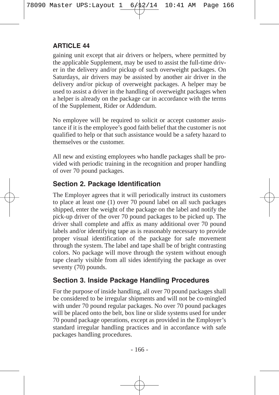gaining unit except that air drivers or helpers, where permitted by the applicable Supplement, may be used to assist the full-time driver in the delivery and/or pickup of such overweight packages. On Saturdays, air drivers may be assisted by another air driver in the delivery and/or pickup of overweight packages. A helper may be used to assist a driver in the handling of overweight packages when a helper is already on the package car in accordance with the terms of the Supplement, Rider or Addendum.

No employee will be required to solicit or accept customer assistance if it is the employee's good faith belief that the customer is not qualified to help or that such assistance would be a safety hazard to themselves or the customer.

All new and existing employees who handle packages shall be provided with periodic training in the recognition and proper handling of over 70 pound packages.

### **Section 2. Package Identification**

The Employer agrees that it will periodically instruct its customers to place at least one (1) over 70 pound label on all such packages shipped, enter the weight of the package on the label and notify the pick-up driver of the over 70 pound packages to be picked up. The driver shall complete and affix as many additional over 70 pound labels and/or identifying tape as is reasonably necessary to provide proper visual identification of the package for safe movement through the system. The label and tape shall be of bright contrasting colors. No package will move through the system without enough tape clearly visible from all sides identifying the package as over seventy (70) pounds.

## **Section 3. Inside Package Handling Procedures**

For the purpose of inside handling, all over 70 pound packages shall be considered to be irregular shipments and will not be co-mingled with under 70 pound regular packages. No over 70 pound packages will be placed onto the belt, box line or slide systems used for under 70 pound package operations, except as provided in the Employer's standard irregular handling practices and in accordance with safe packages handling procedures.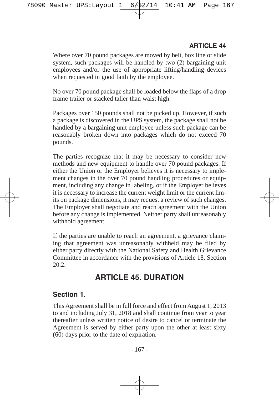Where over 70 pound packages are moved by belt, box line or slide system, such packages will be handled by two (2) bargaining unit employees and/or the use of appropriate lifting/handling devices when requested in good faith by the employee.

No over 70 pound package shall be loaded below the flaps of a drop frame trailer or stacked taller than waist high.

Packages over 150 pounds shall not be picked up. However, if such a package is discovered in the UPS system, the package shall not be handled by a bargaining unit employee unless such package can be reasonably broken down into packages which do not exceed 70 pounds.

The parties recognize that it may be necessary to consider new methods and new equipment to handle over 70 pound packages. If either the Union or the Employer believes it is necessary to implement changes in the over 70 pound handling procedures or equipment, including any change in labeling, or if the Employer believes it is necessary to increase the current weight limit or the current limits on package dimensions, it may request a review of such changes. The Employer shall negotiate and reach agreement with the Union before any change is implemented. Neither party shall unreasonably withhold agreement.

If the parties are unable to reach an agreement, a grievance claiming that agreement was unreasonably withheld may be filed by either party directly with the National Safety and Health Grievance Committee in accordance with the provisions of Article 18, Section 20.2.

## **ARTICLE 45. DURATION**

#### **Section 1.**

This Agreement shall be in full force and effect from August 1, 2013 to and including July 31, 2018 and shall continue from year to year thereafter unless written notice of desire to cancel or terminate the Agreement is served by either party upon the other at least sixty (60) days prior to the date of expiration.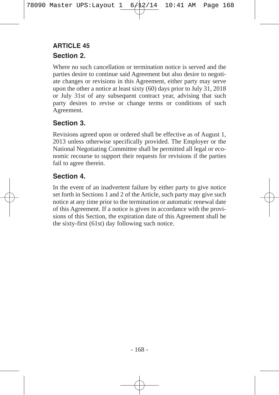## **Section 2. ARTICLE 45**

Where no such cancellation or termination notice is served and the parties desire to continue said Agreement but also desire to negotiate changes or revisions in this Agreement, either party may serve upon the other a notice at least sixty (60) days prior to July 31, 2018 or July 31st of any subsequent contract year, advising that such party desires to revise or change terms or conditions of such Agreement.

## **Section 3.**

Revisions agreed upon or ordered shall be effective as of August 1, 2013 unless otherwise specifically provided. The Employer or the National Negotiating Committee shall be permitted all legal or economic recourse to support their requests for revisions if the parties fail to agree therein.

### **Section 4.**

In the event of an inadvertent failure by either party to give notice set forth in Sections 1 and 2 of the Article, such party may give such notice at any time prior to the termination or automatic renewal date of this Agreement. If a notice is given in accordance with the provisions of this Section, the expiration date of this Agreement shall be the sixty-first (61st) day following such notice.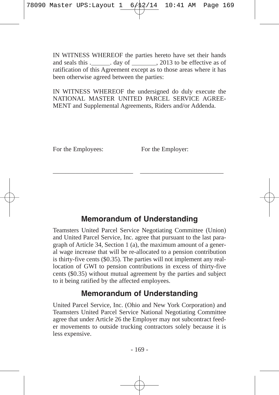IN WITNESS WHEREOF the parties hereto have set their hands and seals this .\_\_\_\_\_\_\_. day of \_\_\_\_\_\_\_\_, 2013 to be effective as of ratification of this Agreement except as to those areas where it has been otherwise agreed between the parties:

IN WITNESS WHEREOF the undersigned do duly execute the NATIONAL MASTER UNITED PARCEL SERVICE AGREE-MENT and Supplemental Agreements, Riders and/or Addenda.

For the Employees: For the Employer:

## **Memorandum of Understanding**

\_\_\_\_\_\_\_\_\_\_\_\_\_\_\_\_\_\_\_\_\_\_\_\_\_ \_\_\_\_\_\_\_\_\_\_\_\_\_\_\_\_\_\_\_\_\_\_\_\_\_\_

Teamsters United Parcel Service Negotiating Committee (Union) and United Parcel Service, Inc. agree that pursuant to the last paragraph of Article 34, Section 1 (a), the maximum amount of a general wage increase that will be re-allocated to a pension contribution is thirty-five cents (\$0.35). The parties will not implement any reallocation of GWI to pension contributions in excess of thirty-five cents (\$0.35) without mutual agreement by the parties and subject to it being ratified by the affected employees.

## **Memorandum of Understanding**

United Parcel Service, Inc. (Ohio and New York Corporation) and Teamsters United Parcel Service National Negotiating Committee agree that under Article 26 the Employer may not subcontract feeder movements to outside trucking contractors solely because it is less expensive.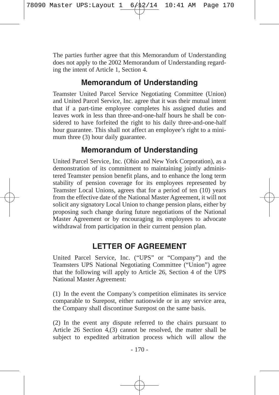The parties further agree that this Memorandum of Understanding does not apply to the 2002 Memorandum of Understanding regarding the intent of Article 1, Section 4.

## **Memorandum of Understanding**

Teamster United Parcel Service Negotiating Committee (Union) and United Parcel Service, Inc. agree that it was their mutual intent that if a part-time employee completes his assigned duties and leaves work in less than three-and-one-half hours he shall be considered to have forfeited the right to his daily three-and-one-half hour guarantee. This shall not affect an employee's right to a minimum three (3) hour daily guarantee.

## **Memorandum of Understanding**

United Parcel Service, Inc. (Ohio and New York Corporation), as a demonstration of its commitment to maintaining jointly administered Teamster pension benefit plans, and to enhance the long term stability of pension coverage for its employees represented by Teamster Local Unions, agrees that for a period of ten (10) years from the effective date of the National Master Agreement, it will not solicit any signatory Local Union to change pension plans, either by proposing such change during future negotiations of the National Master Agreement or by encouraging its employees to advocate withdrawal from participation in their current pension plan.

## **LETTER OF AGREEMENT**

United Parcel Service, Inc. ("UPS" or "Company") and the Teamsters UPS National Negotiating Committee ("Union") agree that the following will apply to Article 26, Section 4 of the UPS National Master Agreement:

(1) In the event the Company's competition eliminates its service comparable to Surepost, either nationwide or in any service area, the Company shall discontinue Surepost on the same basis.

(2) In the event any dispute referred to the chairs pursuant to Article 26 Section 4,(3) cannot be resolved, the matter shall be subject to expedited arbitration process which will allow the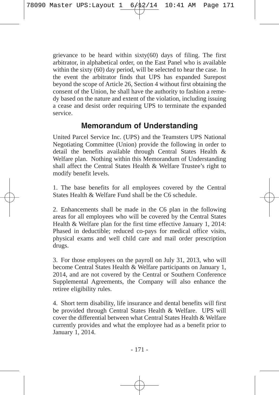grievance to be heard within  $sixty(60)$  days of filing. The first arbitrator, in alphabetical order, on the East Panel who is available within the sixty (60) day period, will be selected to hear the case. In the event the arbitrator finds that UPS has expanded Surepost beyond the scope of Article 26, Section 4 without first obtaining the consent of the Union, he shall have the authority to fashion a remedy based on the nature and extent of the violation, including issuing a cease and desist order requiring UPS to terminate the expanded service.

## **Memorandum of Understanding**

United Parcel Service Inc. (UPS) and the Teamsters UPS National Negotiating Committee (Union) provide the following in order to detail the benefits available through Central States Health & Welfare plan. Nothing within this Memorandum of Understanding shall affect the Central States Health & Welfare Trustee's right to modify benefit levels.

1. The base benefits for all employees covered by the Central States Health & Welfare Fund shall be the C6 schedule.

2. Enhancements shall be made in the C6 plan in the following areas for all employees who will be covered by the Central States Health & Welfare plan for the first time effective January 1, 2014: Phased in deductible: reduced co-pays for medical office visits, physical exams and well child care and mail order prescription drugs.

3. For those employees on the payroll on July 31, 2013, who will become Central States Health & Welfare participants on January 1, 2014, and are not covered by the Central or Southern Conference Supplemental Agreements, the Company will also enhance the retiree eligibility rules.

4. Short term disability, life insurance and dental benefits will first be provided through Central States Health & Welfare. UPS will cover the differential between what Central States Health & Welfare currently provides and what the employee had as a benefit prior to January 1, 2014.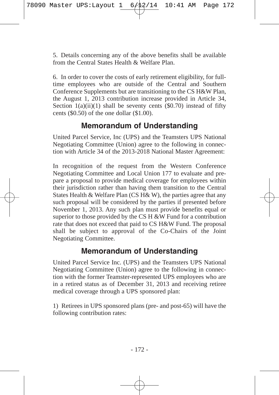5. Details concerning any of the above benefits shall be available from the Central States Health & Welfare Plan.

6. In order to cover the costs of early retirement eligibility, for fulltime employees who are outside of the Central and Southern Conference Supplements but are transitioning to the CS H&W Plan, the August 1, 2013 contribution increase provided in Article 34, Section  $1(a)(ii)(1)$  shall be seventy cents (\$0.70) instead of fifty cents (\$0.50) of the one dollar (\$1.00).

## **Memorandum of Understanding**

United Parcel Service, Inc (UPS) and the Teamsters UPS National Negotiating Committee (Union) agree to the following in connection with Article 34 of the 2013-2018 National Master Agreement:

In recognition of the request from the Western Conference Negotiating Committee and Local Union 177 to evaluate and prepare a proposal to provide medical coverage for employees within their jurisdiction rather than having them transition to the Central States Health & Welfare Plan (CS H& W), the parties agree that any such proposal will be considered by the parties if presented before November 1, 2013. Any such plan must provide benefits equal or superior to those provided by the CS H  $&\&\overline{W}$  Fund for a contribution rate that does not exceed that paid to CS H&W Fund. The proposal shall be subject to approval of the Co-Chairs of the Joint Negotiating Committee.

## **Memorandum of Understanding**

United Parcel Service Inc. (UPS) and the Teamsters UPS National Negotiating Committee (Union) agree to the following in connection with the former Teamster-represented UPS employees who are in a retired status as of December 31, 2013 and receiving retiree medical coverage through a UPS sponsored plan:

1) Retirees in UPS sponsored plans (pre- and post-65) will have the following contribution rates: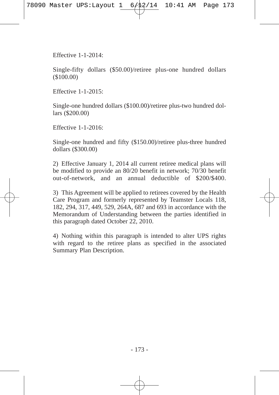Effective 1-1-2014:

Single-fifty dollars (\$50.00)/retiree plus-one hundred dollars (\$100.00)

Effective 1-1-2015:

Single-one hundred dollars (\$100.00)/retiree plus-two hundred dollars (\$200.00)

Effective 1-1-2016:

Single-one hundred and fifty (\$150.00)/retiree plus-three hundred dollars (\$300.00)

2) Effective January 1, 2014 all current retiree medical plans will be modified to provide an 80/20 benefit in network; 70/30 benefit out-of-network, and an annual deductible of \$200/\$400.

3) This Agreement will be applied to retirees covered by the Health Care Program and formerly represented by Teamster Locals 118, 182, 294, 317, 449, 529, 264A, 687 and 693 in accordance with the Memorandum of Understanding between the parties identified in this paragraph dated October 22, 2010.

4) Nothing within this paragraph is intended to alter UPS rights with regard to the retiree plans as specified in the associated Summary Plan Description.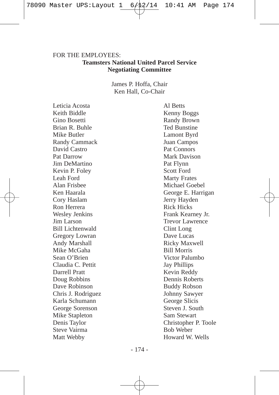## FOR THE EMPLOYEES. **Teamsters National United Parcel Service Negotiating Committee**

James P. Hoffa, Chair Ken Hall, Co-Chair

Leticia Acosta Al Betts Keith Biddle Kenny Boggs Gino Bosetti Randy Brown Brian R. Buhle Ted Bunstine Mike Butler **Lamont Byrd** Randy Cammack Juan Campos David Castro Pat Connors Pat Darrow Mark Davison Jim DeMartino Pat Flynn Kevin P. Foley Scott Ford Leah Ford Marty Frates Alan Frisbee Michael Goebel Cory Haslam Jerry Hayden Ron Herrera Rick Hicks Wesley Jenkins Frank Kearney Jr. Jim Larson Trevor Lawrence Bill Lichtenwald Clint Long Gregory Lowran Dave Lucas Andy Marshall **Ricky Maxwell** Mike McGaha Bill Morris Sean O'Brien Victor Palumbo Claudia C. Pettit Jay Phillips Darrell Pratt Kevin Reddy Doug Robbins Dennis Roberts Dave Robinson Buddy Robson Chris J. Rodriguez Johnny Sawyer Karla Schumann George Slicis George Sorenson Steven J. South Mike Stapleton Sam Stewart Steve Vairma Bob Weber Matt Webby **Howard W. Wells** 

Ken Haarala George E. Harrigan Denis Taylor Christopher P. Toole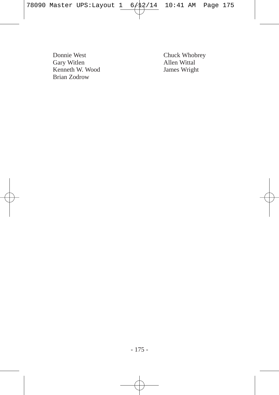Donnie West Chuck Whobrey Gary Witlen <br>Kenneth W. Wood Mars Bames Wright Kenneth W. Wood Brian Zodrow